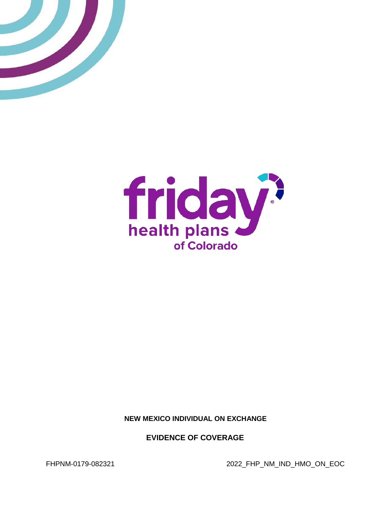



**NEW MEXICO INDIVIDUAL ON EXCHANGE**

**EVIDENCE OF COVERAGE**

FHPNM-0179-082321 2022\_FHP\_NM\_IND\_HMO\_ON\_EOC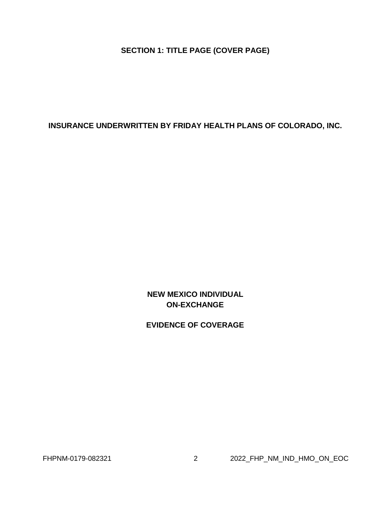**SECTION 1: TITLE PAGE (COVER PAGE)**

<span id="page-1-0"></span>**INSURANCE UNDERWRITTEN BY FRIDAY HEALTH PLANS OF COLORADO, INC.**

**NEW MEXICO INDIVIDUAL ON-EXCHANGE**

**EVIDENCE OF COVERAGE**

FHPNM-0179-082321 2 2022\_FHP\_NM\_IND\_HMO\_ON\_EOC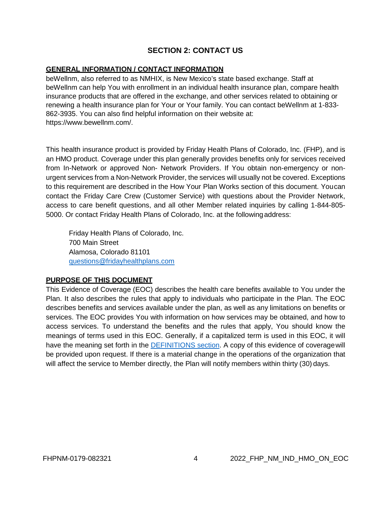# **SECTION 2: CONTACT US**

#### **GENERAL INFORMATION / CONTACT INFORMATION**

beWellnm, also referred to as NMHIX, is New Mexico's state based exchange. Staff at beWellnm can help You with enrollment in an individual health insurance plan, compare health insurance products that are offered in the exchange, and other services related to obtaining or renewing a health insurance plan for Your or Your family. You can contact beWellnm at 1-833- 862-3935. You can also find helpful information on their website at: https:[//www.bewellnm.com/.](http://www.bewellnm.com/)

This health insurance product is provided by Friday Health Plans of Colorado, Inc. (FHP), and is an HMO product. Coverage under this plan generally provides benefits only for services received from In-Network or approved Non- Network Providers. If You obtain non-emergency or nonurgent services from a Non-Network Provider, the services will usually not be covered. Exceptions to this requirement are described in the How Your Plan Works section of this document. Youcan contact the Friday Care Crew (Customer Service) with questions about the Provider Network, access to care benefit questions, and all other Member related inquiries by calling 1-844-805- 5000. Or contact Friday Health Plans of Colorado, Inc. at the followingaddress:

Friday Health Plans of Colorado, Inc. 700 Main Street Alamosa, Colorado 81101 [questions@fridayhealthplans.com](mailto:questions@fridayhealthplans.com)

#### **PURPOSE OF THIS DOCUMENT**

This Evidence of Coverage (EOC) describes the health care benefits available to You under the Plan. It also describes the rules that apply to individuals who participate in the Plan. The EOC describes benefits and services available under the plan, as well as any limitations on benefits or services. The EOC provides You with information on how services may be obtained, and how to access services. To understand the benefits and the rules that apply, You should know the meanings of terms used in this EOC. Generally, if a capitalized term is used in this EOC, it will have the meaning set forth in the [DEFINITIONS section.](#page-99-0) A copy of this evidence of coverage will be provided upon request. If there is a material change in the operations of the organization that will affect the service to Member directly, the Plan will notify members within thirty (30) days.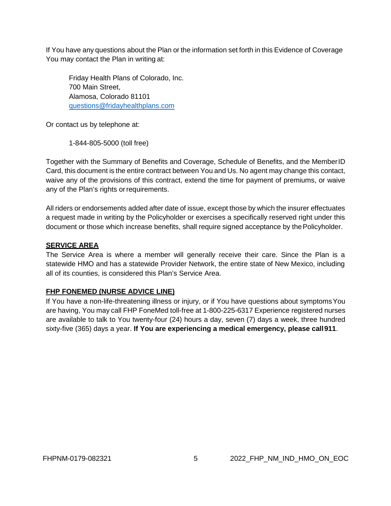If You have any questions about the Plan or the information set forth in this Evidence of Coverage You may contact the Plan in writing at:

Friday Health Plans of Colorado, Inc. 700 Main Street, Alamosa, Colorado 81101 [questions@fridayhealthplans.com](mailto:questions@fridayhealthplans.com)

Or contact us by telephone at:

1-844-805-5000 (toll free)

Together with the Summary of Benefits and Coverage, Schedule of Benefits, and the MemberID Card, this document is the entire contract between You and Us. No agent may change this contact, waive any of the provisions of this contract, extend the time for payment of premiums, or waive any of the Plan's rights or requirements.

All riders or endorsements added after date of issue, except those by which the insurer effectuates a request made in writing by the Policyholder or exercises a specifically reserved right under this document or those which increase benefits, shall require signed acceptance by the Policyholder.

### **SERVICE AREA**

The Service Area is where a member will generally receive their care. Since the Plan is a statewide HMO and has a statewide Provider Network, the entire state of New Mexico, including all of its counties, is considered this Plan's Service Area.

#### **FHP FONEMED (NURSE ADVICE LINE)**

If You have a non-life-threatening illness or injury, or if You have questions about symptomsYou are having, You may call FHP FoneMed toll-free at 1-800-225-6317 Experience registered nurses are available to talk to You twenty-four (24) hours a day, seven (7) days a week, three hundred sixty-five (365) days a year. **If You are experiencing a medical emergency, please call911**.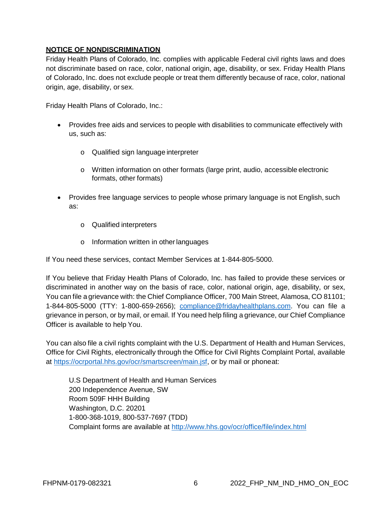# **NOTICE OF NONDISCRIMINATION**

Friday Health Plans of Colorado, Inc. complies with applicable Federal civil rights laws and does not discriminate based on race, color, national origin, age, disability, or sex. Friday Health Plans of Colorado, Inc. does not exclude people or treat them differently because of race, color, national origin, age, disability, or sex.

Friday Health Plans of Colorado, Inc.:

- Provides free aids and services to people with disabilities to communicate effectively with us, such as:
	- o Qualified sign language interpreter
	- o Written information on other formats (large print, audio, accessible electronic formats, other formats)
- Provides free language services to people whose primary language is not English, such as:
	- o Qualified interpreters
	- o Information written in otherlanguages

If You need these services, contact Member Services at 1-844-805-5000.

If You believe that Friday Health Plans of Colorado, Inc. has failed to provide these services or discriminated in another way on the basis of race, color, national origin, age, disability, or sex, You can file a grievance with: the Chief Compliance Officer, 700 Main Street, Alamosa, CO 81101; 1-844-805-5000 (TTY: 1-800-659-2656); [compliance@fridayhealthplans.com.](mailto:compliance@fridayhealthplans.com) You can file a grievance in person, or by mail, or email. If You need help filing a grievance, our Chief Compliance Officer is available to help You.

You can also file a civil rights complaint with the U.S. Department of Health and Human Services, Office for Civil Rights, electronically through the Office for Civil Rights Complaint Portal, available at [https://ocrportal.hhs.gov/ocr/smartscreen/main.jsf,](https://ocrportal.hhs.gov/ocr/smartscreen/main.jsf) or by mail or phoneat:

U.S Department of Health and Human Services 200 Independence Avenue, SW Room 509F HHH Building Washington, D.C. 20201 1-800-368-1019, 800-537-7697 (TDD) Complaint forms are available at<http://www.hhs.gov/ocr/office/file/index.html>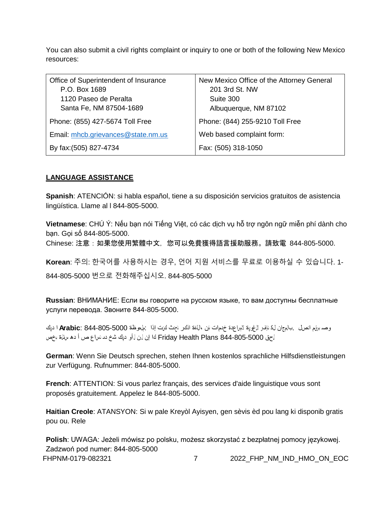You can also submit a civil rights complaint or inquiry to one or both of the following New Mexico resources:

| Office of Superintendent of Insurance | New Mexico Office of the Attorney General |
|---------------------------------------|-------------------------------------------|
| P.O. Box 1689                         | 201 3rd St. NW                            |
| 1120 Paseo de Peralta                 | Suite 300                                 |
| Santa Fe, NM 87504-1689               | Albuquerque, NM 87102                     |
| Phone: (855) 427-5674 Toll Free       | Phone: (844) 255-9210 Toll Free           |
| Email: mhcb.grievances@state.nm.us    | Web based complaint form:                 |
| By fax: (505) 827-4734                | Fax: (505) 318-1050                       |

### **LANGUAGE ASSISTANCE**

**Spanish**: ATENCIÓN: si habla español, tiene a su disposición servicios gratuitos de asistencia lingüística. Llame al l 844-805-5000.

**Vietnamese**: CHÚ Ý: Nếu bạn nói Tiếng Việt, có các dịch vụ hỗ trợ ngôn ngữ miễn phí dành cho bạn. Gọi số 844-805-5000.

Chinese: 注意:如果您使用繁體中文,您可以免費獲得語言援助服務。請致電 844-805-5000.

**Korean**: 주의: 한국어를 사용하시는 경우, 언어 지원 서비스를 무료로 이용하실 수 있습니다. 1-

844-805-5000 번으로 전화해주십시오. 844-805-5000

**Russian**: ВНИМАНИЕ: Если вы говорите на русском языке, то вам доступны бесплатные услуги перевода. Звоните 844-805-5000.

وص برقم اتصل .بالمجان لك تتوافر لالغوية لامساعدة خدمات فإن ،اللغة اذكر ت تحدث كنت إذا :ملحوظة 844-805-5000 :**Arabic** ا ديك لحق 844-805-5000 Plans Health Friday كا إن لن <sup>ل</sup> أو ديك شخ دى تساع ص أ دھ سئلة بخص

**German**: Wenn Sie Deutsch sprechen, stehen Ihnen kostenlos sprachliche Hilfsdienstleistungen zur Verfügung. Rufnummer: 844-805-5000.

**French**: ATTENTION: Si vous parlez français, des services d'aide linguistique vous sont proposés gratuitement. Appelez le 844-805-5000.

**Haitian Creole**: ATANSYON: Si w pale Kreyòl Ayisyen, gen sèvis èd pou lang ki disponib gratis pou ou. Rele

FHPNM-0179-082321 7 2022 FHP\_NM\_IND\_HMO\_ON\_EOC **Polish**: UWAGA: Jeżeli mówisz po polsku, możesz skorzystać z bezpłatnej pomocy językowej. Zadzwoń pod numer: 844-805-5000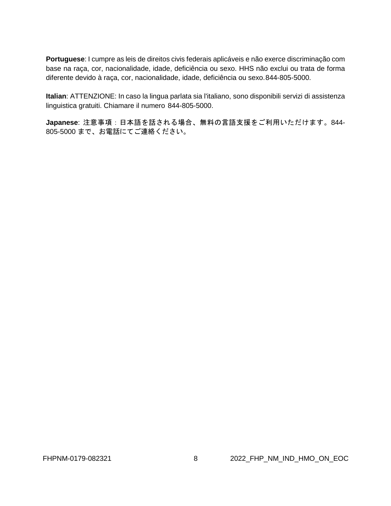**Portuguese**: I cumpre as leis de direitos civis federais aplicáveis e não exerce discriminação com base na raça, cor, nacionalidade, idade, deficiência ou sexo. HHS não exclui ou trata de forma diferente devido à raça, cor, nacionalidade, idade, deficiência ou sexo.844-805-5000.

**Italian**: ATTENZIONE: In caso la lingua parlata sia l'italiano, sono disponibili servizi di assistenza linguistica gratuiti. Chiamare il numero 844-805-5000.

**Japanese**: 注意事項:日本語を話される場合、無料の言語支援をご利用いただけます。844- 805-5000 まで、お電話にてご連絡ください。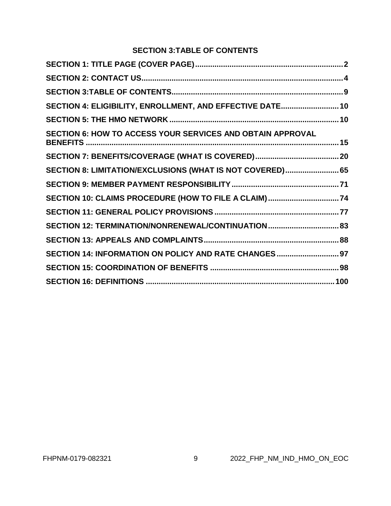# **SECTION 3:TABLE OF CONTENTS**

<span id="page-8-0"></span>

| SECTION 4: ELIGIBILITY, ENROLLMENT, AND EFFECTIVE DATE 10  |  |
|------------------------------------------------------------|--|
|                                                            |  |
| SECTION 6: HOW TO ACCESS YOUR SERVICES AND OBTAIN APPROVAL |  |
|                                                            |  |
| SECTION 8: LIMITATION/EXCLUSIONS (WHAT IS NOT COVERED) 65  |  |
|                                                            |  |
|                                                            |  |
|                                                            |  |
| SECTION 12: TERMINATION/NONRENEWAL/CONTINUATION 83         |  |
|                                                            |  |
| SECTION 14: INFORMATION ON POLICY AND RATE CHANGES 97      |  |
|                                                            |  |
|                                                            |  |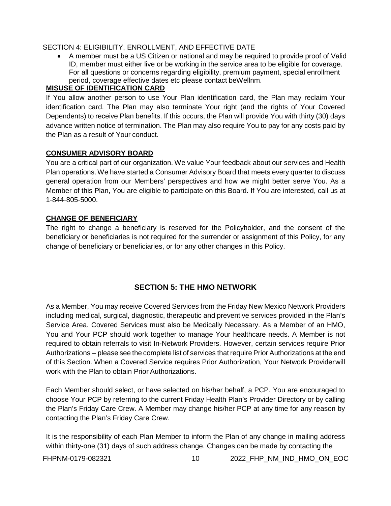## <span id="page-9-0"></span>SECTION 4: ELIGIBILITY, ENROLLMENT, AND EFFECTIVE DATE

• A member must be a US Citizen or national and may be required to provide proof of Valid ID, member must either live or be working in the service area to be eligible for coverage. For all questions or concerns regarding eligibility, premium payment, special enrollment period, coverage effective dates etc please contact beWellnm.

## **MISUSE OF IDENTIFICATION CARD**

If You allow another person to use Your Plan identification card, the Plan may reclaim Your identification card. The Plan may also terminate Your right (and the rights of Your Covered Dependents) to receive Plan benefits. If this occurs, the Plan will provide You with thirty (30) days advance written notice of termination. The Plan may also require You to pay for any costs paid by the Plan as a result of Your conduct.

### **CONSUMER ADVISORY BOARD**

You are a critical part of our organization. We value Your feedback about our services and Health Plan operations. We have started a Consumer Advisory Board that meets every quarter to discuss general operation from our Members' perspectives and how we might better serve You. As a Member of this Plan, You are eligible to participate on this Board. If You are interested, call us at 1-844-805-5000.

# **CHANGE OF BENEFICIARY**

The right to change a beneficiary is reserved for the Policyholder, and the consent of the beneficiary or beneficiaries is not required for the surrender or assignment of this Policy, for any change of beneficiary or beneficiaries, or for any other changes in this Policy.

# **SECTION 5: THE HMO NETWORK**

<span id="page-9-1"></span>As a Member, You may receive Covered Services from the Friday New Mexico Network Providers including medical, surgical, diagnostic, therapeutic and preventive services provided in the Plan's Service Area. Covered Services must also be Medically Necessary. As a Member of an HMO, You and Your PCP should work together to manage Your healthcare needs. A Member is not required to obtain referrals to visit In-Network Providers. However, certain services require Prior Authorizations – please see the complete list of services that require Prior Authorizations at the end of this Section. When a Covered Service requires Prior Authorization, Your Network Providerwill work with the Plan to obtain Prior Authorizations.

Each Member should select, or have selected on his/her behalf, a PCP. You are encouraged to choose Your PCP by referring to the current Friday Health Plan's Provider Directory or by calling the Plan's Friday Care Crew. A Member may change his/her PCP at any time for any reason by contacting the Plan's Friday Care Crew.

It is the responsibility of each Plan Member to inform the Plan of any change in mailing address within thirty-one (31) days of such address change. Changes can be made by contacting the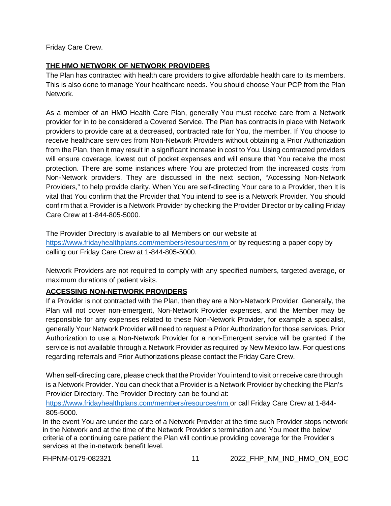Friday Care Crew.

# **THE HMO NETWORK OF NETWORK PROVIDERS**

The Plan has contracted with health care providers to give affordable health care to its members. This is also done to manage Your healthcare needs. You should choose Your PCP from the Plan Network.

As a member of an HMO Health Care Plan, generally You must receive care from a Network provider for in to be considered a Covered Service. The Plan has contracts in place with Network providers to provide care at a decreased, contracted rate for You, the member. If You choose to receive healthcare services from Non-Network Providers without obtaining a Prior Authorization from the Plan, then it may result in a significant increase in cost to You. Using contracted providers will ensure coverage, lowest out of pocket expenses and will ensure that You receive the most protection. There are some instances where You are protected from the increased costs from Non-Network providers. They are discussed in the next section, "Accessing Non-Network Providers," to help provide clarity. When You are self-directing Your care to a Provider, then It is vital that You confirm that the Provider that You intend to see is a Network Provider. You should confirm that a Provider is a Network Provider by checking the Provider Director or by calling Friday Care Crew at 1-844-805-5000.

The Provider Directory is available to all Members on our website at <https://www.fridayhealthplans.com/members/resources/nm> or by requesting a paper copy by calling our Friday Care Crew at 1-844-805-5000.

Network Providers are not required to comply with any specified numbers, targeted average, or maximum durations of patient visits.

# **ACCESSING NON-NETWORK PROVIDERS**

If a Provider is not contracted with the Plan, then they are a Non-Network Provider. Generally, the Plan will not cover non-emergent, Non-Network Provider expenses, and the Member may be responsible for any expenses related to these Non-Network Provider, for example a specialist, generally Your Network Provider will need to request a Prior Authorization for those services. Prior Authorization to use a Non-Network Provider for a non-Emergent service will be granted if the service is not available through a Network Provider as required by New Mexico law. For questions regarding referrals and Prior Authorizations please contact the Friday Care Crew.

When self-directing care, please check that the Provider You intend to visit or receive care through is a Network Provider. You can check that a Provider is a Network Provider by checking the Plan's Provider Directory. The Provider Directory can be found at:

<https://www.fridayhealthplans.com/members/resources/nm> or call Friday Care Crew at 1-844- 805-5000.

In the event You are under the care of a Network Provider at the time such Provider stops network in the Network and at the time of the Network Provider's termination and You meet the below criteria of a continuing care patient the Plan will continue providing coverage for the Provider's services at the in-network benefit level.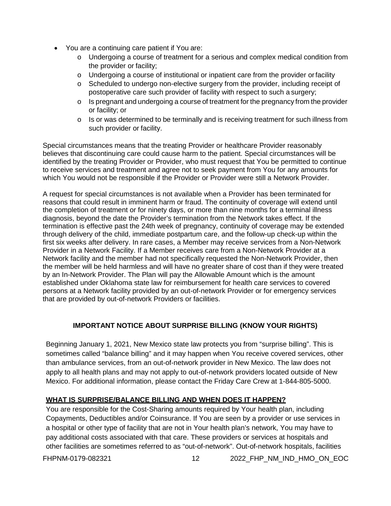- You are a continuing care patient if You are:
	- o Undergoing a course of treatment for a serious and complex medical condition from the provider or facility;
	- $\circ$  Undergoing a course of institutional or inpatient care from the provider or facility
	- $\circ$  Scheduled to undergo non-elective surgery from the provider, including receipt of postoperative care such provider of facility with respect to such a surgery;
	- o Is pregnant and undergoing a course of treatment for the pregnancy from the provider or facility; or
	- o Is or was determined to be terminally and is receiving treatment for such illness from such provider or facility.

Special circumstances means that the treating Provider or healthcare Provider reasonably believes that discontinuing care could cause harm to the patient. Special circumstances will be identified by the treating Provider or Provider, who must request that You be permitted to continue to receive services and treatment and agree not to seek payment from You for any amounts for which You would not be responsible if the Provider or Provider were still a Network Provider.

A request for special circumstances is not available when a Provider has been terminated for reasons that could result in imminent harm or fraud. The continuity of coverage will extend until the completion of treatment or for ninety days, or more than nine months for a terminal illness diagnosis, beyond the date the Provider's termination from the Network takes effect. If the termination is effective past the 24th week of pregnancy, continuity of coverage may be extended through delivery of the child, immediate postpartum care, and the follow-up check-up within the first six weeks after delivery. In rare cases, a Member may receive services from a Non-Network Provider in a Network Facility. If a Member receives care from a Non-Network Provider at a Network facility and the member had not specifically requested the Non-Network Provider, then the member will be held harmless and will have no greater share of cost than if they were treated by an In-Network Provider. The Plan will pay the Allowable Amount which is the amount established under Oklahoma state law for reimbursement for health care services to covered persons at a Network facility provided by an out-of-network Provider or for emergency services that are provided by out-of-network Providers or facilities.

# **IMPORTANT NOTICE ABOUT SURPRISE BILLING (KNOW YOUR RIGHTS)**

Beginning January 1, 2021, New Mexico state law protects you from "surprise billing". This is sometimes called "balance billing" and it may happen when You receive covered services, other than ambulance services, from an out-of-network provider in New Mexico. The law does not apply to all health plans and may not apply to out-of-network providers located outside of New Mexico. For additional information, please contact the Friday Care Crew at 1-844-805-5000.

# **WHAT IS SURPRISE/BALANCE BILLING AND WHEN DOES IT HAPPEN?**

You are responsible for the Cost-Sharing amounts required by Your health plan, including Copayments, Deductibles and/or Coinsurance. If You are seen by a provider or use services in a hospital or other type of facility that are not in Your health plan's network, You may have to pay additional costs associated with that care. These providers or services at hospitals and other facilities are sometimes referred to as "out-of-network". Out-of-network hospitals, facilities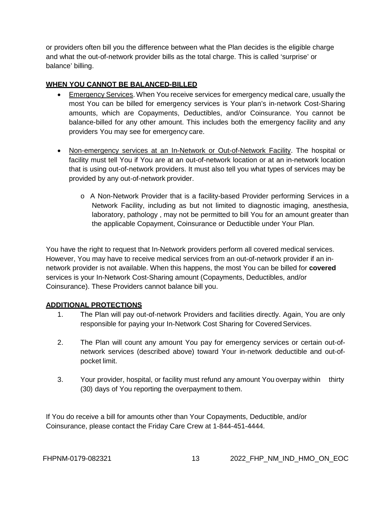or providers often bill you the difference between what the Plan decides is the eligible charge and what the out-of-network provider bills as the total charge. This is called 'surprise' or balance' billing.

# **WHEN YOU CANNOT BE BALANCED-BILLED**

- Emergency Services. When You receive services for emergency medical care, usually the most You can be billed for emergency services is Your plan's in-network Cost-Sharing amounts, which are Copayments, Deductibles, and/or Coinsurance. You cannot be balance-billed for any other amount. This includes both the emergency facility and any providers You may see for emergency care.
- Non-emergency services at an In-Network or Out-of-Network Facility. The hospital or facility must tell You if You are at an out-of-network location or at an in-network location that is using out-of-network providers. It must also tell you what types of services may be provided by any out-of-network provider.
	- o A Non-Network Provider that is a facility-based Provider performing Services in a Network Facility, including as but not limited to diagnostic imaging, anesthesia, laboratory, pathology , may not be permitted to bill You for an amount greater than the applicable Copayment, Coinsurance or Deductible under Your Plan.

You have the right to request that In-Network providers perform all covered medical services. However, You may have to receive medical services from an out-of-network provider if an innetwork provider is not available. When this happens, the most You can be billed for **covered**  services is your In-Network Cost-Sharing amount (Copayments, Deductibles, and/or Coinsurance). These Providers cannot balance bill you.

# **ADDITIONAL PROTECTIONS**

- 1. The Plan will pay out-of-network Providers and facilities directly. Again, You are only responsible for paying your In-Network Cost Sharing for Covered Services.
- 2. The Plan will count any amount You pay for emergency services or certain out-ofnetwork services (described above) toward Your in-network deductible and out-ofpocket limit.
- 3. Your provider, hospital, or facility must refund any amount You overpay within thirty (30) days of You reporting the overpayment to them.

If You do receive a bill for amounts other than Your Copayments, Deductible, and/or Coinsurance, please contact the Friday Care Crew at 1-844-451-4444.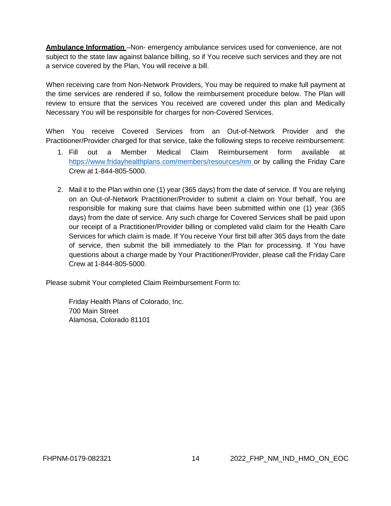**Ambulance Information** – Non- emergency ambulance services used for convenience, are not subject to the state law against balance billing, so if You receive such services and they are not a service covered by the Plan, You will receive a bill.

When receiving care from Non-Network Providers, You may be required to make full payment at the time services are rendered if so, follow the reimbursement procedure below. The Plan will review to ensure that the services You received are covered under this plan and Medically Necessary You will be responsible for charges for non-Covered Services.

When You receive Covered Services from an Out-of-Network Provider and the Practitioner/Provider charged for that service, take the following steps to receive reimbursement:

- 1. Fill out a Member Medical Claim Reimbursement form available at [https://www.fridayhealthplans.com/members/resources/nm o](https://www.fridayhealthplans.com/members/resources/nm)r by calling the Friday Care Crew at 1-844-805-5000.
- 2. Mail it to the Plan within one (1) year (365 days) from the date of service. If You are relying on an Out-of-Network Practitioner/Provider to submit a claim on Your behalf, You are responsible for making sure that claims have been submitted within one (1) year (365 days) from the date of service. Any such charge for Covered Services shall be paid upon our receipt of a Practitioner/Provider billing or completed valid claim for the Health Care Services for which claim is made. If You receive Your first bill after 365 days from the date of service, then submit the bill immediately to the Plan for processing. If You have questions about a charge made by Your Practitioner/Provider, please call the Friday Care Crew at 1-844-805-5000.

Please submit Your completed Claim Reimbursement Form to:

Friday Health Plans of Colorado, Inc. 700 Main Street Alamosa, Colorado 81101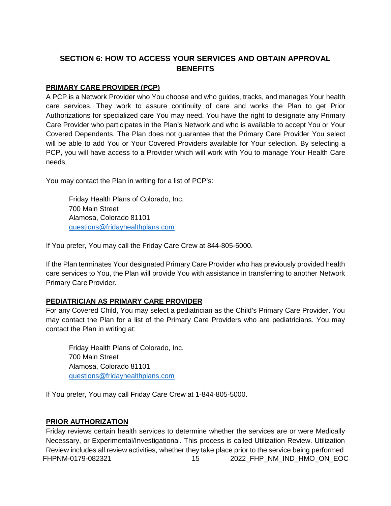# <span id="page-14-0"></span>**SECTION 6: HOW TO ACCESS YOUR SERVICES AND OBTAIN APPROVAL BENEFITS**

### **PRIMARY CARE PROVIDER (PCP)**

A PCP is a Network Provider who You choose and who guides, tracks, and manages Your health care services. They work to assure continuity of care and works the Plan to get Prior Authorizations for specialized care You may need. You have the right to designate any Primary Care Provider who participates in the Plan's Network and who is available to accept You or Your Covered Dependents. The Plan does not guarantee that the Primary Care Provider You select will be able to add You or Your Covered Providers available for Your selection. By selecting a PCP, you will have access to a Provider which will work with You to manage Your Health Care needs.

You may contact the Plan in writing for a list of PCP's:

Friday Health Plans of Colorado, Inc. 700 Main Street Alamosa, Colorado 81101 [questions@fridayhealthplans.com](mailto:questions@fridayhealthplans.com)

If You prefer, You may call the Friday Care Crew at 844-805-5000.

If the Plan terminates Your designated Primary Care Provider who has previously provided health care services to You, the Plan will provide You with assistance in transferring to another Network Primary Care Provider.

#### **PEDIATRICIAN AS PRIMARY CARE PROVIDER**

For any Covered Child, You may select a pediatrician as the Child's Primary Care Provider. You may contact the Plan for a list of the Primary Care Providers who are pediatricians. You may contact the Plan in writing at:

Friday Health Plans of Colorado, Inc. 700 Main Street Alamosa, Colorado 81101 [questions@fridayhealthplans.com](mailto:questions@fridayhealthplans.com)

If You prefer, You may call Friday Care Crew at 1-844-805-5000.

#### **PRIOR AUTHORIZATION**

FHPNM-0179-082321 15 2022\_FHP\_NM\_IND\_HMO\_ON\_EOC Friday reviews certain health services to determine whether the services are or were Medically Necessary, or Experimental/Investigational. This process is called Utilization Review. Utilization Review includes all review activities, whether they take place prior to the service being performed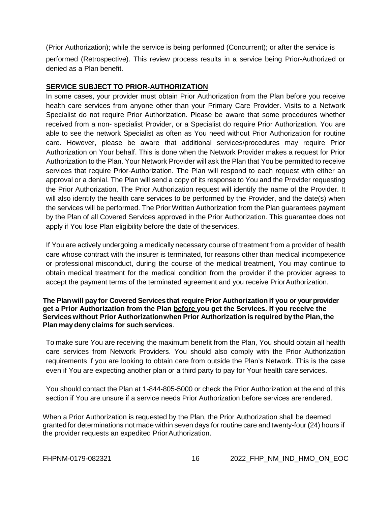(Prior Authorization); while the service is being performed (Concurrent); or after the service is performed (Retrospective). This review process results in a service being Prior-Authorized or denied as a Plan benefit.

#### **SERVICE SUBJECT TO PRIOR-AUTHORIZATION**

In some cases, your provider must obtain Prior Authorization from the Plan before you receive health care services from anyone other than your Primary Care Provider. Visits to a Network Specialist do not require Prior Authorization. Please be aware that some procedures whether received from a non- specialist Provider, or a Specialist do require Prior Authorization. You are able to see the network Specialist as often as You need without Prior Authorization for routine care. However, please be aware that additional services/procedures may require Prior Authorization on Your behalf. This is done when the Network Provider makes a request for Prior Authorization to the Plan. Your Network Provider will ask the Plan that You be permitted to receive services that require Prior-Authorization. The Plan will respond to each request with either an approval or a denial. The Plan will send a copy of its response to You and the Provider requesting the Prior Authorization, The Prior Authorization request will identify the name of the Provider. It will also identify the health care services to be performed by the Provider, and the date(s) when the services will be performed. The Prior Written Authorization from the Plan guarantees payment by the Plan of all Covered Services approved in the Prior Authorization. This guarantee does not apply if You lose Plan eligibility before the date of theservices.

If You are actively undergoing a medically necessary course of treatment from a provider of health care whose contract with the insurer is terminated, for reasons other than medical incompetence or professional misconduct, during the course of the medical treatment, You may continue to obtain medical treatment for the medical condition from the provider if the provider agrees to accept the payment terms of the terminated agreement and you receive PriorAuthorization.

#### **The Plan will pay for Covered Services that require Prior Authorization if you or your provider get a Prior Authorization from the Plan before you get the Services. If you receive the Services without Prior Authorizationwhen Prior Authorization is required by the Plan, the Plan may deny claims for such services**.

To make sure You are receiving the maximum benefit from the Plan, You should obtain all health care services from Network Providers. You should also comply with the Prior Authorization requirements if you are looking to obtain care from outside the Plan's Network. This is the case even if You are expecting another plan or a third party to pay for Your health care services.

You should contact the Plan at 1-844-805-5000 or check the Prior Authorization at the end of this section if You are unsure if a service needs Prior Authorization before services arerendered.

When a Prior Authorization is requested by the Plan, the Prior Authorization shall be deemed granted for determinations not made within seven days for routine care and twenty-four (24) hours if the provider requests an expedited Prior Authorization.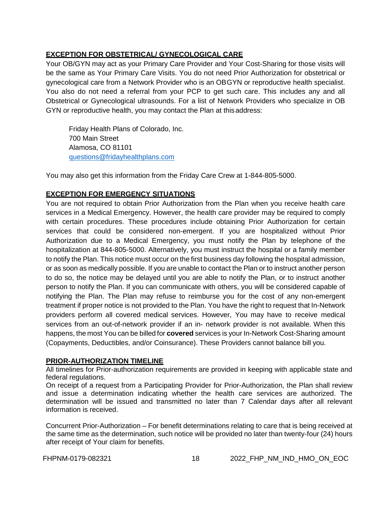# **EXCEPTION FOR OBSTETRICAL/ GYNECOLOGICAL CARE**

Your OB/GYN may act as your Primary Care Provider and Your Cost-Sharing for those visits will be the same as Your Primary Care Visits. You do not need Prior Authorization for obstetrical or gynecological care from a Network Provider who is an OBGYN or reproductive health specialist. You also do not need a referral from your PCP to get such care. This includes any and all Obstetrical or Gynecological ultrasounds. For a list of Network Providers who specialize in OB GYN or reproductive health, you may contact the Plan at thisaddress:

Friday Health Plans of Colorado, Inc. 700 Main Street Alamosa, CO 81101 [questions@fridayhealthplans.com](mailto:questions@fridayhealthplans.com)

You may also get this information from the Friday Care Crew at 1-844-805-5000.

### **EXCEPTION FOR EMERGENCY SITUATIONS**

You are not required to obtain Prior Authorization from the Plan when you receive health care services in a Medical Emergency. However, the health care provider may be required to comply with certain procedures. These procedures include obtaining Prior Authorization for certain services that could be considered non-emergent. If you are hospitalized without Prior Authorization due to a Medical Emergency, you must notify the Plan by telephone of the hospitalization at 844-805-5000. Alternatively, you must instruct the hospital or a family member to notify the Plan. This notice must occur on the first business day following the hospital admission, or as soon as medically possible. If you are unable to contact the Plan or to instruct another person to do so, the notice may be delayed until you are able to notify the Plan, or to instruct another person to notify the Plan. If you can communicate with others, you will be considered capable of notifying the Plan. The Plan may refuse to reimburse you for the cost of any non-emergent treatment if proper notice is not provided to the Plan. You have the right to request that In-Network providers perform all covered medical services. However, You may have to receive medical services from an out-of-network provider if an in- network provider is not available. When this happens, the most You can be billed for **covered** services is your In-Network Cost-Sharing amount (Copayments, Deductibles, and/or Coinsurance). These Providers cannot balance bill you.

#### **PRIOR-AUTHORIZATION TIMELINE**

All timelines for Prior-authorization requirements are provided in keeping with applicable state and federal regulations.

On receipt of a request from a Participating Provider for Prior-Authorization, the Plan shall review and issue a determination indicating whether the health care services are authorized. The determination will be issued and transmitted no later than 7 Calendar days after all relevant information is received.

Concurrent Prior-Authorization – For benefit determinations relating to care that is being received at the same time as the determination, such notice will be provided no later than twenty-four (24) hours after receipt of Your claim for benefits.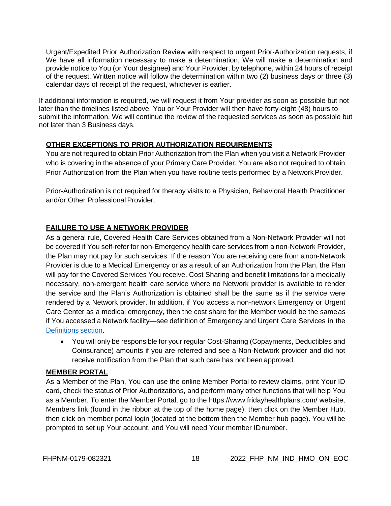Urgent/Expedited Prior Authorization Review with respect to urgent Prior-Authorization requests, if We have all information necessary to make a determination, We will make a determination and provide notice to You (or Your designee) and Your Provider, by telephone, within 24 hours of receipt of the request. Written notice will follow the determination within two (2) business days or three (3) calendar days of receipt of the request, whichever is earlier.

If additional information is required, we will request it from Your provider as soon as possible but not later than the timelines listed above. You or Your Provider will then have forty-eight (48) hours to submit the information. We will continue the review of the requested services as soon as possible but not later than 3 Business days.

### **OTHER EXCEPTIONS TO PRIOR AUTHORIZATION REQUIREMENTS**

You are not required to obtain Prior Authorization from the Plan when you visit a Network Provider who is covering in the absence of your Primary Care Provider. You are also not required to obtain Prior Authorization from the Plan when you have routine tests performed by a Network Provider.

Prior-Authorization is not required for therapy visits to a Physician, Behavioral Health Practitioner and/or Other Professional Provider.

### **FAILURE TO USE A NETWORK PROVIDER**

As a general rule, Covered Health Care Services obtained from a Non-Network Provider will not be covered if You self-refer for non-Emergency health care services from a non-Network Provider, the Plan may not pay for such services. If the reason You are receiving care from anon-Network Provider is due to a Medical Emergency or as a result of an Authorization from the Plan, the Plan will pay for the Covered Services You receive. Cost Sharing and benefit limitations for a medically necessary, non-emergent health care service where no Network provider is available to render the service and the Plan's Authorization is obtained shall be the same as if the service were rendered by a Network provider. In addition, if You access a non-network Emergency or Urgent Care Center as a medical emergency, then the cost share for the Member would be the sameas if You accessed a Network facility—see definition of Emergency and Urgent Care Services in the [Definitions](#page-99-0) section.

• You will only be responsible for your regular Cost-Sharing (Copayments, Deductibles and Coinsurance) amounts if you are referred and see a Non-Network provider and did not receive notification from the Plan that such care has not been approved.

#### **MEMBER PORTAL**

As a Member of the Plan, You can use the online Member Portal to review claims, print Your ID card, check the status of Prior Authorizations, and perform many other functions that will help You as a Member. To enter the Member Portal, go to the https[://www.fridayhealthplans.com/](http://www.fridayhealthplans.com/) website, Members link (found in the ribbon at the top of the home page), then click on the Member Hub, then click on member portal login (located at the bottom then the Member hub page). You willbe prompted to set up Your account, and You will need Your member IDnumber.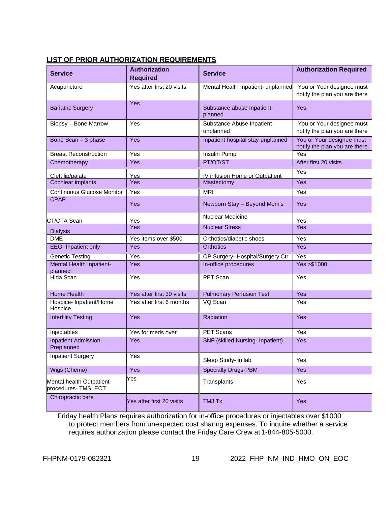# <span id="page-18-0"></span>**LIST OF PRIOR AUTHORIZATION REQUIREMENTS**

| <b>Service</b>                                                 | <b>Authorization</b><br><b>Required</b> | <b>Service</b>                           | <b>Authorization Required</b>                              |  |  |
|----------------------------------------------------------------|-----------------------------------------|------------------------------------------|------------------------------------------------------------|--|--|
| Acupuncture                                                    | Yes after first 20 visits               | Mental Health Inpatient- unplanned       | You or Your designee must<br>notify the plan you are there |  |  |
| Yes<br><b>Bariatric Surgery</b>                                |                                         | Substance abuse Inpatient-<br>planned    | Yes                                                        |  |  |
| Biopsy - Bone Marrow                                           | Yes                                     | Substance Abuse Inpatient -<br>unplanned | You or Your designee must<br>notify the plan you are there |  |  |
| Bone Scan - 3 phase                                            | Yes                                     | Inpatient hospital stay-unplanned        | You or Your designee must<br>notify the plan you are there |  |  |
| <b>Breast Reconstruction</b>                                   | Yes                                     | Insulin Pump                             | Yes                                                        |  |  |
| Chemotherapy                                                   | Yes                                     | PT/OT/ST                                 | After first 20 visits.                                     |  |  |
| Cleft lip/palate                                               | Yes                                     | IV infusion Home or Outpatient           | Yes                                                        |  |  |
| Cochlear implants                                              | Yes                                     | Mastectomy                               | Yes                                                        |  |  |
| <b>Continuous Glucose Monitor</b>                              | Yes                                     | <b>MRI</b>                               | Yes                                                        |  |  |
| <b>CPAP</b>                                                    | Yes                                     | Newborn Stay - Beyond Mom's              | Yes                                                        |  |  |
| CT/CTA Scan                                                    | Yes                                     | <b>Nuclear Medicine</b>                  | Yes                                                        |  |  |
| <b>Dialysis</b>                                                | Yes                                     | <b>Nuclear Stress</b>                    | <b>Yes</b>                                                 |  |  |
| <b>DME</b>                                                     | Yes items over \$500                    | Orthotics/diabetic shoes                 | Yes                                                        |  |  |
| <b>EEG-</b> Inpatient only                                     | Yes                                     | <b>Orthotics</b>                         | Yes                                                        |  |  |
| <b>Genetic Testing</b>                                         | Yes                                     | OP Surgery- Hospital/Surgery Ctr         | Yes                                                        |  |  |
| Mental Health Inpatient-<br>planned                            | Yes                                     |                                          | Yes > \$1000                                               |  |  |
| Hida Scan                                                      | Yes                                     |                                          | Yes                                                        |  |  |
| <b>Home Health</b>                                             | Yes after first 30 visits               | <b>Pulmonary Perfusion Test</b>          | Yes                                                        |  |  |
| Hospice- Inpatient/Home<br>Yes after first 6 months<br>Hospice |                                         | VQ Scan                                  | $\overline{Yes}$                                           |  |  |
| <b>Infertility Testing</b><br>Yes                              |                                         | Radiation                                | Yes                                                        |  |  |
| Injectables                                                    | Yes for meds over                       | PET Scans                                | Yes                                                        |  |  |
| Inpatient Admission-<br>Yes<br>Preplanned                      |                                         | <b>SNF</b> (skilled Nursing- Inpatient)  | Yes                                                        |  |  |
| <b>Inpatient Surgery</b>                                       | Yes                                     | Sleep Study- in lab                      | Yes                                                        |  |  |
| Wigs (Chemo)                                                   | Yes                                     | <b>Specialty Drugs-PBM</b>               | Yes                                                        |  |  |
| Yes<br>Mental health Outpatient<br>procedures-TMS, ECT         |                                         | Transplants                              | Yes                                                        |  |  |
| Chiropractic care                                              | Yes after first 20 visits               | <b>TMJ Tx</b>                            | <b>Yes</b>                                                 |  |  |

Friday health Plans requires authorization for in-office procedures or injectables over \$1000 to protect members from unexpected cost sharing expenses. To inquire whether a service requires authorization please contact the Friday Care Crew at 1-844-805-5000.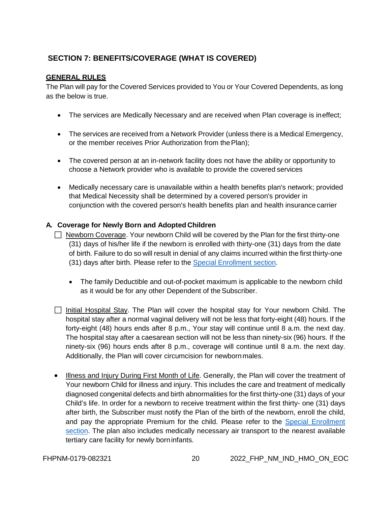# **SECTION 7: BENEFITS/COVERAGE (WHAT IS COVERED)**

#### **GENERAL RULES**

The Plan will pay for the Covered Services provided to You or Your Covered Dependents, as long as the below is true.

- The services are Medically Necessary and are received when Plan coverage is ineffect;
- The services are received from a Network Provider (unless there is a Medical Emergency, or the member receives Prior Authorization from the Plan);
- The covered person at an in-network facility does not have the ability or opportunity to choose a Network provider who is available to provide the covered services
- Medically necessary care is unavailable within a health benefits plan's network; provided that Medical Necessity shall be determined by a covered person's provider in conjunction with the covered person's health benefits plan and health insurance carrier

# **A. Coverage for Newly Born and Adopted Children**

- $\Box$  Newborn Coverage. Your newborn Child will be covered by the Plan for the first thirty-one (31) days of his/her life if the newborn is enrolled with thirty-one (31) days from the date of birth. Failure to do so will result in denial of any claims incurred within the first thirty-one (31) days after birth. Please refer to the [Special Enrollment section.](#page-9-1)
	- The family Deductible and out-of-pocket maximum is applicable to the newborn child as it would be for any other Dependent of the Subscriber.
- $\Box$  Initial Hospital Stay. The Plan will cover the hospital stay for Your newborn Child. The hospital stay after a normal vaginal delivery will not be less that forty-eight (48) hours. If the forty-eight (48) hours ends after 8 p.m., Your stay will continue until 8 a.m. the next day. The hospital stay after a caesarean section will not be less than ninety-six (96) hours. If the ninety-six (96) hours ends after 8 p.m., coverage will continue until 8 a.m. the next day. Additionally, the Plan will cover circumcision for newbornmales.
- Illness and Injury During First Month of Life. Generally, the Plan will cover the treatment of Your newborn Child for illness and injury. This includes the care and treatment of medically diagnosed congenital defects and birth abnormalities for the first thirty-one (31) days of your Child's life. In order for a newborn to receive treatment within the first thirty- one (31) days after birth, the Subscriber must notify the Plan of the birth of the newborn, enroll the child, and pay the appropriate Premium for the child. Please refer to the [Special](#page-9-1) [Enrollment](#page-9-1)  [section.](#page-9-1) The plan also includes medically necessary air transport to the nearest available tertiary care facility for newly borninfants.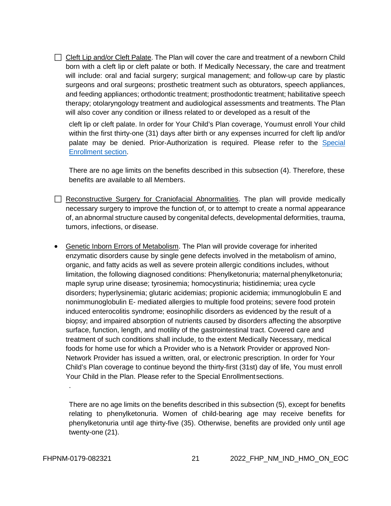$\Box$  Cleft Lip and/or Cleft Palate. The Plan will cover the care and treatment of a newborn Child born with a cleft lip or cleft palate or both. If Medically Necessary, the care and treatment will include: oral and facial surgery; surgical management; and follow-up care by plastic surgeons and oral surgeons; prosthetic treatment such as obturators, speech appliances, and feeding appliances; orthodontic treatment; prosthodontic treatment; habilitative speech therapy; otolaryngology treatment and audiological assessments and treatments. The Plan will also cover any condition or illness related to or developed as a result of the

cleft lip or cleft palate. In order for Your Child's Plan coverage, Youmust enroll Your child within the first thirty-one (31) days after birth or any expenses incurred for cleft lip and/or palate may be denied. Prior-Authorization is required. Please refer to the [Special](#page-9-1) [Enrollment](#page-9-1) section.

There are no age limits on the benefits described in this subsection (4). Therefore, these benefits are available to all Members.

- Reconstructive Surgery for Craniofacial Abnormalities. The plan will provide medically necessary surgery to improve the function of, or to attempt to create a normal appearance of, an abnormal structure caused by congenital defects, developmental deformities, trauma, tumors, infections, or disease.
- Genetic Inborn Errors of Metabolism. The Plan will provide coverage for inherited enzymatic disorders cause by single gene defects involved in the metabolism of amino, organic, and fatty acids as well as severe protein allergic conditions includes, without limitation, the following diagnosed conditions: Phenylketonuria; maternal phenylketonuria; maple syrup urine disease; tyrosinemia; homocystinuria; histidinemia; urea cycle disorders; hyperlysinemia; glutaric acidemias; propionic acidemia; immunoglobulin E and nonimmunoglobulin E- mediated allergies to multiple food proteins; severe food protein induced enterocolitis syndrome; eosinophilic disorders as evidenced by the result of a biopsy; and impaired absorption of nutrients caused by disorders affecting the absorptive surface, function, length, and motility of the gastrointestinal tract. Covered care and treatment of such conditions shall include, to the extent Medically Necessary, medical foods for home use for which a Provider who is a Network Provider or approved Non-Network Provider has issued a written, oral, or electronic prescription. In order for Your Child's Plan coverage to continue beyond the thirty-first (31st) day of life, You must enroll Your Child in the Plan. Please refer to the Special Enrollmentsections.

There are no age limits on the benefits described in this subsection (5), except for benefits relating to phenylketonuria. Women of child-bearing age may receive benefits for phenylketonuria until age thirty-five (35). Otherwise, benefits are provided only until age twenty-one (21).

.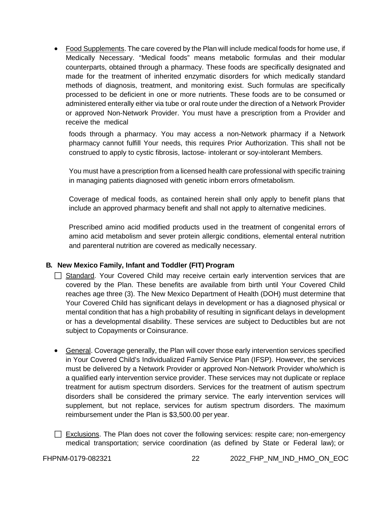• Food Supplements. The care covered by the Plan will include medical foods for home use, if Medically Necessary. "Medical foods" means metabolic formulas and their modular counterparts, obtained through a pharmacy. These foods are specifically designated and made for the treatment of inherited enzymatic disorders for which medically standard methods of diagnosis, treatment, and monitoring exist. Such formulas are specifically processed to be deficient in one or more nutrients. These foods are to be consumed or administered enterally either via tube or oral route under the direction of a Network Provider or approved Non-Network Provider. You must have a prescription from a Provider and receive the medical

foods through a pharmacy. You may access a non-Network pharmacy if a Network pharmacy cannot fulfill Your needs, this requires Prior Authorization. This shall not be construed to apply to cystic fibrosis, lactose- intolerant or soy-intolerant Members.

You must have a prescription from a licensed health care professional with specific training in managing patients diagnosed with genetic inborn errors ofmetabolism.

Coverage of medical foods, as contained herein shall only apply to benefit plans that include an approved pharmacy benefit and shall not apply to alternative medicines.

Prescribed amino acid modified products used in the treatment of congenital errors of amino acid metabolism and sever protein allergic conditions, elemental enteral nutrition and parenteral nutrition are covered as medically necessary.

# **B. New Mexico Family, Infant and Toddler (FIT) Program**

- $\Box$  Standard. Your Covered Child may receive certain early intervention services that are covered by the Plan. These benefits are available from birth until Your Covered Child reaches age three (3). The New Mexico Department of Health (DOH) must determine that Your Covered Child has significant delays in development or has a diagnosed physical or mental condition that has a high probability of resulting in significant delays in development or has a developmental disability. These services are subject to Deductibles but are not subject to Copayments or Coinsurance.
- General. Coverage generally, the Plan will cover those early intervention services specified in Your Covered Child's Individualized Family Service Plan (IFSP). However, the services must be delivered by a Network Provider or approved Non-Network Provider who/which is a qualified early intervention service provider. These services may not duplicate or replace treatment for autism spectrum disorders. Services for the treatment of autism spectrum disorders shall be considered the primary service. The early intervention services will supplement, but not replace, services for autism spectrum disorders. The maximum reimbursement under the Plan is \$3,500.00 per year.
- $\Box$  Exclusions. The Plan does not cover the following services: respite care; non-emergency medical transportation; service coordination (as defined by State or Federal law); or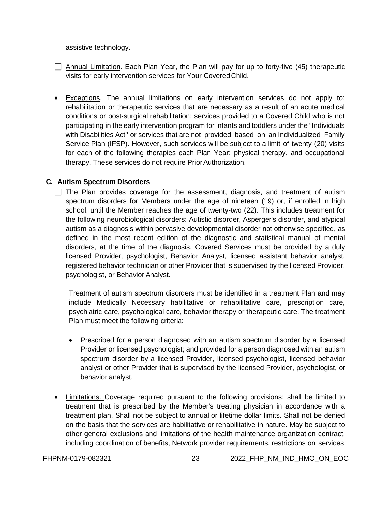assistive technology.

- $\Box$  Annual Limitation. Each Plan Year, the Plan will pay for up to forty-five (45) therapeutic visits for early intervention services for Your CoveredChild.
- Exceptions. The annual limitations on early intervention services do not apply to: rehabilitation or therapeutic services that are necessary as a result of an acute medical conditions or post-surgical rehabilitation; services provided to a Covered Child who is not participating in the early intervention program for infants and toddlers under the "Individuals with Disabilities Act'' or services that are not provided based on an Individualized Family Service Plan (IFSP). However, such services will be subject to a limit of twenty (20) visits for each of the following therapies each Plan Year: physical therapy, and occupational therapy. These services do not require PriorAuthorization.

#### **C. Autism Spectrum Disorders**

 $\Box$  The Plan provides coverage for the assessment, diagnosis, and treatment of autism spectrum disorders for Members under the age of nineteen (19) or, if enrolled in high school, until the Member reaches the age of twenty-two (22). This includes treatment for the following neurobiological disorders: Autistic disorder, Asperger's disorder, and atypical autism as a diagnosis within pervasive developmental disorder not otherwise specified, as defined in the most recent edition of the diagnostic and statistical manual of mental disorders, at the time of the diagnosis. Covered Services must be provided by a duly licensed Provider, psychologist, Behavior Analyst, licensed assistant behavior analyst, registered behavior technician or other Provider that is supervised by the licensed Provider, psychologist, or Behavior Analyst.

Treatment of autism spectrum disorders must be identified in a treatment Plan and may include Medically Necessary habilitative or rehabilitative care, prescription care, psychiatric care, psychological care, behavior therapy or therapeutic care. The treatment Plan must meet the following criteria:

- Prescribed for a person diagnosed with an autism spectrum disorder by a licensed Provider or licensed psychologist; and provided for a person diagnosed with an autism spectrum disorder by a licensed Provider, licensed psychologist, licensed behavior analyst or other Provider that is supervised by the licensed Provider, psychologist, or behavior analyst.
- Limitations. Coverage required pursuant to the following provisions: shall be limited to treatment that is prescribed by the Member's treating physician in accordance with a treatment plan. Shall not be subject to annual or lifetime dollar limits. Shall not be denied on the basis that the services are habilitative or rehabilitative in nature. May be subject to other general exclusions and limitations of the health maintenance organization contract, including coordination of benefits, Network provider requirements, restrictions on services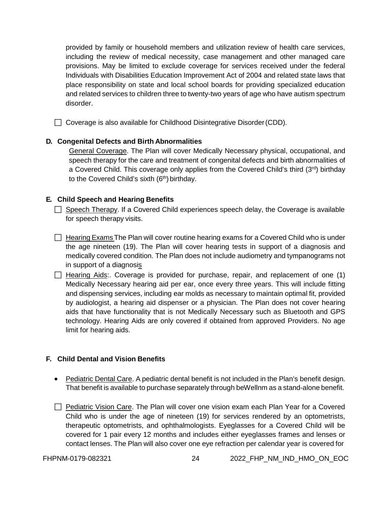provided by family or household members and utilization review of health care services, including the review of medical necessity, case management and other managed care provisions. May be limited to exclude coverage for services received under the federal Individuals with Disabilities Education Improvement Act of 2004 and related state laws that place responsibility on state and local school boards for providing specialized education and related services to children three to twenty-two years of age who have autism spectrum disorder.

□ Coverage is also available for Childhood Disintegrative Disorder (CDD).

#### **D. Congenital Defects and Birth Abnormalities**

General Coverage. The Plan will cover Medically Necessary physical, occupational, and speech therapy for the care and treatment of congenital defects and birth abnormalities of a Covered Child. This coverage only applies from the Covered Child's third  $(3<sup>rd</sup>)$  birthday to the Covered Child's sixth (6<sup>th</sup>) birthday.

#### **E. Child Speech and Hearing Benefits**

 $\Box$  Speech Therapy. If a Covered Child experiences speech delay, the Coverage is available for speech therapy visits.

- $\Box$  Hearing Exams The Plan will cover routine hearing exams for a Covered Child who is under the age nineteen (19). The Plan will cover hearing tests in support of a diagnosis and medically covered condition. The Plan does not include audiometry and tympanograms not in support of a diagnosis
- $\Box$  Hearing Aids:. Coverage is provided for purchase, repair, and replacement of one (1) Medically Necessary hearing aid per ear, once every three years. This will include fitting and dispensing services, including ear molds as necessary to maintain optimal fit, provided by audiologist, a hearing aid dispenser or a physician. The Plan does not cover hearing aids that have functionality that is not Medically Necessary such as Bluetooth and GPS technology. Hearing Aids are only covered if obtained from approved Providers. No age limit for hearing aids.

#### **F. Child Dental and Vision Benefits**

- Pediatric Dental Care. A pediatric dental benefit is not included in the Plan's benefit design. That benefit is available to purchase separately through beWellnm as a stand-alone benefit.
- $\Box$  Pediatric Vision Care. The Plan will cover one vision exam each Plan Year for a Covered Child who is under the age of nineteen (19) for services rendered by an optometrists, therapeutic optometrists, and ophthalmologists. Eyeglasses for a Covered Child will be covered for 1 pair every 12 months and includes either eyeglasses frames and lenses or contact lenses. The Plan will also cover one eye refraction per calendar year is covered for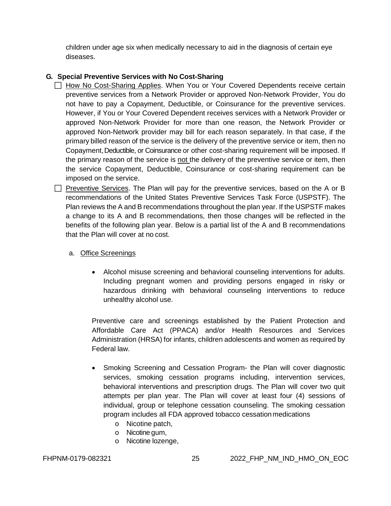children under age six when medically necessary to aid in the diagnosis of certain eye diseases.

#### **G. Special Preventive Services with No Cost-Sharing**

- How No Cost-Sharing Applies. When You or Your Covered Dependents receive certain preventive services from a Network Provider or approved Non-Network Provider, You do not have to pay a Copayment, Deductible, or Coinsurance for the preventive services. However, if You or Your Covered Dependent receives services with a Network Provider or approved Non-Network Provider for more than one reason, the Network Provider or approved Non-Network provider may bill for each reason separately. In that case, if the primary billed reason of the service is the delivery of the preventive service or item, then no Copayment, Deductible, or Coinsurance or other cost-sharing requirement will be imposed. If the primary reason of the service is not the delivery of the preventive service or item, then the service Copayment, Deductible, Coinsurance or cost-sharing requirement can be imposed on the service.
- $\Box$  Preventive Services. The Plan will pay for the preventive services, based on the A or B recommendations of the United States Preventive Services Task Force (USPSTF). The Plan reviews the A and B recommendations throughout the plan year. If the USPSTF makes a change to its A and B recommendations, then those changes will be reflected in the benefits of the following plan year. Below is a partial list of the A and B recommendations that the Plan will cover at no cost.

## a. Office Screenings

• Alcohol misuse screening and behavioral counseling interventions for adults. Including pregnant women and providing persons engaged in risky or hazardous drinking with behavioral counseling interventions to reduce unhealthy alcohol use.

Preventive care and screenings established by the Patient Protection and Affordable Care Act (PPACA) and/or Health Resources and Services Administration (HRSA) for infants, children adolescents and women as required by Federal law.

- Smoking Screening and Cessation Program- the Plan will cover diagnostic services, smoking cessation programs including, intervention services, behavioral interventions and prescription drugs. The Plan will cover two quit attempts per plan year. The Plan will cover at least four (4) sessions of individual, group or telephone cessation counseling. The smoking cessation program includes all FDA approved tobacco cessation medications
	- o Nicotine patch,
	- o Nicotine gum,
	- o Nicotine lozenge,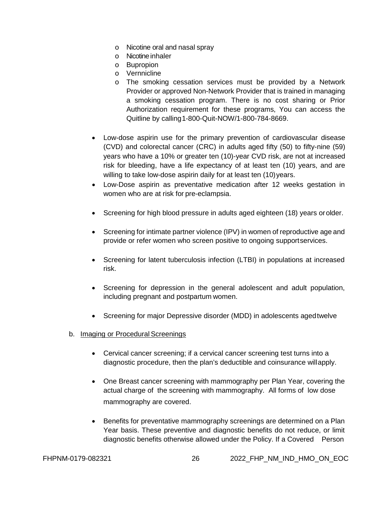- o Nicotine oral and nasal spray
- o Nicotine inhaler
- o Bupropion
- o Vernnicline
- o The smoking cessation services must be provided by a Network Provider or approved Non-Network Provider that is trained in managing a smoking cessation program. There is no cost sharing or Prior Authorization requirement for these programs, You can access the Quitline by calling1-800-Quit-NOW/1-800-784-8669.
- Low-dose aspirin use for the primary prevention of cardiovascular disease (CVD) and colorectal cancer (CRC) in adults aged fifty (50) to fifty-nine (59) years who have a 10% or greater ten (10)-year CVD risk, are not at increased risk for bleeding, have a life expectancy of at least ten (10) years, and are willing to take low-dose aspirin daily for at least ten (10) years.
- Low-Dose aspirin as preventative medication after 12 weeks gestation in women who are at risk for pre-eclampsia.
- Screening for high blood pressure in adults aged eighteen (18) years orolder.
- Screening for intimate partner violence (IPV) in women of reproductive age and provide or refer women who screen positive to ongoing supportservices.
- Screening for latent tuberculosis infection (LTBI) in populations at increased risk.
- Screening for depression in the general adolescent and adult population, including pregnant and postpartum women.
- Screening for major Depressive disorder (MDD) in adolescents agedtwelve
- b. Imaging or Procedural Screenings
	- Cervical cancer screening; if a cervical cancer screening test turns into a diagnostic procedure, then the plan's deductible and coinsurance willapply.
	- One Breast cancer screening with mammography per Plan Year, covering the actual charge of the screening with mammography. All forms of low dose mammography are covered.
	- Benefits for preventative mammography screenings are determined on a Plan Year basis. These preventive and diagnostic benefits do not reduce, or limit diagnostic benefits otherwise allowed under the Policy. If a Covered Person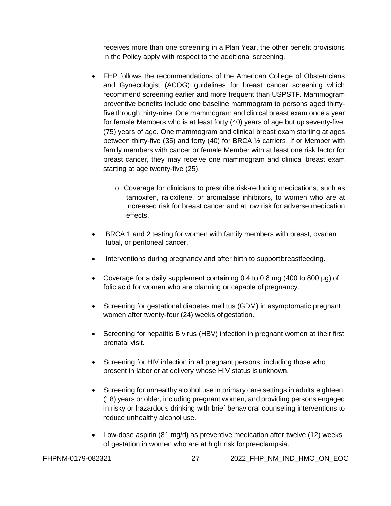receives more than one screening in a Plan Year, the other benefit provisions in the Policy apply with respect to the additional screening.

- FHP follows the recommendations of the American College of Obstetricians and Gynecologist (ACOG) guidelines for breast cancer screening which recommend screening earlier and more frequent than USPSTF. Mammogram preventive benefits include one baseline mammogram to persons aged thirtyfive through thirty-nine. One mammogram and clinical breast exam once a year for female Members who is at least forty (40) years of age but up seventy-five (75) years of age. One mammogram and clinical breast exam starting at ages between thirty-five (35) and forty (40) for BRCA ½ carriers. If or Member with family members with cancer or female Member with at least one risk factor for breast cancer, they may receive one mammogram and clinical breast exam starting at age twenty-five (25).
	- o Coverage for clinicians to prescribe risk-reducing medications, such as tamoxifen, raloxifene, or aromatase inhibitors, to women who are at increased risk for breast cancer and at low risk for adverse medication effects.
- BRCA 1 and 2 testing for women with family members with breast, ovarian tubal, or peritoneal cancer.
- Interventions during pregnancy and after birth to supportbreastfeeding.
- Coverage for a daily supplement containing 0.4 to 0.8 mg (400 to 800 μg) of folic acid for women who are planning or capable of pregnancy.
- Screening for gestational diabetes mellitus (GDM) in asymptomatic pregnant women after twenty-four (24) weeks of gestation.
- Screening for hepatitis B virus (HBV) infection in pregnant women at their first prenatal visit.
- Screening for HIV infection in all pregnant persons, including those who present in labor or at delivery whose HIV status is unknown.
- Screening for unhealthy alcohol use in primary care settings in adults eighteen (18) years or older, including pregnant women, and providing persons engaged in risky or hazardous drinking with brief behavioral counseling interventions to reduce unhealthy alcohol use.
- Low-dose aspirin (81 mg/d) as preventive medication after twelve (12) weeks of gestation in women who are at high risk for preeclampsia.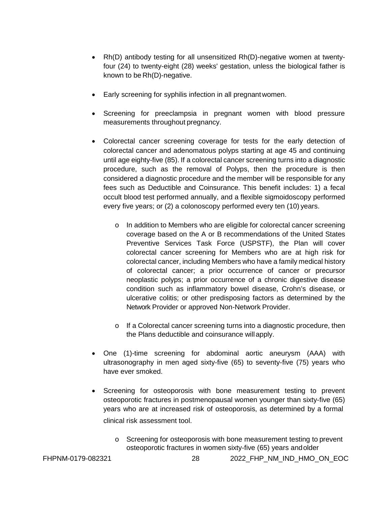- Rh(D) antibody testing for all unsensitized Rh(D)-negative women at twentyfour (24) to twenty-eight (28) weeks' gestation, unless the biological father is known to be Rh(D)-negative.
- Early screening for syphilis infection in all pregnant women.
- Screening for preeclampsia in pregnant women with blood pressure measurements throughout pregnancy.
- Colorectal cancer screening coverage for tests for the early detection of colorectal cancer and adenomatous polyps starting at age 45 and continuing until age eighty-five (85). If a colorectal cancer screening turns into a diagnostic procedure, such as the removal of Polyps, then the procedure is then considered a diagnostic procedure and the member will be responsible for any fees such as Deductible and Coinsurance. This benefit includes: 1) a fecal occult blood test performed annually, and a flexible sigmoidoscopy performed every five years; or (2) a colonoscopy performed every ten (10) years.
	- o In addition to Members who are eligible for colorectal cancer screening coverage based on the A or B recommendations of the United States Preventive Services Task Force (USPSTF), the Plan will cover colorectal cancer screening for Members who are at high risk for colorectal cancer, including Members who have a family medical history of colorectal cancer; a prior occurrence of cancer or precursor neoplastic polyps; a prior occurrence of a chronic digestive disease condition such as inflammatory bowel disease, Crohn's disease, or ulcerative colitis; or other predisposing factors as determined by the Network Provider or approved Non-Network Provider.
	- $\circ$  If a Colorectal cancer screening turns into a diagnostic procedure, then the Plans deductible and coinsurance willapply.
- One (1)-time screening for abdominal aortic aneurysm (AAA) with ultrasonography in men aged sixty-five (65) to seventy-five (75) years who have ever smoked.
- Screening for osteoporosis with bone measurement testing to prevent osteoporotic fractures in postmenopausal women younger than sixty-five (65) years who are at increased risk of osteoporosis, as determined by a formal clinical risk assessment tool.
	- o Screening for osteoporosis with bone measurement testing to prevent osteoporotic fractures in women sixty-five (65) years andolder

FHPNM-0179-082321 28 2022\_FHP\_NM\_IND\_HMO\_ON\_EOC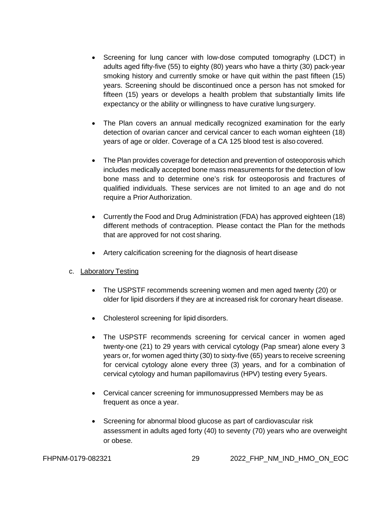- Screening for lung cancer with low-dose computed tomography (LDCT) in adults aged fifty-five (55) to eighty (80) years who have a thirty (30) pack-year smoking history and currently smoke or have quit within the past fifteen (15) years. Screening should be discontinued once a person has not smoked for fifteen (15) years or develops a health problem that substantially limits life expectancy or the ability or willingness to have curative lungsurgery.
- The Plan covers an annual medically recognized examination for the early detection of ovarian cancer and cervical cancer to each woman eighteen (18) years of age or older. Coverage of a CA 125 blood test is also covered.
- The Plan provides coverage for detection and prevention of osteoporosis which includes medically accepted bone mass measurements for the detection of low bone mass and to determine one's risk for osteoporosis and fractures of qualified individuals. These services are not limited to an age and do not require a Prior Authorization.
- Currently the Food and Drug Administration (FDA) has approved eighteen (18) different methods of contraception. Please contact the Plan for the methods that are approved for not cost sharing.
- Artery calcification screening for the diagnosis of heart disease

# c. Laboratory Testing

- The USPSTF recommends screening women and men aged twenty (20) or older for lipid disorders if they are at increased risk for coronary heart disease.
- Cholesterol screening for lipid disorders.
- The USPSTF recommends screening for cervical cancer in women aged twenty-one (21) to 29 years with cervical cytology (Pap smear) alone every 3 years or, for women aged thirty (30) to sixty-five (65) years to receive screening for cervical cytology alone every three (3) years, and for a combination of cervical cytology and human papillomavirus (HPV) testing every 5years.
- Cervical cancer screening for immunosuppressed Members may be as frequent as once a year.
- Screening for abnormal blood glucose as part of cardiovascular risk assessment in adults aged forty (40) to seventy (70) years who are overweight or obese.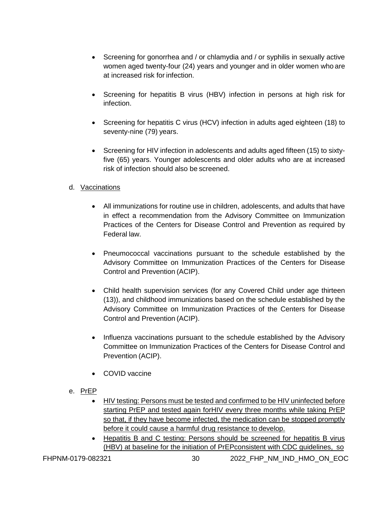- Screening for gonorrhea and / or chlamydia and / or syphilis in sexually active women aged twenty-four (24) years and younger and in older women who are at increased risk for infection.
- Screening for hepatitis B virus (HBV) infection in persons at high risk for infection.
- Screening for hepatitis C virus (HCV) infection in adults aged eighteen (18) to seventy-nine (79) years.
- Screening for HIV infection in adolescents and adults aged fifteen (15) to sixtyfive (65) years. Younger adolescents and older adults who are at increased risk of infection should also be screened.

# d. Vaccinations

- All immunizations for routine use in children, adolescents, and adults that have in effect a recommendation from the Advisory Committee on Immunization Practices of the Centers for Disease Control and Prevention as required by Federal law.
- Pneumococcal vaccinations pursuant to the schedule established by the Advisory Committee on Immunization Practices of the Centers for Disease Control and Prevention (ACIP).
- Child health supervision services (for any Covered Child under age thirteen (13)), and childhood immunizations based on the schedule established by the Advisory Committee on Immunization Practices of the Centers for Disease Control and Prevention (ACIP).
- Influenza vaccinations pursuant to the schedule established by the Advisory Committee on Immunization Practices of the Centers for Disease Control and Prevention (ACIP).
- COVID vaccine
- e. PrEP
	- HIV testing: Persons must be tested and confirmed to be HIV uninfected before starting PrEP and tested again forHIV every three months while taking PrEP so that, if they have become infected, the medication can be stopped promptly before it could cause a harmful drug resistance to develop.
	- Hepatitis B and C testing: Persons should be screened for hepatitis B virus (HBV) at baseline for the initiation of PrEPconsistent with CDC guidelines, so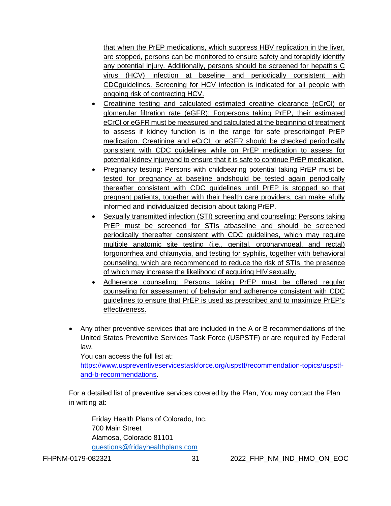that when the PrEP medications, which suppress HBV replication in the liver, are stopped, persons can be monitored to ensure safety and torapidly identify any potential injury. Additionally, persons should be screened for hepatitis C virus (HCV) infection at baseline and periodically consistent with CDCguidelines. Screening for HCV infection is indicated for all people with ongoing risk of contracting HCV.

- Creatinine testing and calculated estimated creatine clearance (eCrCl) or glomerular filtration rate (eGFR): Forpersons taking PrEP, their estimated eCrCl or eGFR must be measured and calculated at the beginning of treatment to assess if kidney function is in the range for safe prescribingof PrEP medication. Creatinine and eCrCL or eGFR should be checked periodically consistent with CDC guidelines while on PrEP medication to assess for potential kidney injuryand to ensure that it is safe to continue PrEP medication.
- Pregnancy testing: Persons with childbearing potential taking PrEP must be tested for pregnancy at baseline andshould be tested again periodically thereafter consistent with CDC guidelines until PrEP is stopped so that pregnant patients, together with their health care providers, can make afully informed and individualized decision about taking PrEP.
- Sexually transmitted infection (STI) screening and counseling: Persons taking PrEP must be screened for STIs atbaseline and should be screened periodically thereafter consistent with CDC guidelines, which may require multiple anatomic site testing (i.e., genital, oropharyngeal, and rectal) forgonorrhea and chlamydia, and testing for syphilis, together with behavioral counseling, which are recommended to reduce the risk of STIs, the presence of which may increase the likelihood of acquiring HIV sexually.
- Adherence counseling: Persons taking PrEP must be offered regular counseling for assessment of behavior and adherence consistent with CDC guidelines to ensure that PrEP is used as prescribed and to maximize PrEP's effectiveness.
- Any other preventive services that are included in the A or B recommendations of the United States Preventive Services Task Force (USPSTF) or are required by Federal law.

You can access the full list at:

[https://www.uspreventiveservicestaskforce.org/uspstf/recommendation-topics/uspstf](https://www.uspreventiveservicestaskforce.org/uspstf/recommendation-topics/uspstf-and-b-recommendations)[and-b-recommendations.](https://www.uspreventiveservicestaskforce.org/uspstf/recommendation-topics/uspstf-and-b-recommendations)

For a detailed list of preventive services covered by the Plan, You may contact the Plan in writing at:

Friday Health Plans of Colorado, Inc. 700 Main Street Alamosa, Colorado 81101 [questions@fridayhealthplans.com](mailto:questions@fridayhealthplans.com)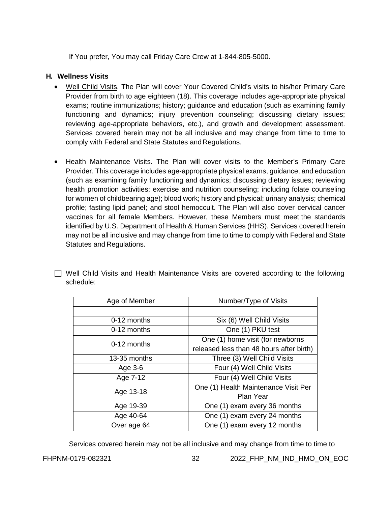If You prefer, You may call Friday Care Crew at 1-844-805-5000.

# **H. Wellness Visits**

- Well Child Visits. The Plan will cover Your Covered Child's visits to his/her Primary Care Provider from birth to age eighteen (18). This coverage includes age-appropriate physical exams; routine immunizations; history; guidance and education (such as examining family functioning and dynamics; injury prevention counseling; discussing dietary issues; reviewing age-appropriate behaviors, etc.), and growth and development assessment. Services covered herein may not be all inclusive and may change from time to time to comply with Federal and State Statutes and Regulations.
- Health Maintenance Visits. The Plan will cover visits to the Member's Primary Care Provider. This coverage includes age-appropriate physical exams, guidance, and education (such as examining family functioning and dynamics; discussing dietary issues; reviewing health promotion activities; exercise and nutrition counseling; including folate counseling for women of childbearing age); blood work; history and physical; urinary analysis; chemical profile; fasting lipid panel; and stool hemoccult. The Plan will also cover cervical cancer vaccines for all female Members. However, these Members must meet the standards identified by U.S. Department of Health & Human Services (HHS). Services covered herein may not be all inclusive and may change from time to time to comply with Federal and State Statutes and Regulations.

|           |  | □ Well Child Visits and Health Maintenance Visits are covered according to the following |  |  |  |
|-----------|--|------------------------------------------------------------------------------------------|--|--|--|
| schedule: |  |                                                                                          |  |  |  |

| Age of Member | Number/Type of Visits                    |  |  |  |  |
|---------------|------------------------------------------|--|--|--|--|
|               |                                          |  |  |  |  |
| 0-12 months   | Six (6) Well Child Visits                |  |  |  |  |
| 0-12 months   | One (1) PKU test                         |  |  |  |  |
| $0-12$ months | One (1) home visit (for newborns         |  |  |  |  |
|               | released less than 48 hours after birth) |  |  |  |  |
| 13-35 months  | Three (3) Well Child Visits              |  |  |  |  |
| Age 3-6       | Four (4) Well Child Visits               |  |  |  |  |
| Age 7-12      | Four (4) Well Child Visits               |  |  |  |  |
| Age 13-18     | One (1) Health Maintenance Visit Per     |  |  |  |  |
|               | <b>Plan Year</b>                         |  |  |  |  |
| Age 19-39     | One (1) exam every 36 months             |  |  |  |  |
| Age 40-64     | One (1) exam every 24 months             |  |  |  |  |
| Over age 64   | One (1) exam every 12 months             |  |  |  |  |

Services covered herein may not be all inclusive and may change from time to time to

FHPNM-0179-082321 32 2022\_FHP\_NM\_IND\_HMO\_ON\_EOC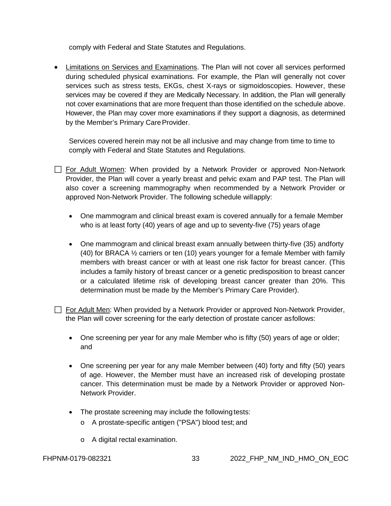comply with Federal and State Statutes and Regulations.

• Limitations on Services and Examinations. The Plan will not cover all services performed during scheduled physical examinations. For example, the Plan will generally not cover services such as stress tests, EKGs, chest X-rays or sigmoidoscopies. However, these services may be covered if they are Medically Necessary. In addition, the Plan will generally not cover examinations that are more frequent than those identified on the schedule above. However, the Plan may cover more examinations if they support a diagnosis, as determined by the Member's Primary Care Provider.

Services covered herein may not be all inclusive and may change from time to time to comply with Federal and State Statutes and Regulations.

- For Adult Women: When provided by a Network Provider or approved Non-Network Provider, the Plan will cover a yearly breast and pelvic exam and PAP test. The Plan will also cover a screening mammography when recommended by a Network Provider or approved Non-Network Provider. The following schedule willapply:
	- One mammogram and clinical breast exam is covered annually for a female Member who is at least forty (40) years of age and up to seventy-five (75) years ofage
	- One mammogram and clinical breast exam annually between thirty-five (35) andforty (40) for BRACA ½ carriers or ten (10) years younger for a female Member with family members with breast cancer or with at least one risk factor for breast cancer. (This includes a family history of breast cancer or a genetic predisposition to breast cancer or a calculated lifetime risk of developing breast cancer greater than 20%. This determination must be made by the Member's Primary Care Provider).

 $\Box$  For Adult Men: When provided by a Network Provider or approved Non-Network Provider, the Plan will cover screening for the early detection of prostate cancer asfollows:

- One screening per year for any male Member who is fifty (50) years of age or older; and
- One screening per year for any male Member between (40) forty and fifty (50) years of age. However, the Member must have an increased risk of developing prostate cancer. This determination must be made by a Network Provider or approved Non-Network Provider.
- The prostate screening may include the following tests:
	- o A prostate-specific antigen ("PSA") blood test; and
	- o A digital rectal examination.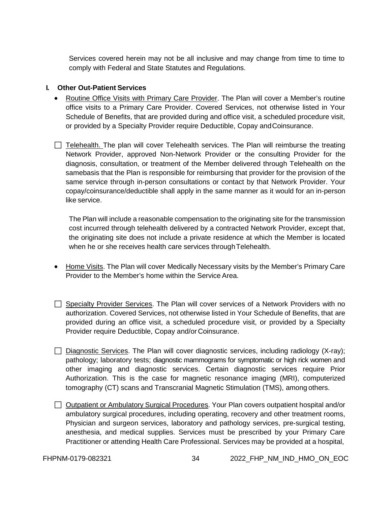Services covered herein may not be all inclusive and may change from time to time to comply with Federal and State Statutes and Regulations.

### **I. Other Out-Patient Services**

- Routine Office Visits with Primary Care Provider. The Plan will cover a Member's routine office visits to a Primary Care Provider. Covered Services, not otherwise listed in Your Schedule of Benefits, that are provided during and office visit, a scheduled procedure visit, or provided by a Specialty Provider require Deductible, Copay andCoinsurance.
- $\Box$  Telehealth. The plan will cover Telehealth services. The Plan will reimburse the treating Network Provider, approved Non-Network Provider or the consulting Provider for the diagnosis, consultation, or treatment of the Member delivered through Telehealth on the samebasis that the Plan is responsible for reimbursing that provider for the provision of the same service through in-person consultations or contact by that Network Provider. Your copay/coinsurance/deductible shall apply in the same manner as it would for an in-person like service.

The Plan will include a reasonable compensation to the originating site for the transmission cost incurred through telehealth delivered by a contracted Network Provider, except that, the originating site does not include a private residence at which the Member is located when he or she receives health care services through Telehealth.

- Home Visits. The Plan will cover Medically Necessary visits by the Member's Primary Care Provider to the Member's home within the Service Area.
- $\Box$  Specialty Provider Services. The Plan will cover services of a Network Providers with no authorization. Covered Services, not otherwise listed in Your Schedule of Benefits, that are provided during an office visit, a scheduled procedure visit, or provided by a Specialty Provider require Deductible, Copay and/or Coinsurance.
- $\Box$  Diagnostic Services. The Plan will cover diagnostic services, including radiology (X-ray); pathology; laboratory tests; diagnostic mammograms for symptomatic or high rick women and other imaging and diagnostic services. Certain diagnostic services require Prior Authorization. This is the case for magnetic resonance imaging (MRI), computerized tomography (CT) scans and Transcranial Magnetic Stimulation (TMS), among others.
- Outpatient or Ambulatory Surgical Procedures. Your Plan covers outpatient hospital and/or ambulatory surgical procedures, including operating, recovery and other treatment rooms, Physician and surgeon services, laboratory and pathology services, pre-surgical testing, anesthesia, and medical supplies. Services must be prescribed by your Primary Care Practitioner or attending Health Care Professional. Services may be provided at a hospital,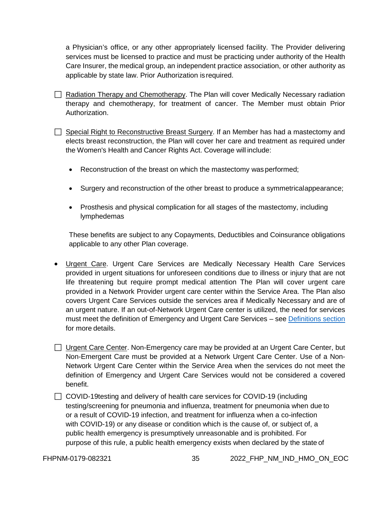a Physician's office, or any other appropriately licensed facility. The Provider delivering services must be licensed to practice and must be practicing under authority of the Health Care Insurer, the medical group, an independent practice association, or other authority as applicable by state law. Prior Authorization isrequired.

 $\Box$  Radiation Therapy and Chemotherapy. The Plan will cover Medically Necessary radiation therapy and chemotherapy, for treatment of cancer. The Member must obtain Prior Authorization.

 $\Box$  Special Right to Reconstructive Breast Surgery. If an Member has had a mastectomy and elects breast reconstruction, the Plan will cover her care and treatment as required under the Women's Health and Cancer Rights Act. Coverage will include:

- Reconstruction of the breast on which the mastectomy was performed;
- Surgery and reconstruction of the other breast to produce a symmetricalappearance;
- Prosthesis and physical complication for all stages of the mastectomy, including lymphedemas

These benefits are subject to any Copayments, Deductibles and Coinsurance obligations applicable to any other Plan coverage.

• Urgent Care. Urgent Care Services are Medically Necessary Health Care Services provided in urgent situations for unforeseen conditions due to illness or injury that are not life threatening but require prompt medical attention The Plan will cover urgent care provided in a Network Provider urgent care center within the Service Area. The Plan also covers Urgent Care Services outside the services area if Medically Necessary and are of an urgent nature. If an out-of-Network Urgent Care center is utilized, the need for services must meet the definition of Emergency and Urgent Care Services – see [Definitions](#page-99-0) section for more details.

□ Urgent Care Center. Non-Emergency care may be provided at an Urgent Care Center, but Non-Emergent Care must be provided at a Network Urgent Care Center. Use of a Non-Network Urgent Care Center within the Service Area when the services do not meet the definition of Emergency and Urgent Care Services would not be considered a covered benefit.

□ COVID-19testing and delivery of health care services for COVID-19 (including testing/screening for pneumonia and influenza, treatment for pneumonia when due to or a result of COVID-19 infection, and treatment for influenza when a co-infection with COVID-19) or any disease or condition which is the cause of, or subject of, a public health emergency is presumptively unreasonable and is prohibited. For purpose of this rule, a public health emergency exists when declared by the state of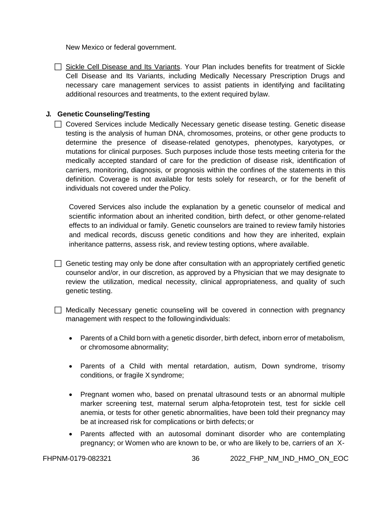New Mexico or federal government.

 Sickle Cell Disease and Its Variants. Your Plan includes benefits for treatment of Sickle Cell Disease and Its Variants, including Medically Necessary Prescription Drugs and necessary care management services to assist patients in identifying and facilitating additional resources and treatments, to the extent required bylaw.

#### **J. Genetic Counseling/Testing**

□ Covered Services include Medically Necessary genetic disease testing. Genetic disease testing is the analysis of human DNA, chromosomes, proteins, or other gene products to determine the presence of disease-related genotypes, phenotypes, karyotypes, or mutations for clinical purposes. Such purposes include those tests meeting criteria for the medically accepted standard of care for the prediction of disease risk, identification of carriers, monitoring, diagnosis, or prognosis within the confines of the statements in this definition. Coverage is not available for tests solely for research, or for the benefit of individuals not covered under the Policy.

Covered Services also include the explanation by a genetic counselor of medical and scientific information about an inherited condition, birth defect, or other genome-related effects to an individual or family. Genetic counselors are trained to review family histories and medical records, discuss genetic conditions and how they are inherited, explain inheritance patterns, assess risk, and review testing options, where available.

 $\Box$  Genetic testing may only be done after consultation with an appropriately certified genetic counselor and/or, in our discretion, as approved by a Physician that we may designate to review the utilization, medical necessity, clinical appropriateness, and quality of such genetic testing.

 $\Box$  Medically Necessary genetic counseling will be covered in connection with pregnancy management with respect to the followingindividuals:

- Parents of a Child born with a genetic disorder, birth defect, inborn error of metabolism, or chromosome abnormality;
- Parents of a Child with mental retardation, autism, Down syndrome, trisomy conditions, or fragile X syndrome;
- Pregnant women who, based on prenatal ultrasound tests or an abnormal multiple marker screening test, maternal serum alpha-fetoprotein test, test for sickle cell anemia, or tests for other genetic abnormalities, have been told their pregnancy may be at increased risk for complications or birth defects; or
- Parents affected with an autosomal dominant disorder who are contemplating pregnancy; or Women who are known to be, or who are likely to be, carriers of an X-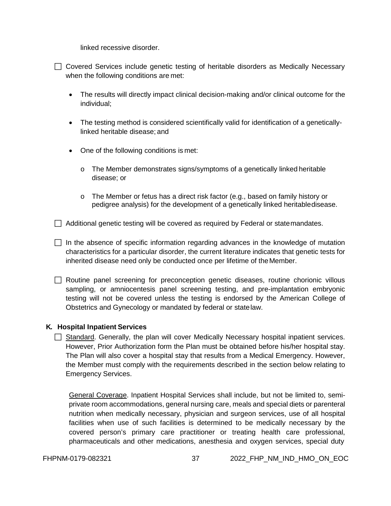linked recessive disorder.

 $\Box$  Covered Services include genetic testing of heritable disorders as Medically Necessary when the following conditions are met:

- The results will directly impact clinical decision-making and/or clinical outcome for the individual;
- The testing method is considered scientifically valid for identification of a geneticallylinked heritable disease; and
- One of the following conditions is met:
	- o The Member demonstrates signs/symptoms of a genetically linked heritable disease; or
	- o The Member or fetus has a direct risk factor (e.g., based on family history or pedigree analysis) for the development of a genetically linked heritabledisease.

 $\Box$  Additional genetic testing will be covered as required by Federal or statemandates.

 $\Box$  In the absence of specific information regarding advances in the knowledge of mutation characteristics for a particular disorder, the current literature indicates that genetic tests for inherited disease need only be conducted once per lifetime of theMember.

 $\Box$  Routine panel screening for preconception genetic diseases, routine chorionic villous sampling, or amniocentesis panel screening testing, and pre-implantation embryonic testing will not be covered unless the testing is endorsed by the American College of Obstetrics and Gynecology or mandated by federal or statelaw.

#### **K. Hospital Inpatient Services**

 $\Box$  Standard. Generally, the plan will cover Medically Necessary hospital inpatient services. However, Prior Authorization form the Plan must be obtained before his/her hospital stay. The Plan will also cover a hospital stay that results from a Medical Emergency. However, the Member must comply with the requirements described in the section below relating to Emergency Services.

General Coverage. Inpatient Hospital Services shall include, but not be limited to, semiprivate room accommodations, general nursing care, meals and special diets or parenteral nutrition when medically necessary, physician and surgeon services, use of all hospital facilities when use of such facilities is determined to be medically necessary by the covered person's primary care practitioner or treating health care professional, pharmaceuticals and other medications, anesthesia and oxygen services, special duty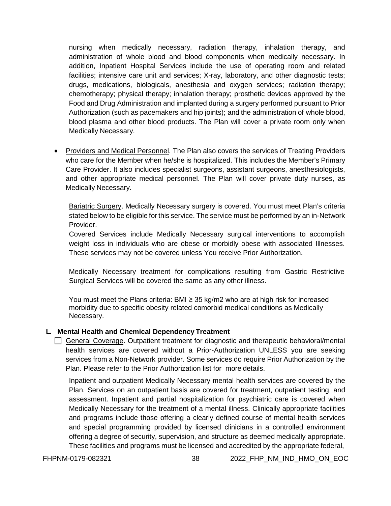nursing when medically necessary, radiation therapy, inhalation therapy, and administration of whole blood and blood components when medically necessary. In addition, Inpatient Hospital Services include the use of operating room and related facilities; intensive care unit and services; X-ray, laboratory, and other diagnostic tests; drugs, medications, biologicals, anesthesia and oxygen services; radiation therapy; chemotherapy; physical therapy; inhalation therapy; prosthetic devices approved by the Food and Drug Administration and implanted during a surgery performed pursuant to Prior Authorization (such as pacemakers and hip joints); and the administration of whole blood, blood plasma and other blood products. The Plan will cover a private room only when Medically Necessary.

• Providers and Medical Personnel. The Plan also covers the services of Treating Providers who care for the Member when he/she is hospitalized. This includes the Member's Primary Care Provider. It also includes specialist surgeons, assistant surgeons, anesthesiologists, and other appropriate medical personnel. The Plan will cover private duty nurses, as Medically Necessary.

Bariatric Surgery. Medically Necessary surgery is covered. You must meet Plan's criteria stated below to be eligible for this service. The service must be performed by an in-Network Provider.

Covered Services include Medically Necessary surgical interventions to accomplish weight loss in individuals who are obese or morbidly obese with associated Illnesses. These services may not be covered unless You receive Prior Authorization.

Medically Necessary treatment for complications resulting from Gastric Restrictive Surgical Services will be covered the same as any other illness.

You must meet the Plans criteria: BMI ≥ 35 kg/m2 who are at high risk for increased morbidity due to specific obesity related comorbid medical conditions as Medically Necessary.

## **L. Mental Health and Chemical Dependency Treatment**

General Coverage. Outpatient treatment for diagnostic and therapeutic behavioral/mental health services are covered without a Prior-Authorization UNLESS you are seeking services from a Non-Network provider. Some services do require Prior Authorization by the Plan. Please refer to the Prior Authorization list for more details.

Inpatient and outpatient Medically Necessary mental health services are covered by the Plan. Services on an outpatient basis are covered for treatment, outpatient testing, and assessment. Inpatient and partial hospitalization for psychiatric care is covered when Medically Necessary for the treatment of a mental illness. Clinically appropriate facilities and programs include those offering a clearly defined course of mental health services and special programming provided by licensed clinicians in a controlled environment offering a degree of security, supervision, and structure as deemed medically appropriate. These facilities and programs must be licensed and accredited by the appropriate federal,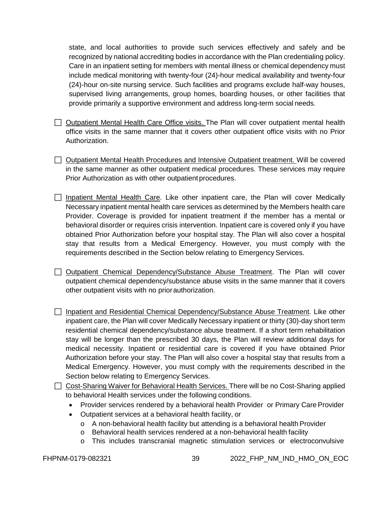state, and local authorities to provide such services effectively and safely and be recognized by national accrediting bodies in accordance with the Plan credentialing policy. Care in an inpatient setting for members with mental illness or chemical dependency must include medical monitoring with twenty-four (24)-hour medical availability and twenty-four (24)-hour on-site nursing service. Such facilities and programs exclude half-way houses, supervised living arrangements, group homes, boarding houses, or other facilities that provide primarily a supportive environment and address long-term social needs.

- $\Box$  Outpatient Mental Health Care Office visits. The Plan will cover outpatient mental health office visits in the same manner that it covers other outpatient office visits with no Prior Authorization.
- $\Box$  Outpatient Mental Health Procedures and Intensive Outpatient treatment. Will be covered in the same manner as other outpatient medical procedures. These services may require Prior Authorization as with other outpatient procedures.
- $\Box$  Inpatient Mental Health Care. Like other inpatient care, the Plan will cover Medically Necessary inpatient mental health care services as determined by the Members health care Provider. Coverage is provided for inpatient treatment if the member has a mental or behavioral disorder or requires crisis intervention. Inpatient care is covered only if you have obtained Prior Authorization before your hospital stay. The Plan will also cover a hospital stay that results from a Medical Emergency. However, you must comply with the requirements described in the Section below relating to Emergency Services.
- Outpatient Chemical Dependency/Substance Abuse Treatment. The Plan will cover outpatient chemical dependency/substance abuse visits in the same manner that it covers other outpatient visits with no priorauthorization.
- $\Box$  Inpatient and Residential Chemical Dependency/Substance Abuse Treatment. Like other inpatient care, the Plan will cover Medically Necessary inpatient or thirty (30)-day short term residential chemical dependency/substance abuse treatment. If a short term rehabilitation stay will be longer than the prescribed 30 days, the Plan will review additional days for medical necessity. Inpatient or residential care is covered if you have obtained Prior Authorization before your stay. The Plan will also cover a hospital stay that results from a Medical Emergency. However, you must comply with the requirements described in the Section below relating to Emergency Services.
- Cost-Sharing Waiver for Behavioral Health Services. There will be no Cost-Sharing applied to behavioral Health services under the following conditions.
	- Provider services rendered by a behavioral health Provider or Primary Care Provider
	- Outpatient services at a behavioral health facility, or
		- $\circ$  A non-behavioral health facility but attending is a behavioral health Provider
		- o Behavioral health services rendered at a non-behavioral health facility
		- o This includes transcranial magnetic stimulation services or electroconvulsive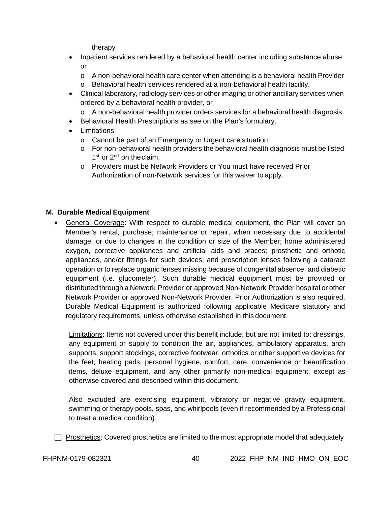therapy

- Inpatient services rendered by a behavioral health center including substance abuse or
	- o A non-behavioral health care center when attending is a behavioral health Provider<br>
	o Behavioral health services rendered at a non-behavioral health facility.
	- Behavioral health services rendered at a non-behavioral health facility.
- Clinical laboratory, radiology services or other imaging or other ancillary services when ordered by a behavioral health provider, or
	- o A non-behavioral health provider orders services for a behavioral health diagnosis.
- Behavioral Health Prescriptions as see on the Plan's formulary.
- Limitations:
	- o Cannot be part of an Emergency or Urgent care situation.
	- o For non-behavioral health providers the behavioral health diagnosis must be listed 1<sup>st</sup> or 2<sup>nd</sup> on the claim.
	- o Providers must be Network Providers or You must have received Prior Authorization of non-Network services for this waiver to apply.

## **M. Durable Medical Equipment**

• General Coverage: With respect to durable medical equipment, the Plan will cover an Member's rental; purchase; maintenance or repair, when necessary due to accidental damage, or due to changes in the condition or size of the Member; home administered oxygen, corrective appliances and artificial aids and braces; prosthetic and orthotic appliances, and/or fittings for such devices; and prescription lenses following a cataract operation or to replace organic lenses missing because of congenital absence; and diabetic equipment (i.e. glucometer). Such durable medical equipment must be provided or distributed through a Network Provider or approved Non-Network Provider hospital or other Network Provider or approved Non-Network Provider. Prior Authorization is also required. Durable Medical Equipment is authorized following applicable Medicare statutory and regulatory requirements, unless otherwise established in this document.

Limitations: Items not covered under this benefit include, but are not limited to: dressings, any equipment or supply to condition the air, appliances, ambulatory apparatus, arch supports, support stockings, corrective footwear, orthotics or other supportive devices for the feet, heating pads, personal hygiene, comfort, care, convenience or beautification items, deluxe equipment, and any other primarily non-medical equipment, except as otherwise covered and described within this document.

Also excluded are exercising equipment, vibratory or negative gravity equipment, swimming or therapy pools, spas, and whirlpools (even if recommended by a Professional to treat a medical condition).

 $\Box$  Prosthetics: Covered prosthetics are limited to the most appropriate model that adequately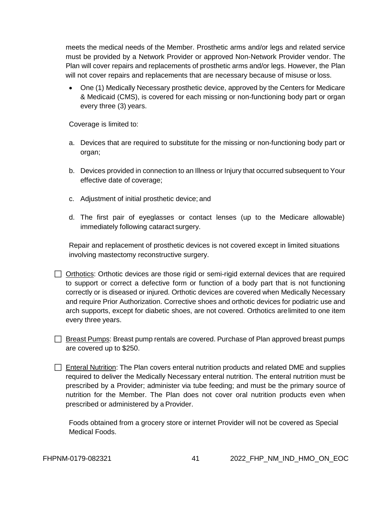meets the medical needs of the Member. Prosthetic arms and/or legs and related service must be provided by a Network Provider or approved Non-Network Provider vendor. The Plan will cover repairs and replacements of prosthetic arms and/or legs. However, the Plan will not cover repairs and replacements that are necessary because of misuse or loss.

• One (1) Medically Necessary prosthetic device, approved by the Centers for Medicare & Medicaid (CMS), is covered for each missing or non-functioning body part or organ every three (3) years.

Coverage is limited to:

- a. Devices that are required to substitute for the missing or non-functioning body part or organ;
- b. Devices provided in connection to an Illness or Injury that occurred subsequent to Your effective date of coverage;
- c. Adjustment of initial prosthetic device; and
- d. The first pair of eyeglasses or contact lenses (up to the Medicare allowable) immediately following cataract surgery.

Repair and replacement of prosthetic devices is not covered except in limited situations involving mastectomy reconstructive surgery.

 $\Box$  Orthotics: Orthotic devices are those rigid or semi-rigid external devices that are required to support or correct a defective form or function of a body part that is not functioning correctly or is diseased or injured. Orthotic devices are covered when Medically Necessary and require Prior Authorization. Corrective shoes and orthotic devices for podiatric use and arch supports, except for diabetic shoes, are not covered. Orthotics arelimited to one item every three years.

- $\Box$  Breast Pumps: Breast pump rentals are covered. Purchase of Plan approved breast pumps are covered up to \$250.
- $\Box$  Enteral Nutrition: The Plan covers enteral nutrition products and related DME and supplies required to deliver the Medically Necessary enteral nutrition. The enteral nutrition must be prescribed by a Provider; administer via tube feeding; and must be the primary source of nutrition for the Member. The Plan does not cover oral nutrition products even when prescribed or administered by a Provider.

Foods obtained from a grocery store or internet Provider will not be covered as Special Medical Foods.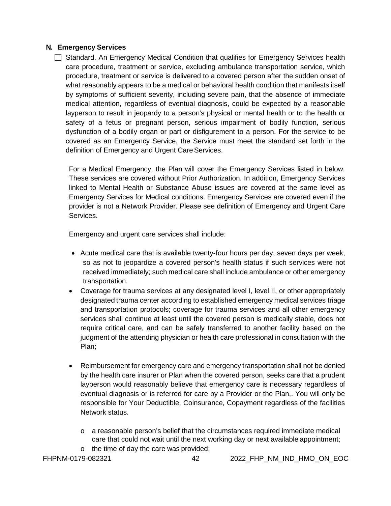### **N. Emergency Services**

 $\Box$  Standard. An Emergency Medical Condition that qualifies for Emergency Services health care procedure, treatment or service, excluding ambulance transportation service, which procedure, treatment or service is delivered to a covered person after the sudden onset of what reasonably appears to be a medical or behavioral health condition that manifests itself by symptoms of sufficient severity, including severe pain, that the absence of immediate medical attention, regardless of eventual diagnosis, could be expected by a reasonable layperson to result in jeopardy to a person's physical or mental health or to the health or safety of a fetus or pregnant person, serious impairment of bodily function, serious dysfunction of a bodily organ or part or disfigurement to a person. For the service to be covered as an Emergency Service, the Service must meet the standard set forth in the definition of Emergency and Urgent Care Services.

For a Medical Emergency, the Plan will cover the Emergency Services listed in below. These services are covered without Prior Authorization. In addition, Emergency Services linked to Mental Health or Substance Abuse issues are covered at the same level as Emergency Services for Medical conditions. Emergency Services are covered even if the provider is not a Network Provider. Please see definition of Emergency and Urgent Care Services.

Emergency and urgent care services shall include:

- Acute medical care that is available twenty-four hours per day, seven days per week, so as not to jeopardize a covered person's health status if such services were not received immediately; such medical care shall include ambulance or other emergency transportation.
- Coverage for trauma services at any designated level I, level II, or other appropriately designated trauma center according to established emergency medical services triage and transportation protocols; coverage for trauma services and all other emergency services shall continue at least until the covered person is medically stable, does not require critical care, and can be safely transferred to another facility based on the judgment of the attending physician or health care professional in consultation with the Plan;
- Reimbursement for emergency care and emergency transportation shall not be denied by the health care insurer or Plan when the covered person, seeks care that a prudent layperson would reasonably believe that emergency care is necessary regardless of eventual diagnosis or is referred for care by a Provider or the Plan,. You will only be responsible for Your Deductible, Coinsurance, Copayment regardless of the facilities Network status.
	- o a reasonable person's belief that the circumstances required immediate medical care that could not wait until the next working day or next available appointment;
- o the time of day the care was provided;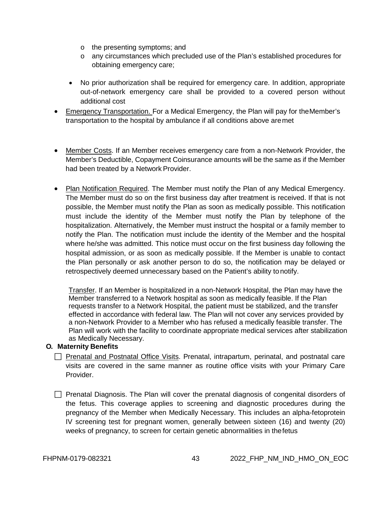- o the presenting symptoms; and
- o any circumstances which precluded use of the Plan's established procedures for obtaining emergency care;
- No prior authorization shall be required for emergency care. In addition, appropriate out-of-network emergency care shall be provided to a covered person without additional cost
- Emergency Transportation. For a Medical Emergency, the Plan will pay for the Member's transportation to the hospital by ambulance if all conditions above aremet
- Member Costs. If an Member receives emergency care from a non-Network Provider, the Member's Deductible, Copayment Coinsurance amounts will be the same as if the Member had been treated by a Network Provider.
- Plan Notification Required. The Member must notify the Plan of any Medical Emergency. The Member must do so on the first business day after treatment is received. If that is not possible, the Member must notify the Plan as soon as medically possible. This notification must include the identity of the Member must notify the Plan by telephone of the hospitalization. Alternatively, the Member must instruct the hospital or a family member to notify the Plan. The notification must include the identity of the Member and the hospital where he/she was admitted. This notice must occur on the first business day following the hospital admission, or as soon as medically possible. If the Member is unable to contact the Plan personally or ask another person to do so, the notification may be delayed or retrospectively deemed unnecessary based on the Patient's ability tonotify.

Transfer. If an Member is hospitalized in a non-Network Hospital, the Plan may have the Member transferred to a Network hospital as soon as medically feasible. If the Plan requests transfer to a Network Hospital, the patient must be stabilized, and the transfer effected in accordance with federal law. The Plan will not cover any services provided by a non-Network Provider to a Member who has refused a medically feasible transfer. The Plan will work with the facility to coordinate appropriate medical services after stabilization as Medically Necessary.

## **O. Maternity Benefits**

 $\Box$  Prenatal and Postnatal Office Visits. Prenatal, intrapartum, perinatal, and postnatal care visits are covered in the same manner as routine office visits with your Primary Care Provider.

 $\Box$  Prenatal Diagnosis. The Plan will cover the prenatal diagnosis of congenital disorders of the fetus. This coverage applies to screening and diagnostic procedures during the pregnancy of the Member when Medically Necessary. This includes an alpha-fetoprotein IV screening test for pregnant women, generally between sixteen (16) and twenty (20) weeks of pregnancy, to screen for certain genetic abnormalities in thefetus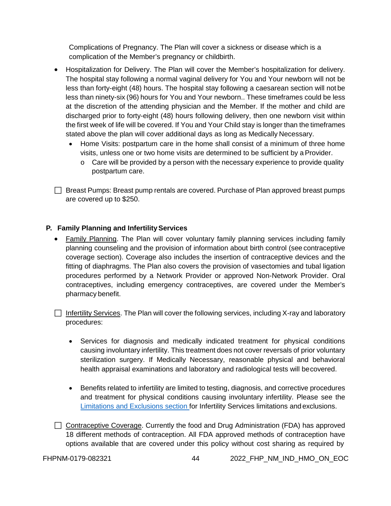Complications of Pregnancy. The Plan will cover a sickness or disease which is a complication of the Member's pregnancy or childbirth.

- Hospitalization for Delivery. The Plan will cover the Member's hospitalization for delivery. The hospital stay following a normal vaginal delivery for You and Your newborn will not be less than forty-eight (48) hours. The hospital stay following a caesarean section will not be less than ninety-six (96) hours for You and Your newborn.. These timeframes could be less at the discretion of the attending physician and the Member. If the mother and child are discharged prior to forty-eight (48) hours following delivery, then one newborn visit within the first week of life will be covered. If You and Your Child stay is longer than the timeframes stated above the plan will cover additional days as long as Medically Necessary.
	- Home Visits: postpartum care in the home shall consist of a minimum of three home visits, unless one or two home visits are determined to be sufficient by aProvider.
		- $\circ$  Care will be provided by a person with the necessary experience to provide quality postpartum care.

 $\Box$  Breast Pumps: Breast pump rentals are covered. Purchase of Plan approved breast pumps are covered up to \$250.

# **P.** Family Planning and Infertility Services

• Family Planning. The Plan will cover voluntary family planning services including family planning counseling and the provision of information about birth control (see contraceptive coverage section). Coverage also includes the insertion of contraceptive devices and the fitting of diaphragms. The Plan also covers the provision of vasectomies and tubal ligation procedures performed by a Network Provider or approved Non-Network Provider. Oral contraceptives, including emergency contraceptives, are covered under the Member's pharmacy benefit.

 $\Box$  Infertility Services. The Plan will cover the following services, including X-ray and laboratory procedures:

- Services for diagnosis and medically indicated treatment for physical conditions causing involuntary infertility. This treatment does not cover reversals of prior voluntary sterilization surgery. If Medically Necessary, reasonable physical and behavioral health appraisal examinations and laboratory and radiological tests will becovered.
- Benefits related to infertility are limited to testing, diagnosis, and corrective procedures and treatment for physical conditions causing involuntary infertility. Please see the [Limitations and Exclusions section f](#page-64-0)or Infertility Services limitations andexclusions.
- $\Box$  Contraceptive Coverage. Currently the food and Drug Administration (FDA) has approved 18 different methods of contraception. All FDA approved methods of contraception have options available that are covered under this policy without cost sharing as required by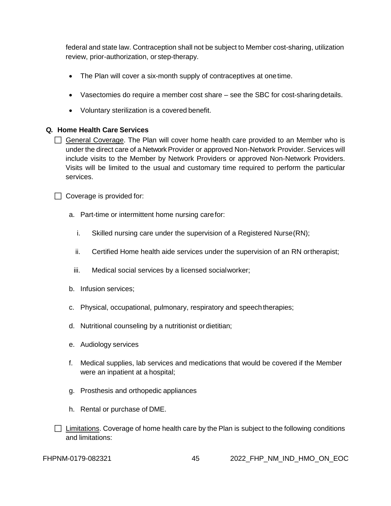federal and state law. Contraception shall not be subject to Member cost-sharing, utilization review, prior-authorization, or step-therapy.

- The Plan will cover a six-month supply of contraceptives at one time.
- Vasectomies do require a member cost share see the SBC for cost-sharingdetails.
- Voluntary sterilization is a covered benefit.

# **Q. Home Health Care Services**

 $\Box$  General Coverage. The Plan will cover home health care provided to an Member who is under the direct care of a Network Provider or approved Non-Network Provider. Services will include visits to the Member by Network Providers or approved Non-Network Providers. Visits will be limited to the usual and customary time required to perform the particular services.

 $\Box$  Coverage is provided for:

- a. Part-time or intermittent home nursing carefor:
	- i. Skilled nursing care under the supervision of a Registered Nurse(RN);
	- ii. Certified Home health aide services under the supervision of an RN ortherapist;
	- iii. Medical social services by a licensed socialworker;
- b. Infusion services;
- c. Physical, occupational, pulmonary, respiratory and speech therapies;
- d. Nutritional counseling by a nutritionist ordietitian;
- e. Audiology services
- f. Medical supplies, lab services and medications that would be covered if the Member were an inpatient at a hospital;
- g. Prosthesis and orthopedic appliances
- h. Rental or purchase of DME.
- $\Box$  Limitations. Coverage of home health care by the Plan is subject to the following conditions and limitations: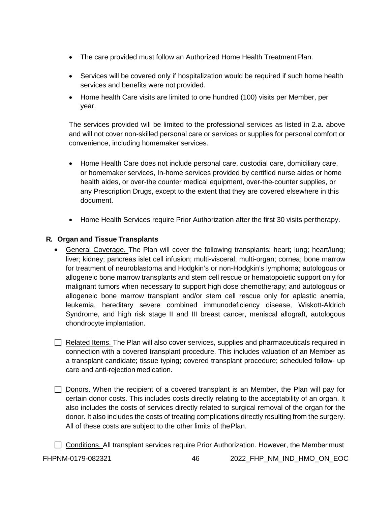- The care provided must follow an Authorized Home Health Treatment Plan.
- Services will be covered only if hospitalization would be required if such home health services and benefits were not provided.
- Home health Care visits are limited to one hundred (100) visits per Member, per year.

The services provided will be limited to the professional services as listed in 2.a. above and will not cover non-skilled personal care or services or supplies for personal comfort or convenience, including homemaker services.

- Home Health Care does not include personal care, custodial care, domiciliary care, or homemaker services, In-home services provided by certified nurse aides or home health aides, or over-the counter medical equipment, over-the-counter supplies, or any Prescription Drugs, except to the extent that they are covered elsewhere in this document.
- Home Health Services require Prior Authorization after the first 30 visits pertherapy.

# **R. Organ and Tissue Transplants**

- General Coverage. The Plan will cover the following transplants: heart; lung; heart/lung; liver; kidney; pancreas islet cell infusion; multi-visceral; multi-organ; cornea; bone marrow for treatment of neuroblastoma and Hodgkin's or non-Hodgkin's lymphoma; autologous or allogeneic bone marrow transplants and stem cell rescue or hematopoietic support only for malignant tumors when necessary to support high dose chemotherapy; and autologous or allogeneic bone marrow transplant and/or stem cell rescue only for aplastic anemia, leukemia, hereditary severe combined immunodeficiency disease, Wiskott-Aldrich Syndrome, and high risk stage II and III breast cancer, meniscal allograft, autologous chondrocyte implantation.
- $\Box$  Related Items. The Plan will also cover services, supplies and pharmaceuticals required in connection with a covered transplant procedure. This includes valuation of an Member as a transplant candidate; tissue typing; covered transplant procedure; scheduled follow- up care and anti-rejection medication.
- $\Box$  Donors. When the recipient of a covered transplant is an Member, the Plan will pay for certain donor costs. This includes costs directly relating to the acceptability of an organ. It also includes the costs of services directly related to surgical removal of the organ for the donor. It also includes the costs of treating complications directly resulting from the surgery. All of these costs are subject to the other limits of thePlan.
- Conditions. All transplant services require Prior Authorization. However, the Member must

FHPNM-0179-082321 46 2022\_FHP\_NM\_IND\_HMO\_ON\_EOC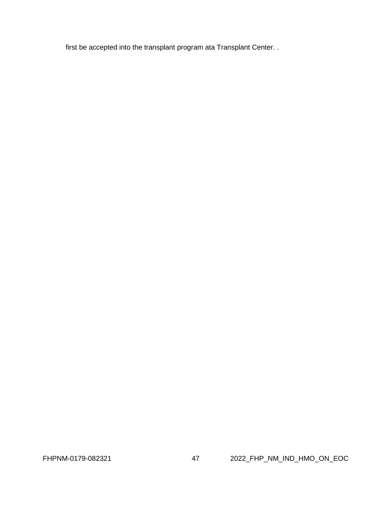first be accepted into the transplant program ata Transplant Center. .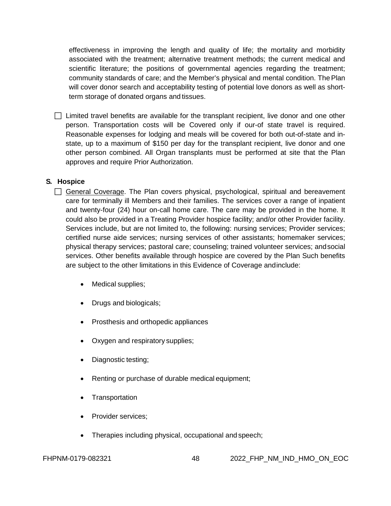effectiveness in improving the length and quality of life; the mortality and morbidity associated with the treatment; alternative treatment methods; the current medical and scientific literature; the positions of governmental agencies regarding the treatment; community standards of care; and the Member's physical and mental condition. ThePlan will cover donor search and acceptability testing of potential love donors as well as shortterm storage of donated organs and tissues.

 $\Box$  Limited travel benefits are available for the transplant recipient, live donor and one other person. Transportation costs will be Covered only if our-of state travel is required. Reasonable expenses for lodging and meals will be covered for both out-of-state and instate, up to a maximum of \$150 per day for the transplant recipient, live donor and one other person combined. All Organ transplants must be performed at site that the Plan approves and require Prior Authorization.

# **S. Hospice**

 $\Box$  General Coverage. The Plan covers physical, psychological, spiritual and bereavement care for terminally ill Members and their families. The services cover a range of inpatient and twenty-four (24) hour on-call home care. The care may be provided in the home. It could also be provided in a Treating Provider hospice facility; and/or other Provider facility. Services include, but are not limited to, the following: nursing services; Provider services; certified nurse aide services; nursing services of other assistants; homemaker services; physical therapy services; pastoral care; counseling; trained volunteer services; andsocial services. Other benefits available through hospice are covered by the Plan Such benefits are subject to the other limitations in this Evidence of Coverage andinclude:

- Medical supplies;
- Drugs and biologicals;
- Prosthesis and orthopedic appliances
- Oxygen and respiratory supplies;
- Diagnostic testing;
- Renting or purchase of durable medical equipment;
- Transportation
- Provider services:
- Therapies including physical, occupational and speech;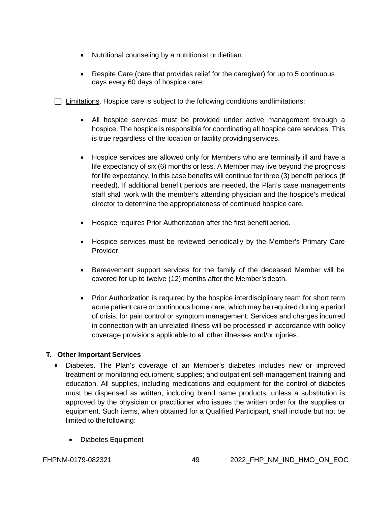- Nutritional counseling by a nutritionist or dietitian.
- Respite Care (care that provides relief for the caregiver) for up to 5 continuous days every 60 days of hospice care.

 $\Box$  Limitations. Hospice care is subject to the following conditions and limitations:

- All hospice services must be provided under active management through a hospice. The hospice is responsible for coordinating all hospice care services. This is true regardless of the location or facility providingservices.
- Hospice services are allowed only for Members who are terminally ill and have a life expectancy of six (6) months or less. A Member may live beyond the prognosis for life expectancy. In this case benefits will continue for three (3) benefit periods (if needed). If additional benefit periods are needed, the Plan's case managements staff shall work with the member's attending physician and the hospice's medical director to determine the appropriateness of continued hospice care.
- Hospice requires Prior Authorization after the first benefitperiod.
- Hospice services must be reviewed periodically by the Member's Primary Care Provider.
- Bereavement support services for the family of the deceased Member will be covered for up to twelve (12) months after the Member's death.
- Prior Authorization is required by the hospice interdisciplinary team for short term acute patient care or continuous home care, which may be required during a period of crisis, for pain control or symptom management. Services and charges incurred in connection with an unrelated illness will be processed in accordance with policy coverage provisions applicable to all other illnesses and/orinjuries.

## **T. Other Important Services**

- Diabetes. The Plan's coverage of an Member's diabetes includes new or improved treatment or monitoring equipment; supplies; and outpatient self-management training and education. All supplies, including medications and equipment for the control of diabetes must be dispensed as written, including brand name products, unless a substitution is approved by the physician or practitioner who issues the written order for the supplies or equipment. Such items, when obtained for a Qualified Participant, shall include but not be limited to the following:
	- Diabetes Equipment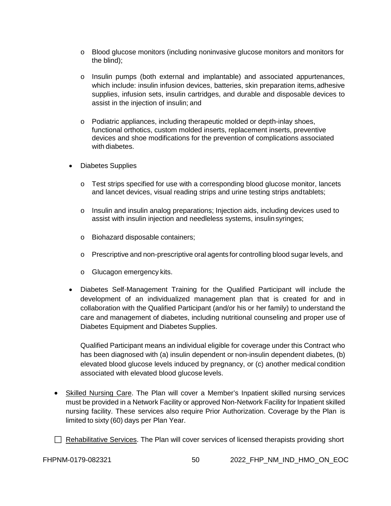- o Blood glucose monitors (including noninvasive glucose monitors and monitors for the blind);
- o Insulin pumps (both external and implantable) and associated appurtenances, which include: insulin infusion devices, batteries, skin preparation items, adhesive supplies, infusion sets, insulin cartridges, and durable and disposable devices to assist in the injection of insulin; and
- o Podiatric appliances, including therapeutic molded or depth-inlay shoes, functional orthotics, custom molded inserts, replacement inserts, preventive devices and shoe modifications for the prevention of complications associated with diabetes.
- Diabetes Supplies
	- $\circ$  Test strips specified for use with a corresponding blood glucose monitor, lancets and lancet devices, visual reading strips and urine testing strips andtablets;
	- o Insulin and insulin analog preparations; Injection aids, including devices used to assist with insulin injection and needleless systems, insulin syringes;
	- o Biohazard disposable containers;
	- o Prescriptive and non-prescriptive oral agents for controlling blood sugar levels, and
	- o Glucagon emergency kits.
- Diabetes Self-Management Training for the Qualified Participant will include the development of an individualized management plan that is created for and in collaboration with the Qualified Participant (and/or his or her family) to understand the care and management of diabetes, including nutritional counseling and proper use of Diabetes Equipment and Diabetes Supplies.

Qualified Participant means an individual eligible for coverage under this Contract who has been diagnosed with (a) insulin dependent or non-insulin dependent diabetes, (b) elevated blood glucose levels induced by pregnancy, or (c) another medical condition associated with elevated blood glucose levels.

- Skilled Nursing Care. The Plan will cover a Member's Inpatient skilled nursing services must be provided in a Network Facility or approved Non-Network Facility for Inpatient skilled nursing facility. These services also require Prior Authorization. Coverage by the Plan is limited to sixty (60) days per Plan Year.
- $\Box$  Rehabilitative Services. The Plan will cover services of licensed therapists providing short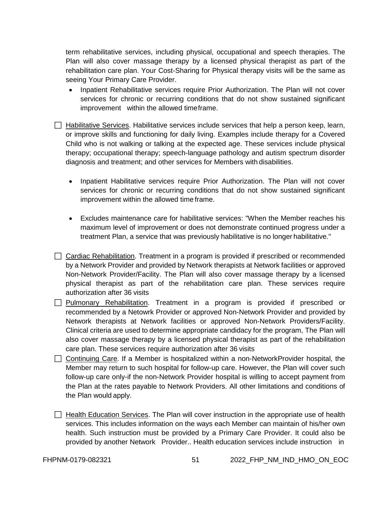term rehabilitative services, including physical, occupational and speech therapies. The Plan will also cover massage therapy by a licensed physical therapist as part of the rehabilitation care plan. Your Cost-Sharing for Physical therapy visits will be the same as seeing Your Primary Care Provider.

- Inpatient Rehabilitative services require Prior Authorization. The Plan will not cover services for chronic or recurring conditions that do not show sustained significant improvement within the allowed timeframe.
- $\Box$  Habilitative Services. Habilitative services include services that help a person keep, learn, or improve skills and functioning for daily living. Examples include therapy for a Covered Child who is not walking or talking at the expected age. These services include physical therapy; occupational therapy; speech-language pathology and autism spectrum disorder diagnosis and treatment; and other services for Members with disabilities.
	- Inpatient Habilitative services require Prior Authorization. The Plan will not cover services for chronic or recurring conditions that do not show sustained significant improvement within the allowed time frame.
	- Excludes maintenance care for habilitative services: "When the Member reaches his maximum level of improvement or does not demonstrate continued progress under a treatment Plan, a service that was previously habilitative is no longer habilitative."
- $\Box$  Cardiac Rehabilitation. Treatment in a program is provided if prescribed or recommended by a Network Provider and provided by Network therapists at Network facilities or approved Non-Network Provider/Facility. The Plan will also cover massage therapy by a licensed physical therapist as part of the rehabilitation care plan. These services require authorization after 36 visits
- $\Box$  Pulmonary Rehabilitation. Treatment in a program is provided if prescribed or recommended by a Netowrk Provider or approved Non-Network Provider and provided by Network therapists at Network facilities or approved Non-Network Providers/Facility. Clinical criteria are used to determine appropriate candidacy for the program, The Plan will also cover massage therapy by a licensed physical therapist as part of the rehabilitation care plan. These services require authorization after 36 visits
- Continuing Care. If a Member is hospitalized within a non-NetworkProvider hospital, the Member may return to such hospital for follow-up care. However, the Plan will cover such follow-up care only-if the non-Network Provider hospital is willing to accept payment from the Plan at the rates payable to Network Providers. All other limitations and conditions of the Plan would apply.
- $\Box$  Health Education Services. The Plan will cover instruction in the appropriate use of health services. This includes information on the ways each Member can maintain of his/her own health. Such instruction must be provided by a Primary Care Provider. It could also be provided by another Network Provider.. Health education services include instruction in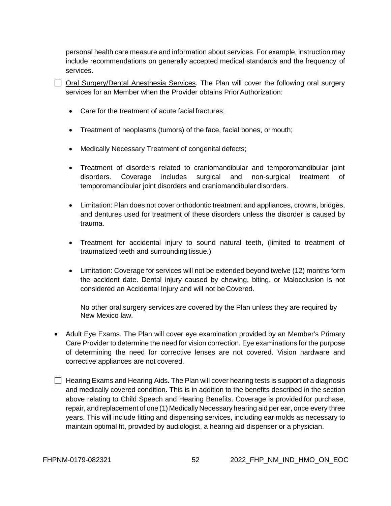personal health care measure and information about services. For example, instruction may include recommendations on generally accepted medical standards and the frequency of services.

| □ Oral Surgery/Dental Anesthesia Services. The Plan will cover the following oral surgery |  |  |  |  |  |  |  |
|-------------------------------------------------------------------------------------------|--|--|--|--|--|--|--|
| services for an Member when the Provider obtains Prior Authorization:                     |  |  |  |  |  |  |  |

- Care for the treatment of acute facial fractures;
- Treatment of neoplasms (tumors) of the face, facial bones, ormouth;
- Medically Necessary Treatment of congenital defects;
- Treatment of disorders related to craniomandibular and temporomandibular joint disorders. Coverage includes surgical and non-surgical treatment of temporomandibular joint disorders and craniomandibular disorders.
- Limitation: Plan does not cover orthodontic treatment and appliances, crowns, bridges, and dentures used for treatment of these disorders unless the disorder is caused by trauma.
- Treatment for accidental injury to sound natural teeth, (limited to treatment of traumatized teeth and surrounding tissue.)
- Limitation: Coverage for services will not be extended beyond twelve (12) months form the accident date. Dental injury caused by chewing, biting, or Malocclusion is not considered an Accidental Injury and will not be Covered.

No other oral surgery services are covered by the Plan unless they are required by New Mexico law.

- Adult Eye Exams. The Plan will cover eye examination provided by an Member's Primary Care Provider to determine the need for vision correction. Eye examinations for the purpose of determining the need for corrective lenses are not covered. Vision hardware and corrective appliances are not covered.
- $\Box$  Hearing Exams and Hearing Aids. The Plan will cover hearing tests is support of a diagnosis and medically covered condition. This is in addition to the benefits described in the section above relating to Child Speech and Hearing Benefits. Coverage is provided for purchase, repair, and replacement of one (1) Medically Necessary hearing aid per ear, once every three years. This will include fitting and dispensing services, including ear molds as necessary to maintain optimal fit, provided by audiologist, a hearing aid dispenser or a physician.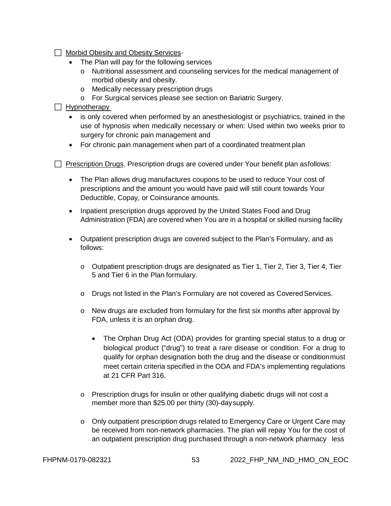- Morbid Obesity and Obesity Services-
	- The Plan will pay for the following services
		- o Nutritional assessment and counseling services for the medical management of morbid obesity and obesity.
		- o Medically necessary prescription drugs
		- o For Surgical services please see section on Bariatric Surgery.
- $\Box$  Hypnotherapy
	- is only covered when performed by an anesthesiologist or psychiatrics, trained in the use of hypnosis when medically necessary or when: Used within two weeks prior to surgery for chronic pain management and
	- For chronic pain management when part of a coordinated treatment plan
- $\Box$  Prescription Drugs. Prescription drugs are covered under Your benefit plan asfollows:
	- The Plan allows drug manufactures coupons to be used to reduce Your cost of prescriptions and the amount you would have paid will still count towards Your Deductible, Copay, or Coinsurance amounts.
	- Inpatient prescription drugs approved by the United States Food and Drug Administration (FDA) are covered when You are in a hospital or skilled nursing facility
	- Outpatient prescription drugs are covered subject to the Plan's Formulary, and as follows:
		- $\circ$  Outpatient prescription drugs are designated as Tier 1, Tier 2, Tier 3, Tier 4, Tier 5 and Tier 6 in the Plan formulary.
		- $\circ$  Drugs not listed in the Plan's Formulary are not covered as Covered Services.
		- o New drugs are excluded from formulary for the first six months after approval by FDA, unless it is an orphan drug.
			- The Orphan Drug Act (ODA) provides for granting special status to a drug or biological product ("drug") to treat a rare disease or condition. For a drug to qualify for orphan designation both the drug and the disease or conditionmust meet certain criteria specified in the ODA and FDA's implementing regulations at 21 CFR Part 316.
		- o Prescription drugs for insulin or other qualifying diabetic drugs will not cost a member more than \$25.00 per thirty (30)-daysupply.
		- o Only outpatient prescription drugs related to Emergency Care or Urgent Care may be received from non-network pharmacies. The plan will repay You for the cost of an outpatient prescription drug purchased through a non-network pharmacy less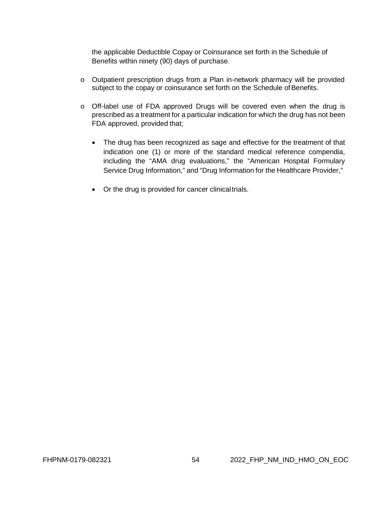the applicable Deductible Copay or Coinsurance set forth in the Schedule of Benefits within ninety (90) days of purchase.

- o Outpatient prescription drugs from a Plan in-network pharmacy will be provided subject to the copay or coinsurance set forth on the Schedule of Benefits.
- o Off-label use of FDA approved Drugs will be covered even when the drug is prescribed as a treatment for a particular indication for which the drug has not been FDA approved, provided that;
	- The drug has been recognized as sage and effective for the treatment of that indication one (1) or more of the standard medical reference compendia, including the "AMA drug evaluations," the "American Hospital Formulary Service Drug Information," and "Drug Information for the Healthcare Provider,"
	- Or the drug is provided for cancer clinicaltrials.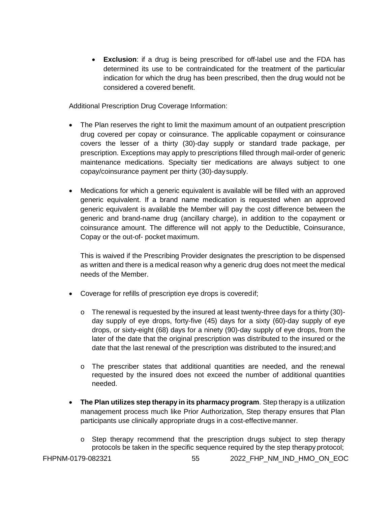• **Exclusion**: if a drug is being prescribed for off-label use and the FDA has determined its use to be contraindicated for the treatment of the particular indication for which the drug has been prescribed, then the drug would not be considered a covered benefit.

Additional Prescription Drug Coverage Information:

- The Plan reserves the right to limit the maximum amount of an outpatient prescription drug covered per copay or coinsurance. The applicable copayment or coinsurance covers the lesser of a thirty (30)-day supply or standard trade package, per prescription. Exceptions may apply to prescriptions filled through mail-order of generic maintenance medications. Specialty tier medications are always subject to one copay/coinsurance payment per thirty (30)-daysupply.
- Medications for which a generic equivalent is available will be filled with an approved generic equivalent. If a brand name medication is requested when an approved generic equivalent is available the Member will pay the cost difference between the generic and brand-name drug (ancillary charge), in addition to the copayment or coinsurance amount. The difference will not apply to the Deductible, Coinsurance, Copay or the out-of- pocket maximum.

This is waived if the Prescribing Provider designates the prescription to be dispensed as written and there is a medical reason why a generic drug does not meet the medical needs of the Member.

- Coverage for refills of prescription eye drops is coveredif;
	- $\circ$  The renewal is requested by the insured at least twenty-three days for a thirty (30)day supply of eye drops, forty-five (45) days for a sixty (60)-day supply of eye drops, or sixty-eight (68) days for a ninety (90)-day supply of eye drops, from the later of the date that the original prescription was distributed to the insured or the date that the last renewal of the prescription was distributed to the insured;and
	- o The prescriber states that additional quantities are needed, and the renewal requested by the insured does not exceed the number of additional quantities needed.
- **The Plan utilizes step therapy in its pharmacy program**. Step therapy is a utilization management process much like Prior Authorization, Step therapy ensures that Plan participants use clinically appropriate drugs in a cost-effectivemanner.
	- o Step therapy recommend that the prescription drugs subject to step therapy protocols be taken in the specific sequence required by the step therapy protocol;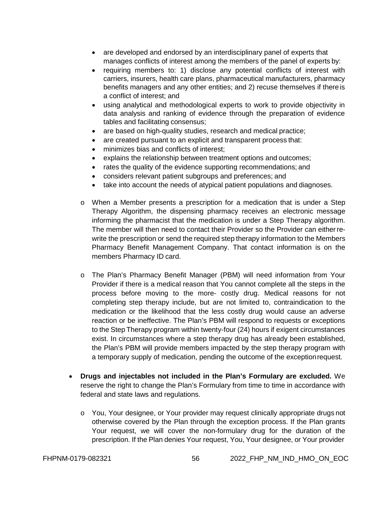- are developed and endorsed by an interdisciplinary panel of experts that manages conflicts of interest among the members of the panel of experts by:
- requiring members to: 1) disclose any potential conflicts of interest with carriers, insurers, health care plans, pharmaceutical manufacturers, pharmacy benefits managers and any other entities; and 2) recuse themselves if there is a conflict of interest; and
- using analytical and methodological experts to work to provide objectivity in data analysis and ranking of evidence through the preparation of evidence tables and facilitating consensus;
- are based on high-quality studies, research and medical practice;
- are created pursuant to an explicit and transparent process that:
- minimizes bias and conflicts of interest;
- explains the relationship between treatment options and outcomes;
- rates the quality of the evidence supporting recommendations; and
- considers relevant patient subgroups and preferences; and
- take into account the needs of atypical patient populations and diagnoses.
- o When a Member presents a prescription for a medication that is under a Step Therapy Algorithm, the dispensing pharmacy receives an electronic message informing the pharmacist that the medication is under a Step Therapy algorithm. The member will then need to contact their Provider so the Provider can eitherrewrite the prescription or send the required step therapy information to the Members Pharmacy Benefit Management Company. That contact information is on the members Pharmacy ID card.
- o The Plan's Pharmacy Benefit Manager (PBM) will need information from Your Provider if there is a medical reason that You cannot complete all the steps in the process before moving to the more- costly drug. Medical reasons for not completing step therapy include, but are not limited to, contraindication to the medication or the likelihood that the less costly drug would cause an adverse reaction or be ineffective. The Plan's PBM will respond to requests or exceptions to the Step Therapy program within twenty-four (24) hours if exigent circumstances exist. In circumstances where a step therapy drug has already been established, the Plan's PBM will provide members impacted by the step therapy program with a temporary supply of medication, pending the outcome of the exceptionrequest.
- **Drugs and injectables not included in the Plan's Formulary are excluded.** We reserve the right to change the Plan's Formulary from time to time in accordance with federal and state laws and regulations.
	- o You, Your designee, or Your provider may request clinically appropriate drugs not otherwise covered by the Plan through the exception process. If the Plan grants Your request, we will cover the non-formulary drug for the duration of the prescription. If the Plan denies Your request, You, Your designee, or Your provider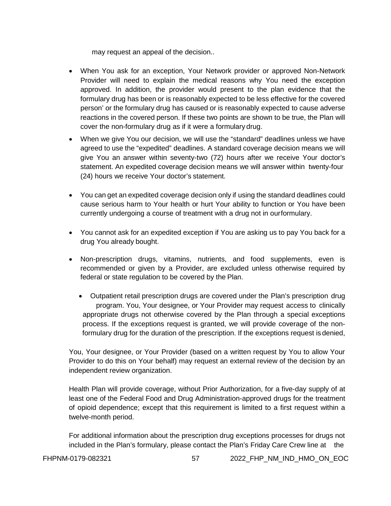may request an appeal of the decision..

- When You ask for an exception, Your Network provider or approved Non-Network Provider will need to explain the medical reasons why You need the exception approved. In addition, the provider would present to the plan evidence that the formulary drug has been or is reasonably expected to be less effective for the covered person' or the formulary drug has caused or is reasonably expected to cause adverse reactions in the covered person. If these two points are shown to be true, the Plan will cover the non-formulary drug as if it were a formulary drug.
- When we give You our decision, we will use the "standard" deadlines unless we have agreed to use the "expedited" deadlines. A standard coverage decision means we will give You an answer within seventy-two (72) hours after we receive Your doctor's statement. An expedited coverage decision means we will answer within twenty-four (24) hours we receive Your doctor's statement.
- You can get an expedited coverage decision only if using the standard deadlines could cause serious harm to Your health or hurt Your ability to function or You have been currently undergoing a course of treatment with a drug not in ourformulary.
- You cannot ask for an expedited exception if You are asking us to pay You back for a drug You already bought.
- Non-prescription drugs, vitamins, nutrients, and food supplements, even is recommended or given by a Provider, are excluded unless otherwise required by federal or state regulation to be covered by the Plan.
	- Outpatient retail prescription drugs are covered under the Plan's prescription drug program. You, Your designee, or Your Provider may request access to clinically appropriate drugs not otherwise covered by the Plan through a special exceptions process. If the exceptions request is granted, we will provide coverage of the nonformulary drug for the duration of the prescription. If the exceptions request is denied,

You, Your designee, or Your Provider (based on a written request by You to allow Your Provider to do this on Your behalf) may request an external review of the decision by an independent review organization.

Health Plan will provide coverage, without Prior Authorization, for a five-day supply of at least one of the Federal Food and Drug Administration-approved drugs for the treatment of opioid dependence; except that this requirement is limited to a first request within a twelve-month period.

For additional information about the prescription drug exceptions processes for drugs not included in the Plan's formulary, please contact the Plan's Friday Care Crew line at the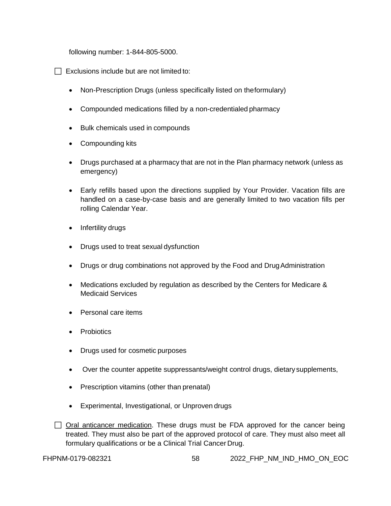following number: 1-844-805-5000.

 $\Box$  Exclusions include but are not limited to:

- Non-Prescription Drugs (unless specifically listed on theformulary)
- Compounded medications filled by a non-credentialed pharmacy
- Bulk chemicals used in compounds
- Compounding kits
- Drugs purchased at a pharmacy that are not in the Plan pharmacy network (unless as emergency)
- Early refills based upon the directions supplied by Your Provider. Vacation fills are handled on a case-by-case basis and are generally limited to two vacation fills per rolling Calendar Year.
- Infertility drugs
- Drugs used to treat sexual dysfunction
- Drugs or drug combinations not approved by the Food and Drug Administration
- Medications excluded by regulation as described by the Centers for Medicare & Medicaid Services
- Personal care items
- Probiotics
- Drugs used for cosmetic purposes
- Over the counter appetite suppressants/weight control drugs, dietary supplements,
- Prescription vitamins (other than prenatal)
- Experimental, Investigational, or Unproven drugs

 $\Box$  Oral anticancer medication. These drugs must be FDA approved for the cancer being treated. They must also be part of the approved protocol of care. They must also meet all formulary qualifications or be a Clinical Trial Cancer Drug.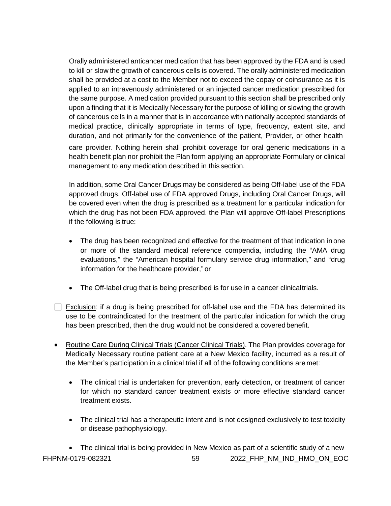Orally administered anticancer medication that has been approved by the FDA and is used to kill or slow the growth of cancerous cells is covered. The orally administered medication shall be provided at a cost to the Member not to exceed the copay or coinsurance as it is applied to an intravenously administered or an injected cancer medication prescribed for the same purpose. A medication provided pursuant to this section shall be prescribed only upon a finding that it is Medically Necessary for the purpose of killing or slowing the growth of cancerous cells in a manner that is in accordance with nationally accepted standards of medical practice, clinically appropriate in terms of type, frequency, extent site, and duration, and not primarily for the convenience of the patient, Provider, or other health

care provider. Nothing herein shall prohibit coverage for oral generic medications in a health benefit plan nor prohibit the Plan form applying an appropriate Formulary or clinical management to any medication described in this section.

In addition, some Oral Cancer Drugs may be considered as being Off-label use of the FDA approved drugs. Off-label use of FDA approved Drugs, including Oral Cancer Drugs, will be covered even when the drug is prescribed as a treatment for a particular indication for which the drug has not been FDA approved. the Plan will approve Off-label Prescriptions if the following is true:

- The drug has been recognized and effective for the treatment of that indication in one or more of the standard medical reference compendia, including the "AMA drug evaluations," the "American hospital formulary service drug information," and "drug information for the healthcare provider," or
- The Off-label drug that is being prescribed is for use in a cancer clinicaltrials.
- $\Box$  Exclusion: if a drug is being prescribed for off-label use and the FDA has determined its use to be contraindicated for the treatment of the particular indication for which the drug has been prescribed, then the drug would not be considered a coveredbenefit.
- Routine Care During Clinical Trials (Cancer Clinical Trials). The Plan provides coverage for Medically Necessary routine patient care at a New Mexico facility, incurred as a result of the Member's participation in a clinical trial if all of the following conditions are met:
	- The clinical trial is undertaken for prevention, early detection, or treatment of cancer for which no standard cancer treatment exists or more effective standard cancer treatment exists.
	- The clinical trial has a therapeutic intent and is not designed exclusively to test toxicity or disease pathophysiology.

FHPNM-0179-082321 59 2022 FHP\_NM\_IND\_HMO\_ON\_EOC • The clinical trial is being provided in New Mexico as part of a scientific study of a new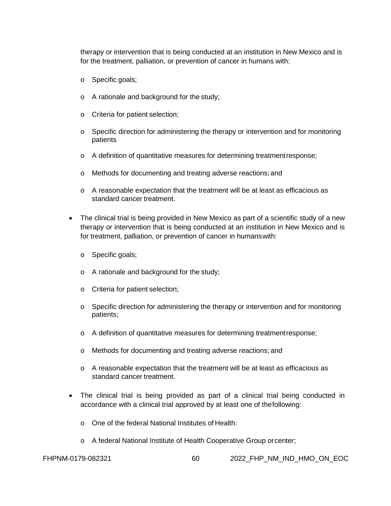therapy or intervention that is being conducted at an institution in New Mexico and is for the treatment, palliation, or prevention of cancer in humans with:

- o Specific goals;
- o A rationale and background for the study;
- o Criteria for patient selection;
- $\circ$  Specific direction for administering the therapy or intervention and for monitoring patients
- o A definition of quantitative measures for determining treatmentresponse;
- o Methods for documenting and treating adverse reactions; and
- o A reasonable expectation that the treatment will be at least as efficacious as standard cancer treatment.
- The clinical trial is being provided in New Mexico as part of a scientific study of a new therapy or intervention that is being conducted at an institution in New Mexico and is for treatment, palliation, or prevention of cancer in humanswith:
	- o Specific goals;
	- o A rationale and background for the study;
	- o Criteria for patient selection;
	- $\circ$  Specific direction for administering the therapy or intervention and for monitoring patients;
	- o A definition of quantitative measures for determining treatmentresponse;
	- o Methods for documenting and treating adverse reactions; and
	- o A reasonable expectation that the treatment will be at least as efficacious as standard cancer treatment.
- The clinical trial is being provided as part of a clinical trial being conducted in accordance with a clinical trial approved by at least one of thefollowing:
	- o One of the federal National Institutes of Health:
	- o A federal National Institute of Health Cooperative Group orcenter;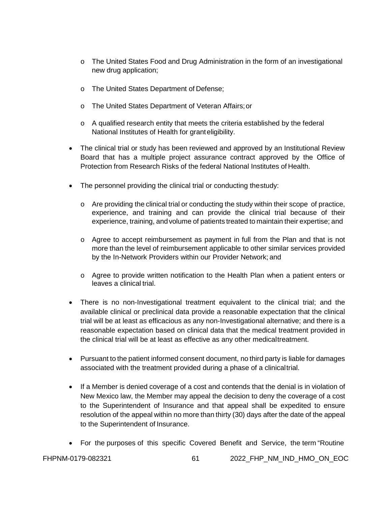- o The United States Food and Drug Administration in the form of an investigational new drug application;
- o The United States Department of Defense;
- o The United States Department of Veteran Affairs;or
- $\circ$  A qualified research entity that meets the criteria established by the federal National Institutes of Health for granteligibility.
- The clinical trial or study has been reviewed and approved by an Institutional Review Board that has a multiple project assurance contract approved by the Office of Protection from Research Risks of the federal National Institutes of Health.
- The personnel providing the clinical trial or conducting thestudy:
	- $\circ$  Are providing the clinical trial or conducting the study within their scope of practice, experience, and training and can provide the clinical trial because of their experience, training, and volume of patients treated to maintain their expertise; and
	- o Agree to accept reimbursement as payment in full from the Plan and that is not more than the level of reimbursement applicable to other similar services provided by the In-Network Providers within our Provider Network; and
	- o Agree to provide written notification to the Health Plan when a patient enters or leaves a clinical trial.
- There is no non-Investigational treatment equivalent to the clinical trial; and the available clinical or preclinical data provide a reasonable expectation that the clinical trial will be at least as efficacious as any non-Investigational alternative; and there is a reasonable expectation based on clinical data that the medical treatment provided in the clinical trial will be at least as effective as any other medicaltreatment.
- Pursuant to the patient informed consent document, no third party is liable for damages associated with the treatment provided during a phase of a clinicaltrial.
- If a Member is denied coverage of a cost and contends that the denial is in violation of New Mexico law, the Member may appeal the decision to deny the coverage of a cost to the Superintendent of Insurance and that appeal shall be expedited to ensure resolution of the appeal within no more than thirty (30) days after the date of the appeal to the Superintendent of Insurance.
- For the purposes of this specific Covered Benefit and Service, the term "Routine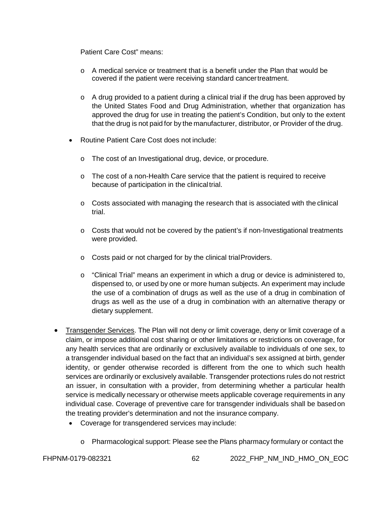Patient Care Cost" means:

- o A medical service or treatment that is a benefit under the Plan that would be covered if the patient were receiving standard cancertreatment.
- $\circ$  A drug provided to a patient during a clinical trial if the drug has been approved by the United States Food and Drug Administration, whether that organization has approved the drug for use in treating the patient's Condition, but only to the extent that the drug is not paid for by the manufacturer, distributor, or Provider of the drug.
- Routine Patient Care Cost does not include:
	- o The cost of an Investigational drug, device, or procedure.
	- $\circ$  The cost of a non-Health Care service that the patient is required to receive because of participation in the clinical trial.
	- $\circ$  Costs associated with managing the research that is associated with the clinical trial.
	- $\circ$  Costs that would not be covered by the patient's if non-Investigational treatments were provided.
	- o Costs paid or not charged for by the clinical trialProviders.
	- $\circ$  "Clinical Trial" means an experiment in which a drug or device is administered to, dispensed to, or used by one or more human subjects. An experiment may include the use of a combination of drugs as well as the use of a drug in combination of drugs as well as the use of a drug in combination with an alternative therapy or dietary supplement.
- Transgender Services. The Plan will not deny or limit coverage, deny or limit coverage of a claim, or impose additional cost sharing or other limitations or restrictions on coverage, for any health services that are ordinarily or exclusively available to individuals of one sex, to a transgender individual based on the fact that an individual's sex assigned at birth, gender identity, or gender otherwise recorded is different from the one to which such health services are ordinarily or exclusively available. Transgender protections rules do not restrict an issuer, in consultation with a provider, from determining whether a particular health service is medically necessary or otherwise meets applicable coverage requirements in any individual case. Coverage of preventive care for transgender individuals shall be basedon the treating provider's determination and not the insurance company.
	- Coverage for transgendered services may include:
		- o Pharmacological support: Please see the Plans pharmacy formulary or contact the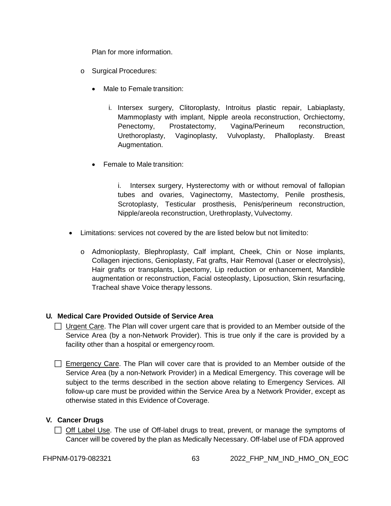Plan for more information.

- o Surgical Procedures:
	- Male to Female transition:
		- i. Intersex surgery, Clitoroplasty, Introitus plastic repair, Labiaplasty, Mammoplasty with implant, Nipple areola reconstruction, Orchiectomy, Penectomy, Prostatectomy, Vagina/Perineum reconstruction, Urethoroplasty, Vaginoplasty, Vulvoplasty, Phalloplasty. Breast Augmentation.
	- Female to Male transition:

i. Intersex surgery, Hysterectomy with or without removal of fallopian tubes and ovaries, Vaginectomy, Mastectomy, Penile prosthesis, Scrotoplasty, Testicular prosthesis, Penis/perineum reconstruction, Nipple/areola reconstruction, Urethroplasty, Vulvectomy.

- Limitations: services not covered by the are listed below but not limitedto:
	- o Admonioplasty, Blephroplasty, Calf implant, Cheek, Chin or Nose implants, Collagen injections, Genioplasty, Fat grafts, Hair Removal (Laser or electrolysis), Hair grafts or transplants, Lipectomy, Lip reduction or enhancement, Mandible augmentation or reconstruction, Facial osteoplasty, Liposuction, Skin resurfacing, Tracheal shave Voice therapy lessons.

# **U. Medical Care Provided Outside of Service Area**

- $\Box$  Urgent Care. The Plan will cover urgent care that is provided to an Member outside of the Service Area (by a non-Network Provider). This is true only if the care is provided by a facility other than a hospital or emergency room.
- Emergency Care. The Plan will cover care that is provided to an Member outside of the Service Area (by a non-Network Provider) in a Medical Emergency. This coverage will be subject to the terms described in the section above relating to Emergency Services. All follow-up care must be provided within the Service Area by a Network Provider, except as otherwise stated in this Evidence of Coverage.

## **V. Cancer Drugs**

 $\Box$  Off Label Use. The use of Off-label drugs to treat, prevent, or manage the symptoms of Cancer will be covered by the plan as Medically Necessary. Off-label use of FDA approved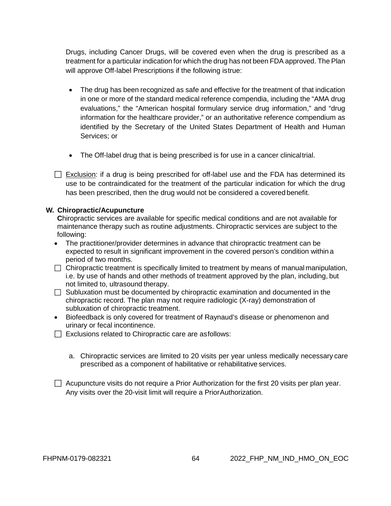Drugs, including Cancer Drugs, will be covered even when the drug is prescribed as a treatment for a particular indication for which the drug has not been FDA approved. The Plan will approve Off-label Prescriptions if the following istrue:

- The drug has been recognized as safe and effective for the treatment of that indication in one or more of the standard medical reference compendia, including the "AMA drug evaluations," the "American hospital formulary service drug information," and "drug information for the healthcare provider," or an authoritative reference compendium as identified by the Secretary of the United States Department of Health and Human Services; or
- The Off-label drug that is being prescribed is for use in a cancer clinicaltrial.
- $\Box$  Exclusion: if a drug is being prescribed for off-label use and the FDA has determined its use to be contraindicated for the treatment of the particular indication for which the drug has been prescribed, then the drug would not be considered a covered benefit.

#### **W. Chiropractic/Acupuncture**

**C**hiropractic services are available for specific medical conditions and are not available for maintenance therapy such as routine adjustments. Chiropractic services are subject to the following:

- The practitioner/provider determines in advance that chiropractic treatment can be expected to result in significant improvement in the covered person's condition within a period of two months.
- $\Box$  Chiropractic treatment is specifically limited to treatment by means of manual manipulation, i.e. by use of hands and other methods of treatment approved by the plan, including, but not limited to, ultrasound therapy.
- $\Box$  Subluxation must be documented by chiropractic examination and documented in the chiropractic record. The plan may not require radiologic (X-ray) demonstration of subluxation of chiropractic treatment.
- Biofeedback is only covered for treatment of Raynaud's disease or phenomenon and urinary or fecal incontinence.
- $\Box$  Exclusions related to Chiropractic care are as follows:
	- a. Chiropractic services are limited to 20 visits per year unless medically necessary care prescribed as a component of habilitative or rehabilitative services.
- $\Box$  Acupuncture visits do not require a Prior Authorization for the first 20 visits per plan year. Any visits over the 20-visit limit will require a PriorAuthorization.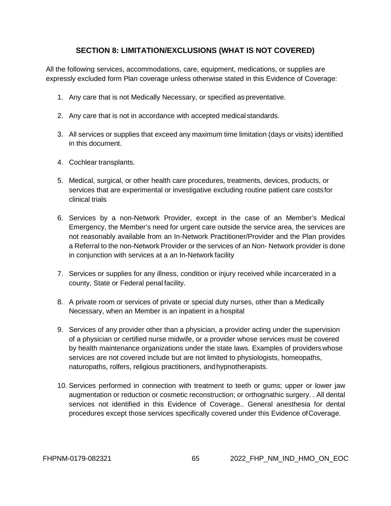# **SECTION 8: LIMITATION/EXCLUSIONS (WHAT IS NOT COVERED)**

<span id="page-64-0"></span>All the following services, accommodations, care, equipment, medications, or supplies are expressly excluded form Plan coverage unless otherwise stated in this Evidence of Coverage:

- 1. Any care that is not Medically Necessary, or specified as preventative.
- 2. Any care that is not in accordance with accepted medical standards.
- 3. All services or supplies that exceed any maximum time limitation (days or visits) identified in this document.
- 4. Cochlear transplants.
- 5. Medical, surgical, or other health care procedures, treatments, devices, products, or services that are experimental or investigative excluding routine patient care costsfor clinical trials
- 6. Services by a non-Network Provider, except in the case of an Member's Medical Emergency, the Member's need for urgent care outside the service area, the services are not reasonably available from an In-Network Practitioner/Provider and the Plan provides a Referral to the non-Network Provider or the services of an Non- Network provider is done in conjunction with services at a an In-Network facility
- 7. Services or supplies for any illness, condition or injury received while incarcerated in a county, State or Federal penal facility.
- 8. A private room or services of private or special duty nurses, other than a Medically Necessary, when an Member is an inpatient in a hospital
- 9. Services of any provider other than a physician, a provider acting under the supervision of a physician or certified nurse midwife, or a provider whose services must be covered by health maintenance organizations under the state laws. Examples of providerswhose services are not covered include but are not limited to physiologists, homeopaths, naturopaths, rolfers, religious practitioners, andhypnotherapists.
- 10. Services performed in connection with treatment to teeth or gums; upper or lower jaw augmentation or reduction or cosmetic reconstruction; or orthognathic surgery. . All dental services not identified in this Evidence of Coverage.. General anesthesia for dental procedures except those services specifically covered under this Evidence ofCoverage.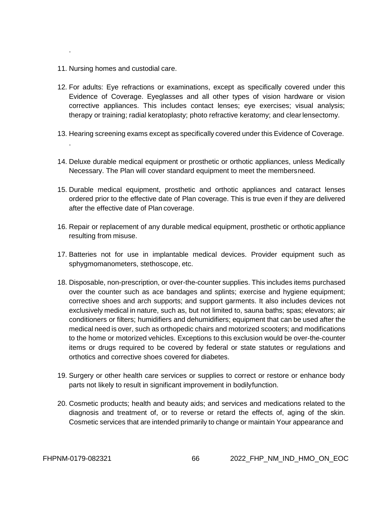11. Nursing homes and custodial care.

.

.

- 12. For adults: Eye refractions or examinations, except as specifically covered under this Evidence of Coverage. Eyeglasses and all other types of vision hardware or vision corrective appliances. This includes contact lenses; eye exercises; visual analysis; therapy or training; radial keratoplasty; photo refractive keratomy; and clearlensectomy.
- 13. Hearing screening exams except as specifically covered under this Evidence of Coverage.
- 14. Deluxe durable medical equipment or prosthetic or orthotic appliances, unless Medically Necessary. The Plan will cover standard equipment to meet the membersneed.
- 15. Durable medical equipment, prosthetic and orthotic appliances and cataract lenses ordered prior to the effective date of Plan coverage. This is true even if they are delivered after the effective date of Plan coverage.
- 16. Repair or replacement of any durable medical equipment, prosthetic or orthotic appliance resulting from misuse.
- 17. Batteries not for use in implantable medical devices. Provider equipment such as sphygmomanometers, stethoscope, etc.
- 18. Disposable, non-prescription, or over-the-counter supplies. This includes items purchased over the counter such as ace bandages and splints; exercise and hygiene equipment; corrective shoes and arch supports; and support garments. It also includes devices not exclusively medical in nature, such as, but not limited to, sauna baths; spas; elevators; air conditioners or filters; humidifiers and dehumidifiers; equipment that can be used after the medical need is over, such as orthopedic chairs and motorized scooters; and modifications to the home or motorized vehicles. Exceptions to this exclusion would be over-the-counter items or drugs required to be covered by federal or state statutes or regulations and orthotics and corrective shoes covered for diabetes.
- 19. Surgery or other health care services or supplies to correct or restore or enhance body parts not likely to result in significant improvement in bodilyfunction.
- 20. Cosmetic products; health and beauty aids; and services and medications related to the diagnosis and treatment of, or to reverse or retard the effects of, aging of the skin. Cosmetic services that are intended primarily to change or maintain Your appearance and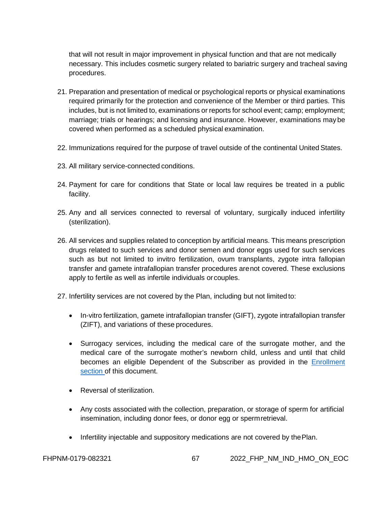that will not result in major improvement in physical function and that are not medically necessary. This includes cosmetic surgery related to bariatric surgery and tracheal saving procedures.

- 21. Preparation and presentation of medical or psychological reports or physical examinations required primarily for the protection and convenience of the Member or third parties. This includes, but is not limited to, examinations or reports for school event; camp; employment; marriage; trials or hearings; and licensing and insurance. However, examinations may be covered when performed as a scheduled physical examination.
- 22. Immunizations required for the purpose of travel outside of the continental United States.
- 23. All military service-connected conditions.
- 24. Payment for care for conditions that State or local law requires be treated in a public facility.
- 25. Any and all services connected to reversal of voluntary, surgically induced infertility (sterilization).
- 26. All services and supplies related to conception by artificial means. This means prescription drugs related to such services and donor semen and donor eggs used for such services such as but not limited to invitro fertilization, ovum transplants, zygote intra fallopian transfer and gamete intrafallopian transfer procedures arenot covered. These exclusions apply to fertile as well as infertile individuals orcouples.
- 27. Infertility services are not covered by the Plan, including but not limited to:
	- In-vitro fertilization, gamete intrafallopian transfer (GIFT), zygote intrafallopian transfer (ZIFT), and variations of these procedures.
	- Surrogacy services, including the medical care of the surrogate mother, and the medical care of the surrogate mother's newborn child, unless and until that child becomes an eligible Dependent of the Subscriber as provided in the [Enrollment](#page-9-0)  [section o](#page-9-0)f this document.
	- Reversal of sterilization.
	- Any costs associated with the collection, preparation, or storage of sperm for artificial insemination, including donor fees, or donor egg or spermretrieval.
	- Infertility injectable and suppository medications are not covered by thePlan.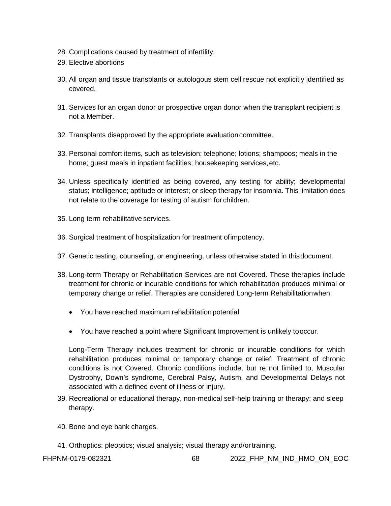- 28. Complications caused by treatment ofinfertility.
- 29. Elective abortions
- 30. All organ and tissue transplants or autologous stem cell rescue not explicitly identified as covered.
- 31. Services for an organ donor or prospective organ donor when the transplant recipient is not a Member.
- 32. Transplants disapproved by the appropriate evaluationcommittee.
- 33. Personal comfort items, such as television; telephone; lotions; shampoos; meals in the home; guest meals in inpatient facilities; housekeeping services,etc.
- 34. Unless specifically identified as being covered, any testing for ability; developmental status; intelligence; aptitude or interest; or sleep therapy for insomnia. This limitation does not relate to the coverage for testing of autism for children.
- 35. Long term rehabilitative services.
- 36. Surgical treatment of hospitalization for treatment ofimpotency.
- 37. Genetic testing, counseling, or engineering, unless otherwise stated in thisdocument.
- 38. Long-term Therapy or Rehabilitation Services are not Covered. These therapies include treatment for chronic or incurable conditions for which rehabilitation produces minimal or temporary change or relief. Therapies are considered Long-term Rehabilitationwhen:
	- You have reached maximum rehabilitation potential
	- You have reached a point where Significant Improvement is unlikely tooccur.

Long-Term Therapy includes treatment for chronic or incurable conditions for which rehabilitation produces minimal or temporary change or relief. Treatment of chronic conditions is not Covered. Chronic conditions include, but re not limited to, Muscular Dystrophy, Down's syndrome, Cerebral Palsy, Autism, and Developmental Delays not associated with a defined event of illness or injury.

- 39. Recreational or educational therapy, non-medical self-help training or therapy; and sleep therapy.
- 40. Bone and eye bank charges.
- 41. Orthoptics: pleoptics; visual analysis; visual therapy and/ortraining.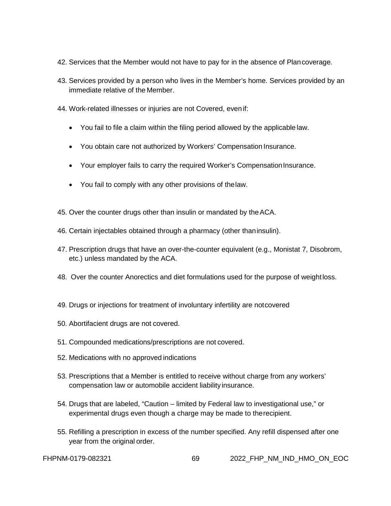- 42. Services that the Member would not have to pay for in the absence of Plancoverage.
- 43. Services provided by a person who lives in the Member's home. Services provided by an immediate relative of the Member.
- 44. Work-related illnesses or injuries are not Covered, even if:
	- You fail to file a claim within the filing period allowed by the applicable law.
	- You obtain care not authorized by Workers' Compensation Insurance.
	- Your employer fails to carry the required Worker's CompensationInsurance.
	- You fail to comply with any other provisions of thelaw.
- 45. Over the counter drugs other than insulin or mandated by the ACA.
- 46. Certain injectables obtained through a pharmacy (other thaninsulin).
- 47. Prescription drugs that have an over-the-counter equivalent (e.g., Monistat 7, Disobrom, etc.) unless mandated by the ACA.
- 48. Over the counter Anorectics and diet formulations used for the purpose of weightloss.
- 49. Drugs or injections for treatment of involuntary infertility are notcovered
- 50. Abortifacient drugs are not covered.
- 51. Compounded medications/prescriptions are not covered.
- 52. Medications with no approved indications
- 53. Prescriptions that a Member is entitled to receive without charge from any workers' compensation law or automobile accident liability insurance.
- 54. Drugs that are labeled, "Caution limited by Federal law to investigational use," or experimental drugs even though a charge may be made to therecipient.
- 55. Refilling a prescription in excess of the number specified. Any refill dispensed after one year from the original order.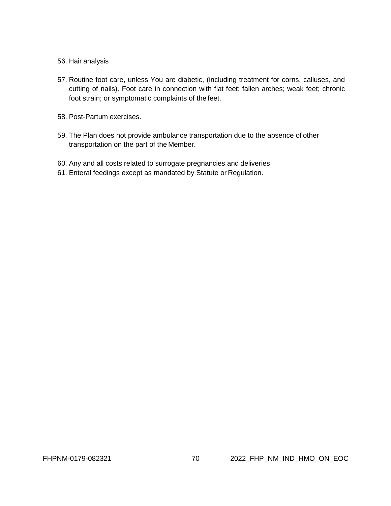#### 56. Hair analysis

- 57. Routine foot care, unless You are diabetic, (including treatment for corns, calluses, and cutting of nails). Foot care in connection with flat feet; fallen arches; weak feet; chronic foot strain; or symptomatic complaints of the feet.
- 58. Post-Partum exercises.
- 59. The Plan does not provide ambulance transportation due to the absence of other transportation on the part of the Member.
- 60. Any and all costs related to surrogate pregnancies and deliveries
- 61. Enteral feedings except as mandated by Statute or Regulation.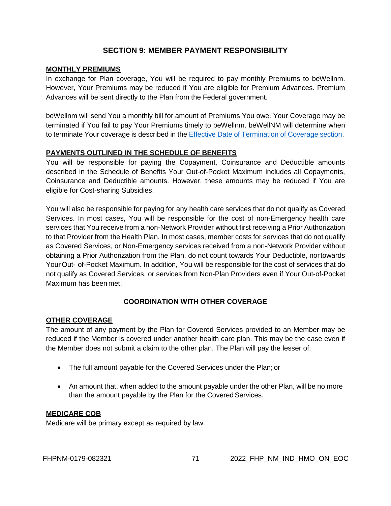# **SECTION 9: MEMBER PAYMENT RESPONSIBILITY**

# **MONTHLY PREMIUMS**

In exchange for Plan coverage, You will be required to pay monthly Premiums to beWellnm. However, Your Premiums may be reduced if You are eligible for Premium Advances. Premium Advances will be sent directly to the Plan from the Federal government.

beWellnm will send You a monthly bill for amount of Premiums You owe. Your Coverage may be terminated if You fail to pay Your Premiums timely to beWellnm. beWellNM will determine when to terminate Your coverage is described in the Effective Date of [Termination](#page-83-0) of Coverage section.

# **PAYMENTS OUTLINED IN THE SCHEDULE OF BENEFITS**

You will be responsible for paying the Copayment, Coinsurance and Deductible amounts described in the Schedule of Benefits Your Out-of-Pocket Maximum includes all Copayments, Coinsurance and Deductible amounts. However, these amounts may be reduced if You are eligible for Cost-sharing Subsidies.

You will also be responsible for paying for any health care services that do not qualify as Covered Services. In most cases, You will be responsible for the cost of non-Emergency health care services that You receive from a non-Network Provider without first receiving a Prior Authorization to that Provider from the Health Plan. In most cases, member costs for services that do not qualify as Covered Services, or Non-Emergency services received from a non-Network Provider without obtaining a Prior Authorization from the Plan, do not count towards Your Deductible, nortowards Your Out- of-Pocket Maximum. In addition, You will be responsible for the cost of services that do not qualify as Covered Services, or services from Non-Plan Providers even if Your Out-of-Pocket Maximum has been met.

# **COORDINATION WITH OTHER COVERAGE**

## **OTHER COVERAGE**

The amount of any payment by the Plan for Covered Services provided to an Member may be reduced if the Member is covered under another health care plan. This may be the case even if the Member does not submit a claim to the other plan. The Plan will pay the lesser of:

- The full amount payable for the Covered Services under the Plan; or
- An amount that, when added to the amount payable under the other Plan, will be no more than the amount payable by the Plan for the Covered Services.

## **MEDICARE COB**

Medicare will be primary except as required by law.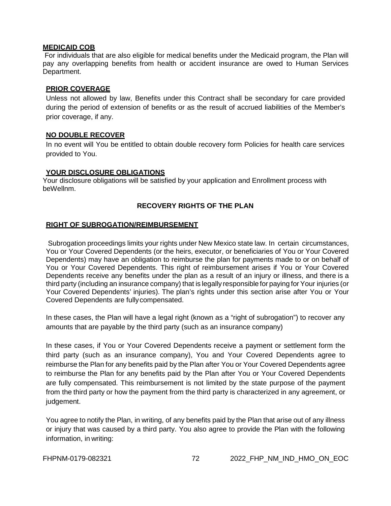#### **MEDICAID COB**

For individuals that are also eligible for medical benefits under the Medicaid program, the Plan will pay any overlapping benefits from health or accident insurance are owed to Human Services Department.

### **PRIOR COVERAGE**

Unless not allowed by law, Benefits under this Contract shall be secondary for care provided during the period of extension of benefits or as the result of accrued liabilities of the Member's prior coverage, if any.

## **NO DOUBLE RECOVER**

In no event will You be entitled to obtain double recovery form Policies for health care services provided to You.

#### **YOUR DISCLOSURE OBLIGATIONS**

Your disclosure obligations will be satisfied by your application and Enrollment process with beWellnm.

# **RECOVERY RIGHTS OF THE PLAN**

## **RIGHT OF SUBROGATION/REIMBURSEMENT**

Subrogation proceedings limits your rights under New Mexico state law. In certain circumstances, You or Your Covered Dependents (or the heirs, executor, or beneficiaries of You or Your Covered Dependents) may have an obligation to reimburse the plan for payments made to or on behalf of You or Your Covered Dependents. This right of reimbursement arises if You or Your Covered Dependents receive any benefits under the plan as a result of an injury or illness, and there is a third party (including an insurance company) that is legally responsible for paying for Your injuries (or Your Covered Dependents' injuries). The plan's rights under this section arise after You or Your Covered Dependents are fullycompensated.

In these cases, the Plan will have a legal right (known as a "right of subrogation") to recover any amounts that are payable by the third party (such as an insurance company)

In these cases, if You or Your Covered Dependents receive a payment or settlement form the third party (such as an insurance company), You and Your Covered Dependents agree to reimburse the Plan for any benefits paid by the Plan after You or Your Covered Dependents agree to reimburse the Plan for any benefits paid by the Plan after You or Your Covered Dependents are fully compensated. This reimbursement is not limited by the state purpose of the payment from the third party or how the payment from the third party is characterized in any agreement, or judgement.

You agree to notify the Plan, in writing, of any benefits paid by the Plan that arise out of any illness or injury that was caused by a third party. You also agree to provide the Plan with the following information, in writing: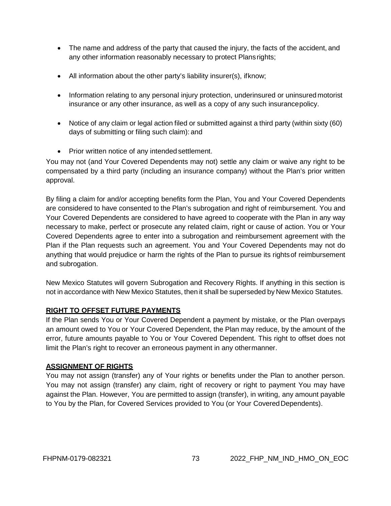- The name and address of the party that caused the injury, the facts of the accident, and any other information reasonably necessary to protect Plansrights;
- All information about the other party's liability insurer(s), if know;
- Information relating to any personal injury protection, underinsured or uninsured motorist insurance or any other insurance, as well as a copy of any such insurancepolicy.
- Notice of any claim or legal action filed or submitted against a third party (within sixty (60) days of submitting or filing such claim): and
- Prior written notice of any intended settlement.

You may not (and Your Covered Dependents may not) settle any claim or waive any right to be compensated by a third party (including an insurance company) without the Plan's prior written approval.

By filing a claim for and/or accepting benefits form the Plan, You and Your Covered Dependents are considered to have consented to the Plan's subrogation and right of reimbursement. You and Your Covered Dependents are considered to have agreed to cooperate with the Plan in any way necessary to make, perfect or prosecute any related claim, right or cause of action. You or Your Covered Dependents agree to enter into a subrogation and reimbursement agreement with the Plan if the Plan requests such an agreement. You and Your Covered Dependents may not do anything that would prejudice or harm the rights of the Plan to pursue its rightsof reimbursement and subrogation.

New Mexico Statutes will govern Subrogation and Recovery Rights. If anything in this section is not in accordance with New Mexico Statutes, then it shall be superseded by New Mexico Statutes.

### **RIGHT TO OFFSET FUTURE PAYMENTS**

If the Plan sends You or Your Covered Dependent a payment by mistake, or the Plan overpays an amount owed to You or Your Covered Dependent, the Plan may reduce, by the amount of the error, future amounts payable to You or Your Covered Dependent. This right to offset does not limit the Plan's right to recover an erroneous payment in any othermanner.

### **ASSIGNMENT OF RIGHTS**

You may not assign (transfer) any of Your rights or benefits under the Plan to another person. You may not assign (transfer) any claim, right of recovery or right to payment You may have against the Plan. However, You are permitted to assign (transfer), in writing, any amount payable to You by the Plan, for Covered Services provided to You (or Your CoveredDependents).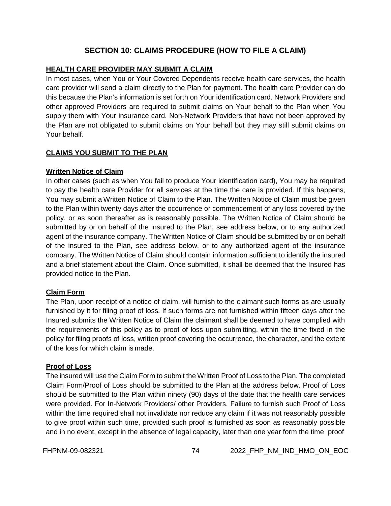# **SECTION 10: CLAIMS PROCEDURE (HOW TO FILE A CLAIM)**

### **HEALTH CARE PROVIDER MAY SUBMIT A CLAIM**

In most cases, when You or Your Covered Dependents receive health care services, the health care provider will send a claim directly to the Plan for payment. The health care Provider can do this because the Plan's information is set forth on Your identification card. Network Providers and other approved Providers are required to submit claims on Your behalf to the Plan when You supply them with Your insurance card. Non-Network Providers that have not been approved by the Plan are not obligated to submit claims on Your behalf but they may still submit claims on Your behalf.

### **CLAIMS YOU SUBMIT TO THE PLAN**

### **Written Notice of Claim**

In other cases (such as when You fail to produce Your identification card), You may be required to pay the health care Provider for all services at the time the care is provided. If this happens, You may submit a Written Notice of Claim to the Plan. The Written Notice of Claim must be given to the Plan within twenty days after the occurrence or commencement of any loss covered by the policy, or as soon thereafter as is reasonably possible. The Written Notice of Claim should be submitted by or on behalf of the insured to the Plan, see address below, or to any authorized agent of the insurance company. TheWritten Notice of Claim should be submitted by or on behalf of the insured to the Plan, see address below, or to any authorized agent of the insurance company. The Written Notice of Claim should contain information sufficient to identify the insured and a brief statement about the Claim. Once submitted, it shall be deemed that the Insured has provided notice to the Plan.

### **Claim Form**

The Plan, upon receipt of a notice of claim, will furnish to the claimant such forms as are usually furnished by it for filing proof of loss. If such forms are not furnished within fifteen days after the Insured submits the Written Notice of Claim the claimant shall be deemed to have complied with the requirements of this policy as to proof of loss upon submitting, within the time fixed in the policy for filing proofs of loss, written proof covering the occurrence, the character, and the extent of the loss for which claim is made.

### **Proof of Loss**

The insured will use the Claim Form to submit the Written Proof of Loss to the Plan. The completed Claim Form/Proof of Loss should be submitted to the Plan at the address below. Proof of Loss should be submitted to the Plan within ninety (90) days of the date that the health care services were provided. For In-Network Providers/ other Providers. Failure to furnish such Proof of Loss within the time required shall not invalidate nor reduce any claim if it was not reasonably possible to give proof within such time, provided such proof is furnished as soon as reasonably possible and in no event, except in the absence of legal capacity, later than one year form the time proof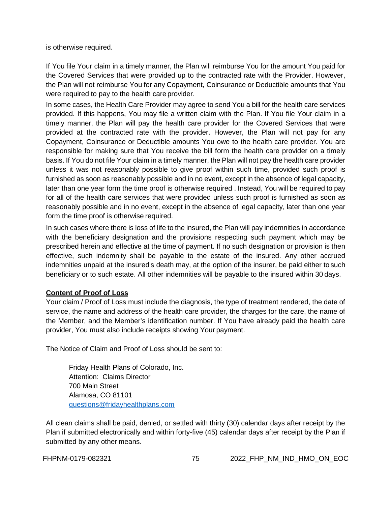is otherwise required.

If You file Your claim in a timely manner, the Plan will reimburse You for the amount You paid for the Covered Services that were provided up to the contracted rate with the Provider. However, the Plan will not reimburse You for any Copayment, Coinsurance or Deductible amounts that You were required to pay to the health care provider.

In some cases, the Health Care Provider may agree to send You a bill for the health care services provided. If this happens, You may file a written claim with the Plan. If You file Your claim in a timely manner, the Plan will pay the health care provider for the Covered Services that were provided at the contracted rate with the provider. However, the Plan will not pay for any Copayment, Coinsurance or Deductible amounts You owe to the health care provider. You are responsible for making sure that You receive the bill form the health care provider on a timely basis. If You do not file Your claim in a timely manner, the Plan will not pay the health care provider unless it was not reasonably possible to give proof within such time, provided such proof is furnished as soon as reasonably possible and in no event, except in the absence of legal capacity, later than one year form the time proof is otherwise required . Instead, You will be required to pay for all of the health care services that were provided unless such proof is furnished as soon as reasonably possible and in no event, except in the absence of legal capacity, later than one year form the time proof is otherwise required.

In such cases where there is loss of life to the insured, the Plan will pay indemnities in accordance with the beneficiary designation and the provisions respecting such payment which may be prescribed herein and effective at the time of payment. If no such designation or provision is then effective, such indemnity shall be payable to the estate of the insured. Any other accrued indemnities unpaid at the insured's death may, at the option of the insurer, be paid either to such beneficiary or to such estate. All other indemnities will be payable to the insured within 30 days.

# **Content of Proof of Loss**

Your claim / Proof of Loss must include the diagnosis, the type of treatment rendered, the date of service, the name and address of the health care provider, the charges for the care, the name of the Member, and the Member's identification number. If You have already paid the health care provider, You must also include receipts showing Your payment.

The Notice of Claim and Proof of Loss should be sent to:

Friday Health Plans of Colorado, Inc. Attention: Claims Director 700 Main Street Alamosa, CO 81101 [questions@fridayhealthplans.com](mailto:questions@fridayhealthplans.com)

All clean claims shall be paid, denied, or settled with thirty (30) calendar days after receipt by the Plan if submitted electronically and within forty-five (45) calendar days after receipt by the Plan if submitted by any other means.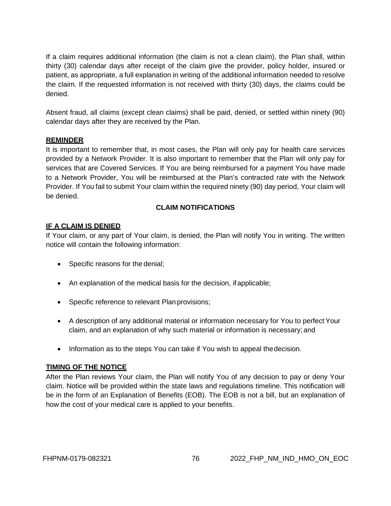If a claim requires additional information (the claim is not a clean claim), the Plan shall, within thirty (30) calendar days after receipt of the claim give the provider, policy holder, insured or patient, as appropriate, a full explanation in writing of the additional information needed to resolve the claim. If the requested information is not received with thirty (30) days, the claims could be denied.

Absent fraud, all claims (except clean claims) shall be paid, denied, or settled within ninety (90) calendar days after they are received by the Plan.

### **REMINDER**

It is important to remember that, in most cases, the Plan will only pay for health care services provided by a Network Provider. It is also important to remember that the Plan will only pay for services that are Covered Services. If You are being reimbursed for a payment You have made to a Network Provider, You will be reimbursed at the Plan's contracted rate with the Network Provider. If You fail to submit Your claim within the required ninety (90) day period, Your claim will be denied.

# **CLAIM NOTIFICATIONS**

### **IF A CLAIM IS DENIED**

If Your claim, or any part of Your claim, is denied, the Plan will notify You in writing. The written notice will contain the following information:

- Specific reasons for the denial;
- An explanation of the medical basis for the decision, if applicable;
- Specific reference to relevant Plan provisions;
- A description of any additional material or information necessary for You to perfect Your claim, and an explanation of why such material or information is necessary; and
- Information as to the steps You can take if You wish to appeal thedecision.

### **TIMING OF THE NOTICE**

After the Plan reviews Your claim, the Plan will notify You of any decision to pay or deny Your claim. Notice will be provided within the state laws and regulations timeline. This notification will be in the form of an Explanation of Benefits (EOB). The EOB is not a bill, but an explanation of how the cost of your medical care is applied to your benefits.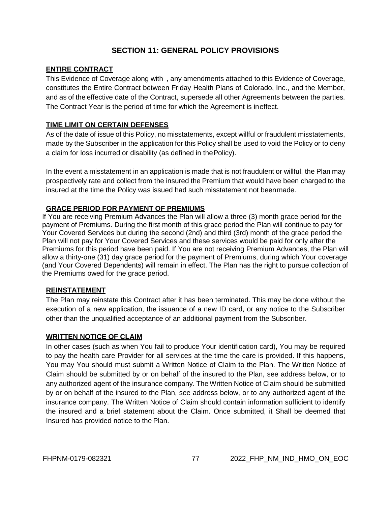# **SECTION 11: GENERAL POLICY PROVISIONS**

### **ENTIRE CONTRACT**

This Evidence of Coverage along with , any amendments attached to this Evidence of Coverage, constitutes the Entire Contract between Friday Health Plans of Colorado, Inc., and the Member, and as of the effective date of the Contract, supersede all other Agreements between the parties. The Contract Year is the period of time for which the Agreement is ineffect.

### **TIME LIMIT ON CERTAIN DEFENSES**

As of the date of issue of this Policy, no misstatements, except willful or fraudulent misstatements, made by the Subscriber in the application for this Policy shall be used to void the Policy or to deny a claim for loss incurred or disability (as defined in thePolicy).

In the event a misstatement in an application is made that is not fraudulent or willful, the Plan may prospectively rate and collect from the insured the Premium that would have been charged to the insured at the time the Policy was issued had such misstatement not beenmade.

### **GRACE PERIOD FOR PAYMENT OF PREMIUMS**

If You are receiving Premium Advances the Plan will allow a three (3) month grace period for the payment of Premiums. During the first month of this grace period the Plan will continue to pay for Your Covered Services but during the second (2nd) and third (3rd) month of the grace period the Plan will not pay for Your Covered Services and these services would be paid for only after the Premiums for this period have been paid. If You are not receiving Premium Advances, the Plan will allow a thirty-one (31) day grace period for the payment of Premiums, during which Your coverage (and Your Covered Dependents) will remain in effect. The Plan has the right to pursue collection of the Premiums owed for the grace period.

### **REINSTATEMENT**

The Plan may reinstate this Contract after it has been terminated. This may be done without the execution of a new application, the issuance of a new ID card, or any notice to the Subscriber other than the unqualified acceptance of an additional payment from the Subscriber.

### **WRITTEN NOTICE OF CLAIM**

In other cases (such as when You fail to produce Your identification card), You may be required to pay the health care Provider for all services at the time the care is provided. If this happens, You may You should must submit a Written Notice of Claim to the Plan. The Written Notice of Claim should be submitted by or on behalf of the insured to the Plan, see address below, or to any authorized agent of the insurance company. The Written Notice of Claim should be submitted by or on behalf of the insured to the Plan, see address below, or to any authorized agent of the insurance company. The Written Notice of Claim should contain information sufficient to identify the insured and a brief statement about the Claim. Once submitted, it Shall be deemed that Insured has provided notice to the Plan.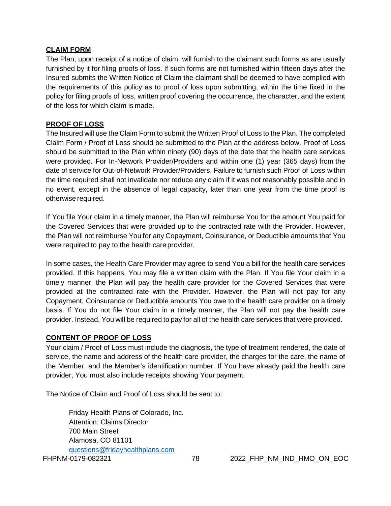### **CLAIM FORM**

The Plan, upon receipt of a notice of claim, will furnish to the claimant such forms as are usually furnished by it for filing proofs of loss. If such forms are not furnished within fifteen days after the Insured submits the Written Notice of Claim the claimant shall be deemed to have complied with the requirements of this policy as to proof of loss upon submitting, within the time fixed in the policy for filing proofs of loss, written proof covering the occurrence, the character, and the extent of the loss for which claim is made.

### **PROOF OF LOSS**

The Insured will use the Claim Form to submit the Written Proof of Loss to the Plan. The completed Claim Form / Proof of Loss should be submitted to the Plan at the address below. Proof of Loss should be submitted to the Plan within ninety (90) days of the date that the health care services were provided. For In-Network Provider/Providers and within one (1) year (365 days) from the date of service for Out-of-Network Provider/Providers. Failure to furnish such Proof of Loss within the time required shall not invalidate nor reduce any claim if it was not reasonably possible and in no event, except in the absence of legal capacity, later than one year from the time proof is otherwise required.

If You file Your claim in a timely manner, the Plan will reimburse You for the amount You paid for the Covered Services that were provided up to the contracted rate with the Provider. However, the Plan will not reimburse You for any Copayment, Coinsurance, or Deductible amounts that You were required to pay to the health care provider.

In some cases, the Health Care Provider may agree to send You a bill for the health care services provided. If this happens, You may file a written claim with the Plan. If You file Your claim in a timely manner, the Plan will pay the health care provider for the Covered Services that were provided at the contracted rate with the Provider. However, the Plan will not pay for any Copayment, Coinsurance or Deductible amounts You owe to the health care provider on a timely basis. If You do not file Your claim in a timely manner, the Plan will not pay the health care provider. Instead, You will be required to pay for all of the health care services that were provided.

### **CONTENT OF PROOF OF LOSS**

Your claim / Proof of Loss must include the diagnosis, the type of treatment rendered, the date of service, the name and address of the health care provider, the charges for the care, the name of the Member, and the Member's identification number. If You have already paid the health care provider, You must also include receipts showing Your payment.

The Notice of Claim and Proof of Loss should be sent to:

Friday Health Plans of Colorado, Inc. Attention: Claims Director 700 Main Street Alamosa, CO 81101 [questions@fridayhealthplans.com](mailto:questions@fridayhealthplans.com)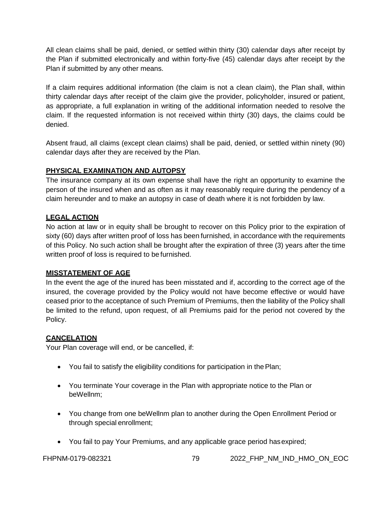All clean claims shall be paid, denied, or settled within thirty (30) calendar days after receipt by the Plan if submitted electronically and within forty-five (45) calendar days after receipt by the Plan if submitted by any other means.

If a claim requires additional information (the claim is not a clean claim), the Plan shall, within thirty calendar days after receipt of the claim give the provider, policyholder, insured or patient, as appropriate, a full explanation in writing of the additional information needed to resolve the claim. If the requested information is not received within thirty (30) days, the claims could be denied.

Absent fraud, all claims (except clean claims) shall be paid, denied, or settled within ninety (90) calendar days after they are received by the Plan.

# **PHYSICAL EXAMINATION AND AUTOPSY**

The insurance company at its own expense shall have the right an opportunity to examine the person of the insured when and as often as it may reasonably require during the pendency of a claim hereunder and to make an autopsy in case of death where it is not forbidden by law.

# **LEGAL ACTION**

No action at law or in equity shall be brought to recover on this Policy prior to the expiration of sixty (60) days after written proof of loss has been furnished, in accordance with the requirements of this Policy. No such action shall be brought after the expiration of three (3) years after the time written proof of loss is required to be furnished.

# **MISSTATEMENT OF AGE**

In the event the age of the inured has been misstated and if, according to the correct age of the insured, the coverage provided by the Policy would not have become effective or would have ceased prior to the acceptance of such Premium of Premiums, then the liability of the Policy shall be limited to the refund, upon request, of all Premiums paid for the period not covered by the Policy.

# **CANCELATION**

Your Plan coverage will end, or be cancelled, if:

- You fail to satisfy the eligibility conditions for participation in the Plan;
- You terminate Your coverage in the Plan with appropriate notice to the Plan or beWellnm;
- You change from one beWellnm plan to another during the Open Enrollment Period or through special enrollment;
- You fail to pay Your Premiums, and any applicable grace period has expired;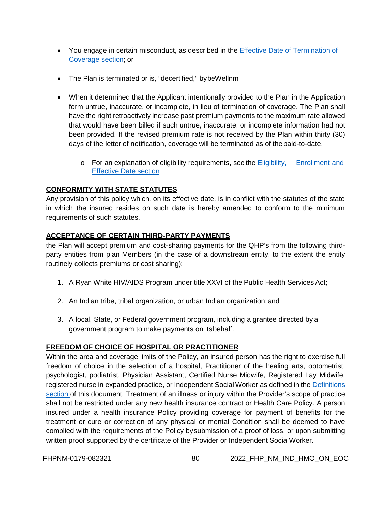- You engage in certain misconduct, as described in the Effective Date of Termination of [Coverage section;](#page-83-0) or
- The Plan is terminated or is, "decertified," bybeWellnm
- When it determined that the Applicant intentionally provided to the Plan in the Application form untrue, inaccurate, or incomplete, in lieu of termination of coverage. The Plan shall have the right retroactively increase past premium payments to the maximum rate allowed that would have been billed if such untrue, inaccurate, or incomplete information had not been provided. If the revised premium rate is not received by the Plan within thirty (30) days of the letter of notification, coverage will be terminated as of thepaid-to-date.
	- o For an explanation of eligibility requirements, see the Eligibility, [Enrollment](#page-9-0) and [Effective Date](#page-9-0) section

# **CONFORMITY WITH STATE STATUTES**

Any provision of this policy which, on its effective date, is in conflict with the statutes of the state in which the insured resides on such date is hereby amended to conform to the minimum requirements of such statutes.

# **ACCEPTANCE OF CERTAIN THIRD-PARTY PAYMENTS**

the Plan will accept premium and cost-sharing payments for the QHP's from the following thirdparty entities from plan Members (in the case of a downstream entity, to the extent the entity routinely collects premiums or cost sharing):

- 1. A Ryan White HIV/AIDS Program under title XXVI of the Public Health Services Act;
- 2. An Indian tribe, tribal organization, or urban Indian organization; and
- 3. A local, State, or Federal government program, including a grantee directed by a government program to make payments on itsbehalf.

# **FREEDOM OF CHOICE OF HOSPITAL OR PRACTITIONER**

Within the area and coverage limits of the Policy, an insured person has the right to exercise full freedom of choice in the selection of a hospital, Practitioner of the healing arts, optometrist, psychologist, podiatrist, Physician Assistant, Certified Nurse Midwife, Registered Lay Midwife, registered nurse in expanded practice, or Independent Social Worker as defined in the [Definitions](#page-99-0) [section](#page-99-0) of this document. Treatment of an illness or injury within the Provider's scope of practice shall not be restricted under any new health insurance contract or Health Care Policy. A person insured under a health insurance Policy providing coverage for payment of benefits for the treatment or cure or correction of any physical or mental Condition shall be deemed to have complied with the requirements of the Policy bysubmission of a proof of loss, or upon submitting written proof supported by the certificate of the Provider or Independent SocialWorker.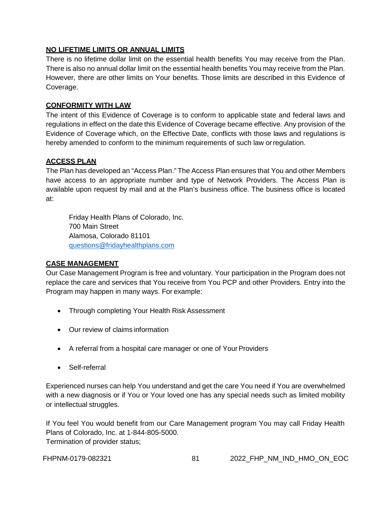## **NO LIFETIME LIMITS OR ANNUAL LIMITS**

There is no lifetime dollar limit on the essential health benefits You may receive from the Plan. There is also no annual dollar limit on the essential health benefits You may receive from the Plan. However, there are other limits on Your benefits. Those limits are described in this Evidence of Coverage.

### **CONFORMITY WITH LAW**

The intent of this Evidence of Coverage is to conform to applicable state and federal laws and regulations in effect on the date this Evidence of Coverage became effective. Any provision of the Evidence of Coverage which, on the Effective Date, conflicts with those laws and regulations is hereby amended to conform to the minimum requirements of such law orregulation.

### **ACCESS PLAN**

The Plan has developed an "Access Plan." The Access Plan ensures that You and other Members have access to an appropriate number and type of Network Providers. The Access Plan is available upon request by mail and at the Plan's business office. The business office is located at:

Friday Health Plans of Colorado, Inc. 700 Main Street Alamosa, Colorado 81101 [questions@fridayhealthplans.com](mailto:questions@fridayhealthplans.com)

### **CASE MANAGEMENT**

Our Case Management Program is free and voluntary. Your participation in the Program does not replace the care and services that You receive from You PCP and other Providers. Entry into the Program may happen in many ways. For example:

- Through completing Your Health Risk Assessment
- Our review of claims information
- A referral from a hospital care manager or one of Your Providers
- Self-referral

Experienced nurses can help You understand and get the care You need if You are overwhelmed with a new diagnosis or if You or Your loved one has any special needs such as limited mobility or intellectual struggles.

If You feel You would benefit from our Care Management program You may call Friday Health Plans of Colorado, Inc. at 1-844-805-5000. Termination of provider status;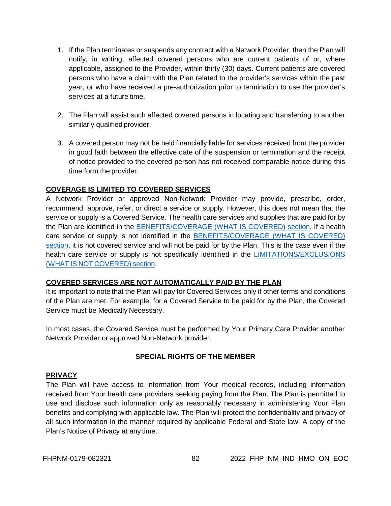- 1. If the Plan terminates or suspends any contract with a Network Provider, then the Plan will notify, in writing, affected covered persons who are current patients of or, where applicable, assigned to the Provider, within thirty (30) days. Current patients are covered persons who have a claim with the Plan related to the provider's services within the past year, or who have received a pre-authorization prior to termination to use the provider's services at a future time.
- 2. The Plan will assist such affected covered persons in locating and transferring to another similarly qualified provider.
- 3. A covered person may not be held financially liable for services received from the provider in good faith between the effective date of the suspension or termination and the receipt of notice provided to the covered person has not received comparable notice during this time form the provider.

### **COVERAGE IS LIMITED TO COVERED SERVICES**

A Network Provider or approved Non-Network Provider may provide, prescribe, order, recommend, approve, refer, or direct a service or supply. However, this does not mean that the service or supply is a Covered Service. The health care services and supplies that are paid for by the Plan are identified in the [BENEFITS/COVERAGE \(WHAT IS COVERED\) section.](#page-18-0) If a health care service or supply is not identified in the [BENEFITS/COVERAGE \(WHAT IS COVERED\)](#page-18-0)  [section,](#page-18-0) it is not covered service and will not be paid for by the Plan. This is the case even if the health care service or supply is not specifically identified in the [LIMITATIONS/EXCLUSIONS](#page-63-0)  (WHAT IS NOT [COVERED\)](#page-63-0) section.

# **COVERED SERVICES ARE NOT AUTOMATICALLY PAID BY THE PLAN**

It is important to note that the Plan will pay for Covered Services only if other terms and conditions of the Plan are met. For example, for a Covered Service to be paid for by the Plan, the Covered Service must be Medically Necessary.

In most cases, the Covered Service must be performed by Your Primary Care Provider another Network Provider or approved Non-Network provider.

# **SPECIAL RIGHTS OF THE MEMBER**

### **PRIVACY**

The Plan will have access to information from Your medical records, including information received from Your health care providers seeking paying from the Plan. The Plan is permitted to use and disclose such information only as reasonably necessary in administering Your Plan benefits and complying with applicable law. The Plan will protect the confidentiality and privacy of all such information in the manner required by applicable Federal and State law. A copy of the Plan's Notice of Privacy at any time.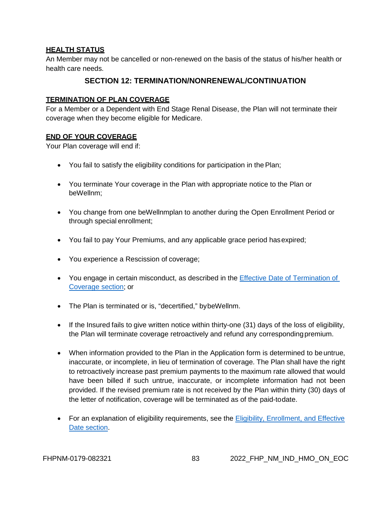### **HEALTH STATUS**

An Member may not be cancelled or non-renewed on the basis of the status of his/her health or health care needs.

# **SECTION 12: TERMINATION/NONRENEWAL/CONTINUATION**

### **TERMINATION OF PLAN COVERAGE**

For a Member or a Dependent with End Stage Renal Disease, the Plan will not terminate their coverage when they become eligible for Medicare.

### **END OF YOUR COVERAGE**

Your Plan coverage will end if:

- You fail to satisfy the eligibility conditions for participation in the Plan;
- You terminate Your coverage in the Plan with appropriate notice to the Plan or beWellnm;
- You change from one beWellnmplan to another during the Open Enrollment Period or through special enrollment;
- You fail to pay Your Premiums, and any applicable grace period has expired;
- You experience a Rescission of coverage;
- You engage in certain misconduct, as described in the Effective Date of Termination of [Coverage section;](#page-83-0) or
- The Plan is terminated or is, "decertified," bybeWellnm.
- If the Insured fails to give written notice within thirty-one (31) days of the loss of eligibility, the Plan will terminate coverage retroactively and refund any correspondingpremium.
- When information provided to the Plan in the Application form is determined to be untrue, inaccurate, or incomplete, in lieu of termination of coverage. The Plan shall have the right to retroactively increase past premium payments to the maximum rate allowed that would have been billed if such untrue, inaccurate, or incomplete information had not been provided. If the revised premium rate is not received by the Plan within thirty (30) days of the letter of notification, coverage will be terminated as of the paid-todate.
- For an explanation of eligibility requirements, see the Eligibility, Enrollment, and Effective Date [section.](#page-9-0)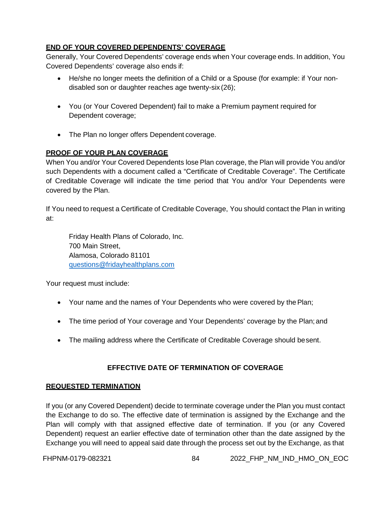# **END OF YOUR COVERED DEPENDENTS' COVERAGE**

Generally, Your Covered Dependents' coverage ends when Your coverage ends. In addition, You Covered Dependents' coverage also ends if:

- He/she no longer meets the definition of a Child or a Spouse (for example: if Your nondisabled son or daughter reaches age twenty-six (26);
- You (or Your Covered Dependent) fail to make a Premium payment required for Dependent coverage;
- The Plan no longer offers Dependent coverage.

# **PROOF OF YOUR PLAN COVERAGE**

When You and/or Your Covered Dependents lose Plan coverage, the Plan will provide You and/or such Dependents with a document called a "Certificate of Creditable Coverage". The Certificate of Creditable Coverage will indicate the time period that You and/or Your Dependents were covered by the Plan.

If You need to request a Certificate of Creditable Coverage, You should contact the Plan in writing at:

Friday Health Plans of Colorado, Inc. 700 Main Street, Alamosa, Colorado 81101 [questions@fridayhealthplans.com](mailto:questions@fridayhealthplans.com)

Your request must include:

- Your name and the names of Your Dependents who were covered by the Plan;
- The time period of Your coverage and Your Dependents' coverage by the Plan; and
- The mailing address where the Certificate of Creditable Coverage should besent.

### **EFFECTIVE DATE OF TERMINATION OF COVERAGE**

### <span id="page-83-0"></span>**REQUESTED TERMINATION**

If you (or any Covered Dependent) decide to terminate coverage under the Plan you must contact the Exchange to do so. The effective date of termination is assigned by the Exchange and the Plan will comply with that assigned effective date of termination. If you (or any Covered Dependent) request an earlier effective date of termination other than the date assigned by the Exchange you will need to appeal said date through the process set out by the Exchange, as that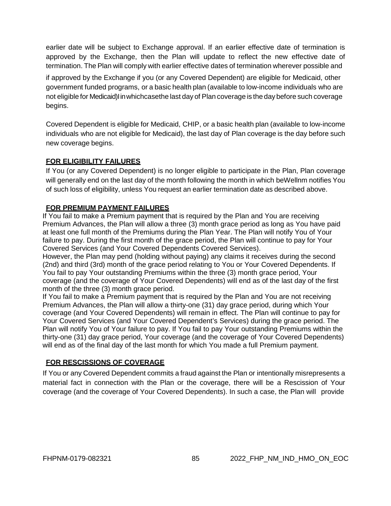earlier date will be subject to Exchange approval. If an earlier effective date of termination is approved by the Exchange, then the Plan will update to reflect the new effective date of termination. The Plan will comply with earlier effective dates of termination wherever possible and

if approved by the Exchange if you (or any Covered Dependent) are eligible for Medicaid, other government funded programs, or a basic health plan (available to low-income individuals who are not eligible for Medicaid)Iinwhichcasethe last day of Plan coverage is the day before such coverage begins.

Covered Dependent is eligible for Medicaid, CHIP, or a basic health plan (available to low-income individuals who are not eligible for Medicaid), the last day of Plan coverage is the day before such new coverage begins.

# **FOR ELIGIBILITY FAILURES**

If You (or any Covered Dependent) is no longer eligible to participate in the Plan, Plan coverage will generally end on the last day of the month following the month in which beWellnm notifies You of such loss of eligibility, unless You request an earlier termination date as described above.

# **FOR PREMIUM PAYMENT FAILURES**

If You fail to make a Premium payment that is required by the Plan and You are receiving Premium Advances, the Plan will allow a three (3) month grace period as long as You have paid at least one full month of the Premiums during the Plan Year. The Plan will notify You of Your failure to pay. During the first month of the grace period, the Plan will continue to pay for Your Covered Services (and Your Covered Dependents Covered Services).

However, the Plan may pend (holding without paying) any claims it receives during the second (2nd) and third (3rd) month of the grace period relating to You or Your Covered Dependents. If You fail to pay Your outstanding Premiums within the three (3) month grace period, Your coverage (and the coverage of Your Covered Dependents) will end as of the last day of the first month of the three (3) month grace period.

If You fail to make a Premium payment that is required by the Plan and You are not receiving Premium Advances, the Plan will allow a thirty-one (31) day grace period, during which Your coverage (and Your Covered Dependents) will remain in effect. The Plan will continue to pay for Your Covered Services (and Your Covered Dependent's Services) during the grace period. The Plan will notify You of Your failure to pay. If You fail to pay Your outstanding Premiums within the thirty-one (31) day grace period, Your coverage (and the coverage of Your Covered Dependents) will end as of the final day of the last month for which You made a full Premium payment.

# **FOR RESCISSIONS OF COVERAGE**

If You or any Covered Dependent commits a fraud against the Plan or intentionally misrepresents a material fact in connection with the Plan or the coverage, there will be a Rescission of Your coverage (and the coverage of Your Covered Dependents). In such a case, the Plan will provide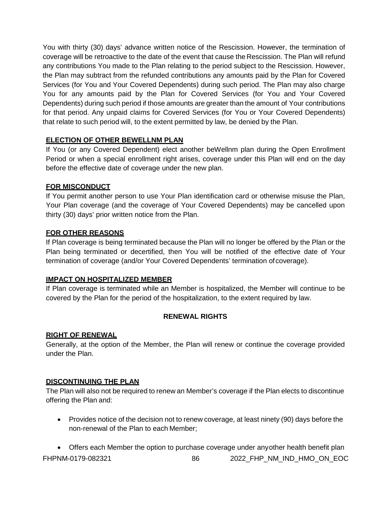You with thirty (30) days' advance written notice of the Rescission. However, the termination of coverage will be retroactive to the date of the event that cause the Rescission. The Plan will refund any contributions You made to the Plan relating to the period subject to the Rescission. However, the Plan may subtract from the refunded contributions any amounts paid by the Plan for Covered Services (for You and Your Covered Dependents) during such period. The Plan may also charge You for any amounts paid by the Plan for Covered Services (for You and Your Covered Dependents) during such period if those amounts are greater than the amount of Your contributions for that period. Any unpaid claims for Covered Services (for You or Your Covered Dependents) that relate to such period will, to the extent permitted by law, be denied by the Plan.

# **ELECTION OF OTHER BEWELLNM PLAN**

If You (or any Covered Dependent) elect another beWellnm plan during the Open Enrollment Period or when a special enrollment right arises, coverage under this Plan will end on the day before the effective date of coverage under the new plan.

# **FOR MISCONDUCT**

If You permit another person to use Your Plan identification card or otherwise misuse the Plan, Your Plan coverage (and the coverage of Your Covered Dependents) may be cancelled upon thirty (30) days' prior written notice from the Plan.

# **FOR OTHER REASONS**

If Plan coverage is being terminated because the Plan will no longer be offered by the Plan or the Plan being terminated or decertified, then You will be notified of the effective date of Your termination of coverage (and/or Your Covered Dependents' termination ofcoverage).

# **IMPACT ON HOSPITALIZED MEMBER**

If Plan coverage is terminated while an Member is hospitalized, the Member will continue to be covered by the Plan for the period of the hospitalization, to the extent required by law.

# **RENEWAL RIGHTS**

# **RIGHT OF RENEWAL**

Generally, at the option of the Member, the Plan will renew or continue the coverage provided under the Plan.

# **DISCONTINUING THE PLAN**

The Plan will also not be required to renew an Member's coverage if the Plan elects to discontinue offering the Plan and:

• Provides notice of the decision not to renew coverage, at least ninety (90) days before the non-renewal of the Plan to each Member;

FHPNM-0179-082321 86 2022\_FHP\_NM\_IND\_HMO\_ON\_EOC • Offers each Member the option to purchase coverage under anyother health benefit plan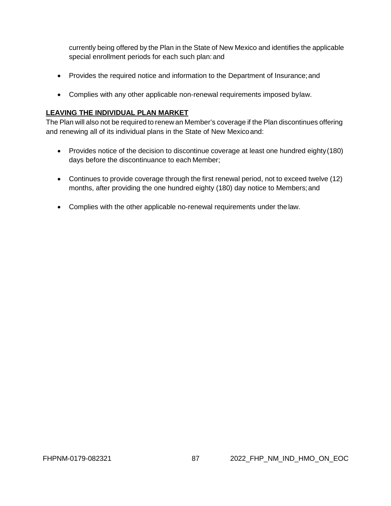currently being offered by the Plan in the State of New Mexico and identifies the applicable special enrollment periods for each such plan: and

- Provides the required notice and information to the Department of Insurance; and
- Complies with any other applicable non-renewal requirements imposed bylaw.

## **LEAVING THE INDIVIDUAL PLAN MARKET**

The Plan will also not be required to renew an Member's coverage if the Plan discontinues offering and renewing all of its individual plans in the State of New Mexicoand:

- Provides notice of the decision to discontinue coverage at least one hundred eighty(180) days before the discontinuance to each Member;
- Continues to provide coverage through the first renewal period, not to exceed twelve (12) months, after providing the one hundred eighty (180) day notice to Members;and
- Complies with the other applicable no-renewal requirements under the law.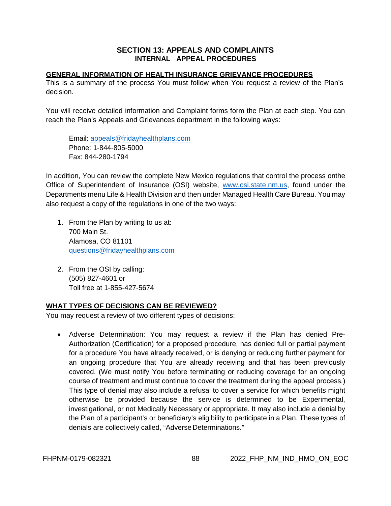### **SECTION 13: APPEALS AND COMPLAINTS INTERNAL APPEAL PROCEDURES**

### **GENERAL INFORMATION OF HEALTH INSURANCE GRIEVANCE PROCEDURES**

This is a summary of the process You must follow when You request a review of the Plan's decision.

You will receive detailed information and Complaint forms form the Plan at each step. You can reach the Plan's Appeals and Grievances department in the following ways:

Email: [appeals@fridayhealthplans.com](mailto:appeals@fridayhealthplans.com) Phone: 1-844-805-5000 Fax: 844-280-1794

In addition, You can review the complete New Mexico regulations that control the process onthe Office of Superintendent of Insurance (OSI) website, [www.osi.state.nm.us,](http://www.osi.state.nm.us/) found under the Departments menu Life & Health Division and then under Managed Health Care Bureau. You may also request a copy of the regulations in one of the two ways:

- 1. From the Plan by writing to us at: 700 Main St. Alamosa, CO 81101 [questions@fridayhealthplans.com](mailto:questions@fridayhealthplans.com)
- 2. From the OSI by calling: (505) 827-4601 or Toll free at 1-855-427-5674

### **WHAT TYPES OF DECISIONS CAN BE REVIEWED?**

You may request a review of two different types of decisions:

• Adverse Determination: You may request a review if the Plan has denied Pre-Authorization (Certification) for a proposed procedure, has denied full or partial payment for a procedure You have already received, or is denying or reducing further payment for an ongoing procedure that You are already receiving and that has been previously covered. (We must notify You before terminating or reducing coverage for an ongoing course of treatment and must continue to cover the treatment during the appeal process.) This type of denial may also include a refusal to cover a service for which benefits might otherwise be provided because the service is determined to be Experimental, investigational, or not Medically Necessary or appropriate. It may also include a denial by the Plan of a participant's or beneficiary's eligibility to participate in a Plan. These types of denials are collectively called, "Adverse Determinations."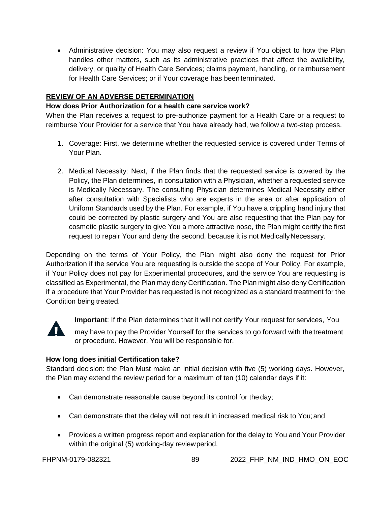• Administrative decision: You may also request a review if You object to how the Plan handles other matters, such as its administrative practices that affect the availability, delivery, or quality of Health Care Services; claims payment, handling, or reimbursement for Health Care Services; or if Your coverage has beenterminated.

# **REVIEW OF AN ADVERSE DETERMINATION**

## **How does Prior Authorization for a health care service work?**

When the Plan receives a request to pre-authorize payment for a Health Care or a request to reimburse Your Provider for a service that You have already had, we follow a two-step process.

- 1. Coverage: First, we determine whether the requested service is covered under Terms of Your Plan.
- 2. Medical Necessity: Next, if the Plan finds that the requested service is covered by the Policy, the Plan determines, in consultation with a Physician, whether a requested service is Medically Necessary. The consulting Physician determines Medical Necessity either after consultation with Specialists who are experts in the area or after application of Uniform Standards used by the Plan. For example, if You have a crippling hand injury that could be corrected by plastic surgery and You are also requesting that the Plan pay for cosmetic plastic surgery to give You a more attractive nose, the Plan might certify the first request to repair Your and deny the second, because it is not MedicallyNecessary.

Depending on the terms of Your Policy, the Plan might also deny the request for Prior Authorization if the service You are requesting is outside the scope of Your Policy. For example, if Your Policy does not pay for Experimental procedures, and the service You are requesting is classified as Experimental, the Plan may deny Certification. The Plan might also deny Certification if a procedure that Your Provider has requested is not recognized as a standard treatment for the Condition being treated.



**Important**: If the Plan determines that it will not certify Your request for services, You

 may have to pay the Provider Yourself for the services to go forward with the treatment or procedure. However, You will be responsible for.

# **How long does initial Certification take?**

Standard decision: the Plan Must make an initial decision with five (5) working days. However, the Plan may extend the review period for a maximum of ten (10) calendar days if it:

- Can demonstrate reasonable cause beyond its control for theday;
- Can demonstrate that the delay will not result in increased medical risk to You; and
- Provides a written progress report and explanation for the delay to You and Your Provider within the original (5) working-day reviewperiod.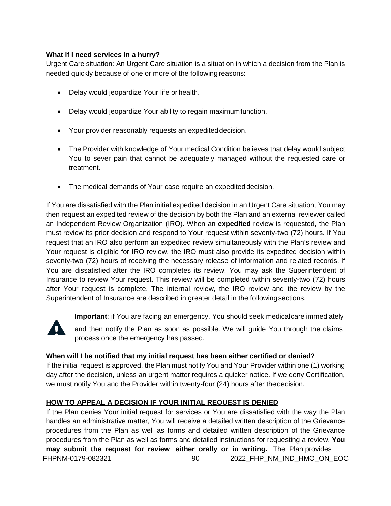### **What if I need services in a hurry?**

Urgent Care situation: An Urgent Care situation is a situation in which a decision from the Plan is needed quickly because of one or more of the following reasons:

- Delay would jeopardize Your life or health.
- Delay would jeopardize Your ability to regain maximumfunction.
- Your provider reasonably requests an expediteddecision.
- The Provider with knowledge of Your medical Condition believes that delay would subject You to sever pain that cannot be adequately managed without the requested care or treatment.
- The medical demands of Your case require an expedited decision.

If You are dissatisfied with the Plan initial expedited decision in an Urgent Care situation, You may then request an expedited review of the decision by both the Plan and an external reviewer called an Independent Review Organization (IRO). When an **expedited** review is requested, the Plan must review its prior decision and respond to Your request within seventy-two (72) hours. If You request that an IRO also perform an expedited review simultaneously with the Plan's review and Your request is eligible for IRO review, the IRO must also provide its expedited decision within seventy-two (72) hours of receiving the necessary release of information and related records. If You are dissatisfied after the IRO completes its review, You may ask the Superintendent of Insurance to review Your request. This review will be completed within seventy-two (72) hours after Your request is complete. The internal review, the IRO review and the review by the Superintendent of Insurance are described in greater detail in the followingsections.



**Important**: if You are facing an emergency, You should seek medicalcare immediately

 and then notify the Plan as soon as possible. We will guide You through the claims process once the emergency has passed.

# **When will I be notified that my initial request has been either certified or denied?**

If the initial request is approved, the Plan must notify You and Your Provider within one (1) working day after the decision, unless an urgent matter requires a quicker notice. If we deny Certification, we must notify You and the Provider within twenty-four (24) hours after thedecision.

# **HOW TO APPEAL A DECISION IF YOUR INITIAL REQUEST IS DENIED**

FHPNM-0179-082321 90 2022\_FHP\_NM\_IND\_HMO\_ON\_EOC If the Plan denies Your initial request for services or You are dissatisfied with the way the Plan handles an administrative matter, You will receive a detailed written description of the Grievance procedures from the Plan as well as forms and detailed written description of the Grievance procedures from the Plan as well as forms and detailed instructions for requesting a review. **You may submit the request for review either orally or in writing.** The Plan provides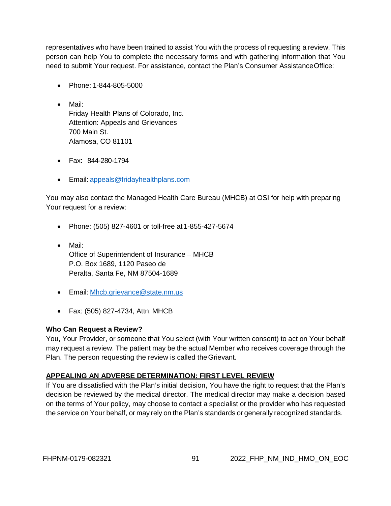representatives who have been trained to assist You with the process of requesting a review. This person can help You to complete the necessary forms and with gathering information that You need to submit Your request. For assistance, contact the Plan's Consumer AssistanceOffice:

- Phone: 1-844-805-5000
- Mail: Friday Health Plans of Colorado, Inc. Attention: Appeals and Grievances 700 Main St. Alamosa, CO 81101
- Fax: 844-280-1794
- Email: [appeals@fridayhealthplans.com](mailto:appeals@fridayhealthplans.com)

You may also contact the Managed Health Care Bureau (MHCB) at OSI for help with preparing Your request for a review:

- Phone: (505) 827-4601 or toll-free at 1-855-427-5674
- Mail: Office of Superintendent of Insurance – MHCB P.O. Box 1689, 1120 Paseo de Peralta, Santa Fe, NM 87504-1689
- Email: [Mhcb.grievance@state.nm.us](mailto:Mhcb.grievance@state.nm.us)
- Fax: (505) 827-4734, Attn: MHCB

### **Who Can Request a Review?**

You, Your Provider, or someone that You select (with Your written consent) to act on Your behalf may request a review. The patient may be the actual Member who receives coverage through the Plan. The person requesting the review is called theGrievant.

# **APPEALING AN ADVERSE DETERMINATION: FIRST LEVEL REVIEW**

If You are dissatisfied with the Plan's initial decision, You have the right to request that the Plan's decision be reviewed by the medical director. The medical director may make a decision based on the terms of Your policy, may choose to contact a specialist or the provider who has requested the service on Your behalf, or may rely on the Plan's standards or generally recognized standards.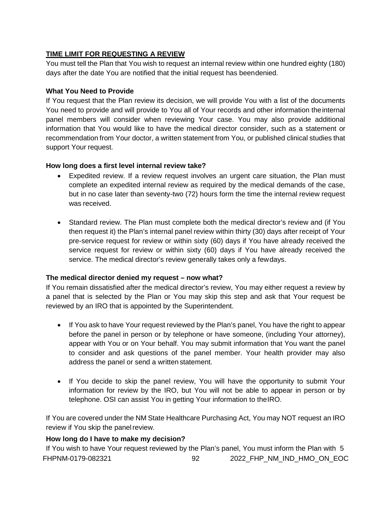# **TIME LIMIT FOR REQUESTING A REVIEW**

You must tell the Plan that You wish to request an internal review within one hundred eighty (180) days after the date You are notified that the initial request has beendenied.

# **What You Need to Provide**

If You request that the Plan review its decision, we will provide You with a list of the documents You need to provide and will provide to You all of Your records and other information theinternal panel members will consider when reviewing Your case. You may also provide additional information that You would like to have the medical director consider, such as a statement or recommendation from Your doctor, a written statement from You, or published clinical studies that support Your request.

# **How long does a first level internal review take?**

- Expedited review. If a review request involves an urgent care situation, the Plan must complete an expedited internal review as required by the medical demands of the case, but in no case later than seventy-two (72) hours form the time the internal review request was received.
- Standard review. The Plan must complete both the medical director's review and (if You then request it) the Plan's internal panel review within thirty (30) days after receipt of Your pre-service request for review or within sixty (60) days if You have already received the service request for review or within sixty (60) days if You have already received the service. The medical director's review generally takes only a fewdays.

# **The medical director denied my request – now what?**

If You remain dissatisfied after the medical director's review, You may either request a review by a panel that is selected by the Plan or You may skip this step and ask that Your request be reviewed by an IRO that is appointed by the Superintendent.

- If You ask to have Your request reviewed by the Plan's panel, You have the right to appear before the panel in person or by telephone or have someone, (including Your attorney), appear with You or on Your behalf. You may submit information that You want the panel to consider and ask questions of the panel member. Your health provider may also address the panel or send a written statement.
- If You decide to skip the panel review, You will have the opportunity to submit Your information for review by the IRO, but You will not be able to appear in person or by telephone. OSI can assist You in getting Your information to theIRO.

If You are covered under the NM State Healthcare Purchasing Act, You may NOT request an IRO review if You skip the panel review.

# **How long do I have to make my decision?**

FHPNM-0179-082321 92 2022\_FHP\_NM\_IND\_HMO\_ON\_EOC If You wish to have Your request reviewed by the Plan's panel, You must inform the Plan with 5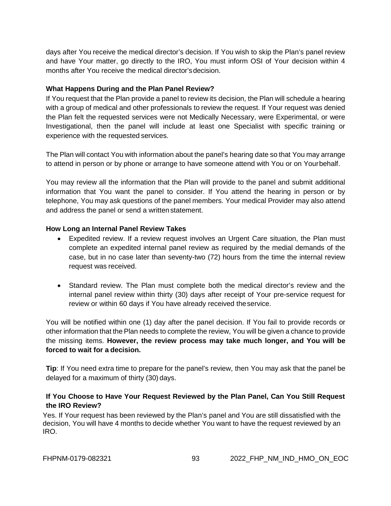days after You receive the medical director's decision. If You wish to skip the Plan's panel review and have Your matter, go directly to the IRO, You must inform OSI of Your decision within 4 months after You receive the medical director'sdecision.

#### **What Happens During and the Plan Panel Review?**

If You request that the Plan provide a panel to review its decision, the Plan will schedule a hearing with a group of medical and other professionals to review the request. If Your request was denied the Plan felt the requested services were not Medically Necessary, were Experimental, or were Investigational, then the panel will include at least one Specialist with specific training or experience with the requested services.

The Plan will contact You with information about the panel's hearing date so that You may arrange to attend in person or by phone or arrange to have someone attend with You or on Yourbehalf.

You may review all the information that the Plan will provide to the panel and submit additional information that You want the panel to consider. If You attend the hearing in person or by telephone, You may ask questions of the panel members. Your medical Provider may also attend and address the panel or send a written statement.

#### **How Long an Internal Panel Review Takes**

- Expedited review. If a review request involves an Urgent Care situation, the Plan must complete an expedited internal panel review as required by the medial demands of the case, but in no case later than seventy-two (72) hours from the time the internal review request was received.
- Standard review. The Plan must complete both the medical director's review and the internal panel review within thirty (30) days after receipt of Your pre-service request for review or within 60 days if You have already received theservice.

You will be notified within one (1) day after the panel decision. If You fail to provide records or other information that the Plan needs to complete the review, You will be given a chance to provide the missing items. **However, the review process may take much longer, and You will be forced to wait for a decision.**

**Tip**: If You need extra time to prepare for the panel's review, then You may ask that the panel be delayed for a maximum of thirty (30) days.

### **If You Choose to Have Your Request Reviewed by the Plan Panel, Can You Still Request the IRO Review?**

Yes. If Your request has been reviewed by the Plan's panel and You are still dissatisfied with the decision, You will have 4 months to decide whether You want to have the request reviewed by an IRO.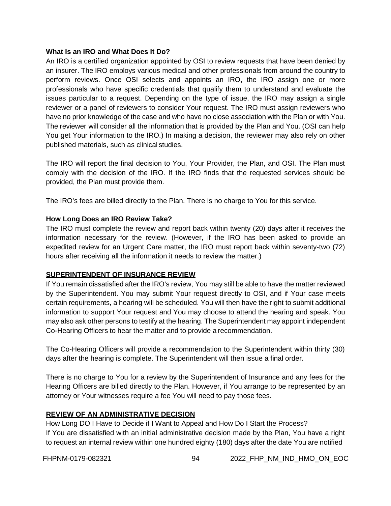#### **What Is an IRO and What Does It Do?**

An IRO is a certified organization appointed by OSI to review requests that have been denied by an insurer. The IRO employs various medical and other professionals from around the country to perform reviews. Once OSI selects and appoints an IRO, the IRO assign one or more professionals who have specific credentials that qualify them to understand and evaluate the issues particular to a request. Depending on the type of issue, the IRO may assign a single reviewer or a panel of reviewers to consider Your request. The IRO must assign reviewers who have no prior knowledge of the case and who have no close association with the Plan or with You. The reviewer will consider all the information that is provided by the Plan and You. (OSI can help You get Your information to the IRO.) In making a decision, the reviewer may also rely on other published materials, such as clinical studies.

The IRO will report the final decision to You, Your Provider, the Plan, and OSI. The Plan must comply with the decision of the IRO. If the IRO finds that the requested services should be provided, the Plan must provide them.

The IRO's fees are billed directly to the Plan. There is no charge to You for this service.

### **How Long Does an IRO Review Take?**

The IRO must complete the review and report back within twenty (20) days after it receives the information necessary for the review. (However, if the IRO has been asked to provide an expedited review for an Urgent Care matter, the IRO must report back within seventy-two (72) hours after receiving all the information it needs to review the matter.)

### **SUPERINTENDENT OF INSURANCE REVIEW**

If You remain dissatisfied after the IRO's review, You may still be able to have the matter reviewed by the Superintendent. You may submit Your request directly to OSI, and if Your case meets certain requirements, a hearing will be scheduled. You will then have the right to submit additional information to support Your request and You may choose to attend the hearing and speak. You may also ask other persons to testify at the hearing. The Superintendent may appoint independent Co-Hearing Officers to hear the matter and to provide a recommendation.

The Co-Hearing Officers will provide a recommendation to the Superintendent within thirty (30) days after the hearing is complete. The Superintendent will then issue a final order.

There is no charge to You for a review by the Superintendent of Insurance and any fees for the Hearing Officers are billed directly to the Plan. However, if You arrange to be represented by an attorney or Your witnesses require a fee You will need to pay those fees.

# **REVIEW OF AN ADMINISTRATIVE DECISION**

How Long DO I Have to Decide if I Want to Appeal and How Do I Start the Process? If You are dissatisfied with an initial administrative decision made by the Plan, You have a right to request an internal review within one hundred eighty (180) days after the date You are notified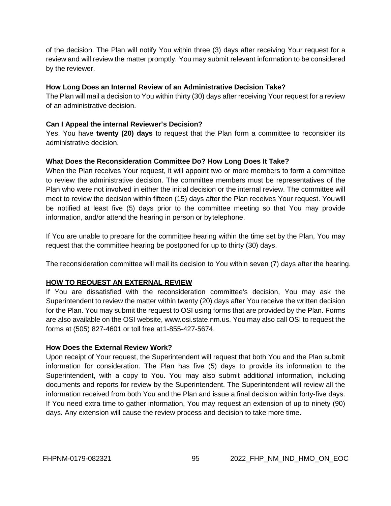of the decision. The Plan will notify You within three (3) days after receiving Your request for a review and will review the matter promptly. You may submit relevant information to be considered by the reviewer.

### **How Long Does an Internal Review of an Administrative Decision Take?**

The Plan will mail a decision to You within thirty (30) days after receiving Your request for a review of an administrative decision.

### **Can I Appeal the internal Reviewer's Decision?**

Yes. You have **twenty (20) days** to request that the Plan form a committee to reconsider its administrative decision.

### **What Does the Reconsideration Committee Do? How Long Does It Take?**

When the Plan receives Your request, it will appoint two or more members to form a committee to review the administrative decision. The committee members must be representatives of the Plan who were not involved in either the initial decision or the internal review. The committee will meet to review the decision within fifteen (15) days after the Plan receives Your request. Youwill be notified at least five (5) days prior to the committee meeting so that You may provide information, and/or attend the hearing in person or bytelephone.

If You are unable to prepare for the committee hearing within the time set by the Plan, You may request that the committee hearing be postponed for up to thirty (30) days.

The reconsideration committee will mail its decision to You within seven (7) days after the hearing.

### **HOW TO REQUEST AN EXTERNAL REVIEW**

If You are dissatisfied with the reconsideration committee's decision, You may ask the Superintendent to review the matter within twenty (20) days after You receive the written decision for the Plan. You may submit the request to OSI using forms that are provided by the Plan. Forms are also available on the OSI website, [www.osi.state.nm.us.](http://www.osi.state.nm.us/) You may also call OSI to request the forms at (505) 827-4601 or toll free at 1-855-427-5674.

### **How Does the External Review Work?**

Upon receipt of Your request, the Superintendent will request that both You and the Plan submit information for consideration. The Plan has five (5) days to provide its information to the Superintendent, with a copy to You. You may also submit additional information, including documents and reports for review by the Superintendent. The Superintendent will review all the information received from both You and the Plan and issue a final decision within forty-five days. If You need extra time to gather information, You may request an extension of up to ninety (90) days. Any extension will cause the review process and decision to take more time.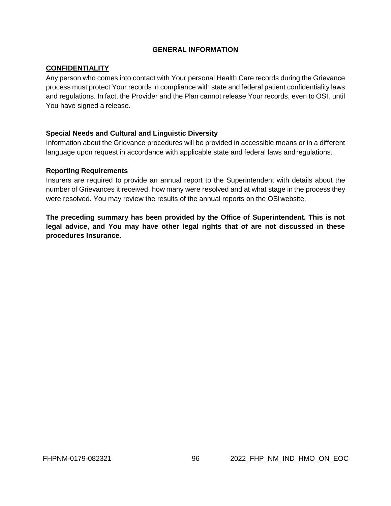### **GENERAL INFORMATION**

### **CONFIDENTIALITY**

Any person who comes into contact with Your personal Health Care records during the Grievance process must protect Your records in compliance with state and federal patient confidentiality laws and regulations. In fact, the Provider and the Plan cannot release Your records, even to OSI, until You have signed a release.

#### **Special Needs and Cultural and Linguistic Diversity**

Information about the Grievance procedures will be provided in accessible means or in a different language upon request in accordance with applicable state and federal laws andregulations.

#### **Reporting Requirements**

Insurers are required to provide an annual report to the Superintendent with details about the number of Grievances it received, how many were resolved and at what stage in the process they were resolved. You may review the results of the annual reports on the OSIwebsite.

**The preceding summary has been provided by the Office of Superintendent. This is not legal advice, and You may have other legal rights that of are not discussed in these procedures Insurance.**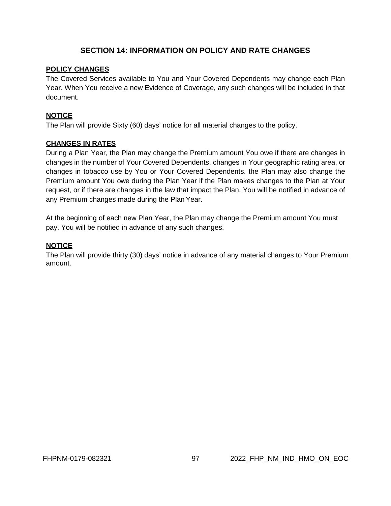# **SECTION 14: INFORMATION ON POLICY AND RATE CHANGES**

### **POLICY CHANGES**

The Covered Services available to You and Your Covered Dependents may change each Plan Year. When You receive a new Evidence of Coverage, any such changes will be included in that document.

### **NOTICE**

The Plan will provide Sixty (60) days' notice for all material changes to the policy.

### **CHANGES IN RATES**

During a Plan Year, the Plan may change the Premium amount You owe if there are changes in changes in the number of Your Covered Dependents, changes in Your geographic rating area, or changes in tobacco use by You or Your Covered Dependents. the Plan may also change the Premium amount You owe during the Plan Year if the Plan makes changes to the Plan at Your request, or if there are changes in the law that impact the Plan. You will be notified in advance of any Premium changes made during the PlanYear.

At the beginning of each new Plan Year, the Plan may change the Premium amount You must pay. You will be notified in advance of any such changes.

### **NOTICE**

The Plan will provide thirty (30) days' notice in advance of any material changes to Your Premium amount.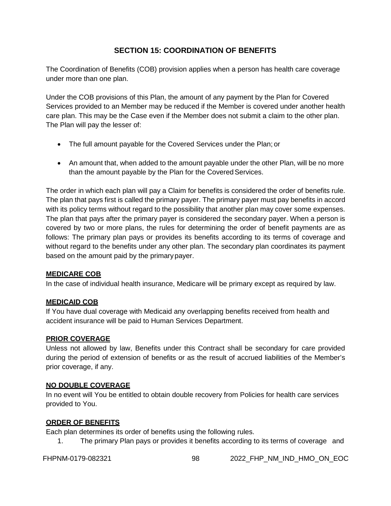# **SECTION 15: COORDINATION OF BENEFITS**

The Coordination of Benefits (COB) provision applies when a person has health care coverage under more than one plan.

Under the COB provisions of this Plan, the amount of any payment by the Plan for Covered Services provided to an Member may be reduced if the Member is covered under another health care plan. This may be the Case even if the Member does not submit a claim to the other plan. The Plan will pay the lesser of:

- The full amount payable for the Covered Services under the Plan; or
- An amount that, when added to the amount payable under the other Plan, will be no more than the amount payable by the Plan for the Covered Services.

The order in which each plan will pay a Claim for benefits is considered the order of benefits rule. The plan that pays first is called the primary payer. The primary payer must pay benefits in accord with its policy terms without regard to the possibility that another plan may cover some expenses. The plan that pays after the primary payer is considered the secondary payer. When a person is covered by two or more plans, the rules for determining the order of benefit payments are as follows: The primary plan pays or provides its benefits according to its terms of coverage and without regard to the benefits under any other plan. The secondary plan coordinates its payment based on the amount paid by the primary payer.

### **MEDICARE COB**

In the case of individual health insurance, Medicare will be primary except as required by law.

# **MEDICAID COB**

If You have dual coverage with Medicaid any overlapping benefits received from health and accident insurance will be paid to Human Services Department.

# **PRIOR COVERAGE**

Unless not allowed by law, Benefits under this Contract shall be secondary for care provided during the period of extension of benefits or as the result of accrued liabilities of the Member's prior coverage, if any.

### **NO DOUBLE COVERAGE**

In no event will You be entitled to obtain double recovery from Policies for health care services provided to You.

# **ORDER OF BENEFITS**

Each plan determines its order of benefits using the following rules.

1. The primary Plan pays or provides it benefits according to its terms of coverage and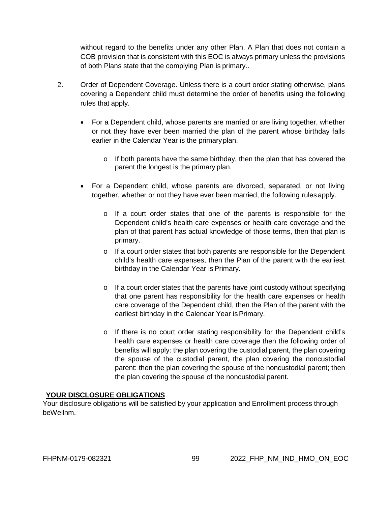without regard to the benefits under any other Plan. A Plan that does not contain a COB provision that is consistent with this EOC is always primary unless the provisions of both Plans state that the complying Plan is primary..

- 2. Order of Dependent Coverage. Unless there is a court order stating otherwise, plans covering a Dependent child must determine the order of benefits using the following rules that apply.
	- For a Dependent child, whose parents are married or are living together, whether or not they have ever been married the plan of the parent whose birthday falls earlier in the Calendar Year is the primaryplan.
		- $\circ$  If both parents have the same birthday, then the plan that has covered the parent the longest is the primary plan.
	- For a Dependent child, whose parents are divorced, separated, or not living together, whether or not they have ever been married, the following rules apply.
		- o If a court order states that one of the parents is responsible for the Dependent child's health care expenses or health care coverage and the plan of that parent has actual knowledge of those terms, then that plan is primary.
		- $\circ$  If a court order states that both parents are responsible for the Dependent child's health care expenses, then the Plan of the parent with the earliest birthday in the Calendar Year is Primary.
		- $\circ$  If a court order states that the parents have joint custody without specifying that one parent has responsibility for the health care expenses or health care coverage of the Dependent child, then the Plan of the parent with the earliest birthday in the Calendar Year is Primary.
		- o If there is no court order stating responsibility for the Dependent child's health care expenses or health care coverage then the following order of benefits will apply: the plan covering the custodial parent, the plan covering the spouse of the custodial parent, the plan covering the noncustodial parent: then the plan covering the spouse of the noncustodial parent; then the plan covering the spouse of the noncustodial parent.

### **YOUR DISCLOSURE OBLIGATIONS**

Your disclosure obligations will be satisfied by your application and Enrollment process through beWellnm.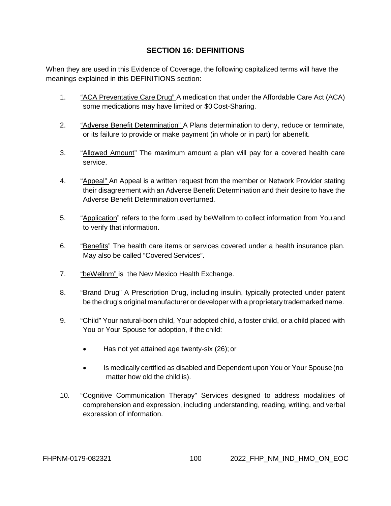# **SECTION 16: DEFINITIONS**

<span id="page-99-0"></span>When they are used in this Evidence of Coverage, the following capitalized terms will have the meanings explained in this DEFINITIONS section:

- 1. "ACA Preventative Care Drug" A medication that under the Affordable Care Act (ACA) some medications may have limited or \$0 Cost-Sharing.
- 2. "Adverse Benefit Determination" A Plans determination to deny, reduce or terminate, or its failure to provide or make payment (in whole or in part) for abenefit.
- 3. "Allowed Amount" The maximum amount a plan will pay for a covered health care service.
- 4. "Appeal" An Appeal is a written request from the member or Network Provider stating their disagreement with an Adverse Benefit Determination and their desire to have the Adverse Benefit Determination overturned.
- 5. "Application" refers to the form used by beWellnm to collect information from You and to verify that information.
- 6. "Benefits" The health care items or services covered under a health insurance plan. May also be called "Covered Services".
- 7. "beWellnm" is the New Mexico Health Exchange.
- 8. "Brand Drug" A Prescription Drug, including insulin, typically protected under patent be the drug's original manufacturer or developer with a proprietary trademarked name.
- 9. "Child" Your natural-born child, Your adopted child, a foster child, or a child placed with You or Your Spouse for adoption, if the child:
	- Has not yet attained age twenty-six (26); or
	- Is medically certified as disabled and Dependent upon You or Your Spouse (no matter how old the child is).
- 10. "Cognitive Communication Therapy" Services designed to address modalities of comprehension and expression, including understanding, reading, writing, and verbal expression of information.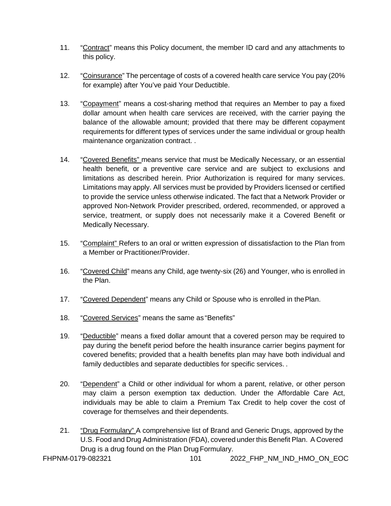- 11. "Contract" means this Policy document, the member ID card and any attachments to this policy.
- 12. "Coinsurance" The percentage of costs of a covered health care service You pay (20% for example) after You've paid Your Deductible.
- 13. "Copayment" means a cost-sharing method that requires an Member to pay a fixed dollar amount when health care services are received, with the carrier paying the balance of the allowable amount; provided that there may be different copayment requirements for different types of services under the same individual or group health maintenance organization contract. .
- 14. "Covered Benefits" means service that must be Medically Necessary, or an essential health benefit, or a preventive care service and are subject to exclusions and limitations as described herein. Prior Authorization is required for many services. Limitations may apply. All services must be provided by Providers licensed or certified to provide the service unless otherwise indicated. The fact that a Network Provider or approved Non-Network Provider prescribed, ordered, recommended, or approved a service, treatment, or supply does not necessarily make it a Covered Benefit or Medically Necessary.
- 15. "Complaint" Refers to an oral or written expression of dissatisfaction to the Plan from a Member or Practitioner/Provider.
- 16. "Covered Child" means any Child, age twenty-six (26) and Younger, who is enrolled in the Plan.
- 17. "Covered Dependent" means any Child or Spouse who is enrolled in thePlan.
- 18. "Covered Services" means the same as "Benefits"
- 19. "Deductible" means a fixed dollar amount that a covered person may be required to pay during the benefit period before the health insurance carrier begins payment for covered benefits; provided that a health benefits plan may have both individual and family deductibles and separate deductibles for specific services. .
- 20. "Dependent" a Child or other individual for whom a parent, relative, or other person may claim a person exemption tax deduction. Under the Affordable Care Act, individuals may be able to claim a Premium Tax Credit to help cover the cost of coverage for themselves and their dependents.
- 21. "Drug Formulary" A comprehensive list of Brand and Generic Drugs, approved by the U.S. Food and Drug Administration (FDA), covered under this Benefit Plan. A Covered Drug is a drug found on the Plan Drug Formulary.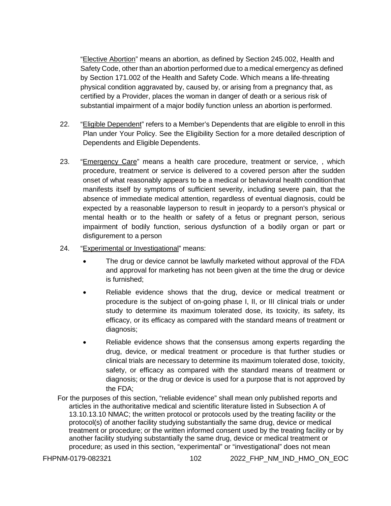"Elective Abortion" means an abortion, as defined by Section 245.002, Health and Safety Code, other than an abortion performed due to a medical emergency as defined by Section 171.002 of the Health and Safety Code. Which means a life-threating physical condition aggravated by, caused by, or arising from a pregnancy that, as certified by a Provider, places the woman in danger of death or a serious risk of substantial impairment of a major bodily function unless an abortion is performed.

- 22. "Eligible Dependent" refers to a Member's Dependents that are eligible to enroll in this Plan under Your Policy. See the Eligibility Section for a more detailed description of Dependents and Eligible Dependents.
- 23. "Emergency Care" means a health care procedure, treatment or service, , which procedure, treatment or service is delivered to a covered person after the sudden onset of what reasonably appears to be a medical or behavioral health condition that manifests itself by symptoms of sufficient severity, including severe pain, that the absence of immediate medical attention, regardless of eventual diagnosis, could be expected by a reasonable layperson to result in jeopardy to a person's physical or mental health or to the health or safety of a fetus or pregnant person, serious impairment of bodily function, serious dysfunction of a bodily organ or part or disfigurement to a person
- 24. "Experimental or Investigational" means:
	- The drug or device cannot be lawfully marketed without approval of the FDA and approval for marketing has not been given at the time the drug or device is furnished;
	- Reliable evidence shows that the drug, device or medical treatment or procedure is the subject of on-going phase I, II, or III clinical trials or under study to determine its maximum tolerated dose, its toxicity, its safety, its efficacy, or its efficacy as compared with the standard means of treatment or diagnosis;
	- Reliable evidence shows that the consensus among experts regarding the drug, device, or medical treatment or procedure is that further studies or clinical trials are necessary to determine its maximum tolerated dose, toxicity, safety, or efficacy as compared with the standard means of treatment or diagnosis; or the drug or device is used for a purpose that is not approved by the FDA;

For the purposes of this section, "reliable evidence" shall mean only published reports and articles in the authoritative medical and scientific literature listed in Subsection A of 13.10.13.10 NMAC; the written protocol or protocols used by the treating facility or the protocol(s) of another facility studying substantially the same drug, device or medical treatment or procedure; or the written informed consent used by the treating facility or by another facility studying substantially the same drug, device or medical treatment or procedure; as used in this section, "experimental" or "investigational" does not mean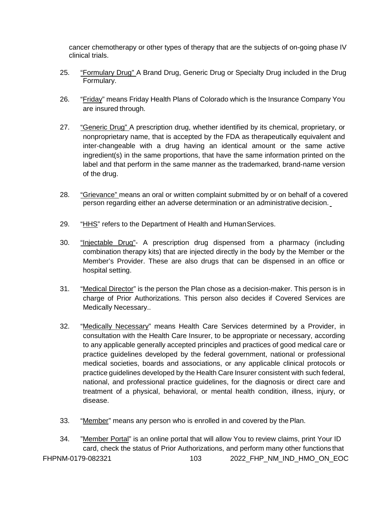cancer chemotherapy or other types of therapy that are the subjects of on-going phase IV clinical trials.

- 25. "Formulary Drug" A Brand Drug, Generic Drug or Specialty Drug included in the Drug Formulary.
- 26. "Friday" means Friday Health Plans of Colorado which is the Insurance Company You are insured through.
- 27. "Generic Drug" A prescription drug, whether identified by its chemical, proprietary, or nonproprietary name, that is accepted by the FDA as therapeutically equivalent and inter-changeable with a drug having an identical amount or the same active ingredient(s) in the same proportions, that have the same information printed on the label and that perform in the same manner as the trademarked, brand-name version of the drug.
- 28. "Grievance" means an oral or written complaint submitted by or on behalf of a covered person regarding either an adverse determination or an administrative decision.
- 29. "HHS" refers to the Department of Health and HumanServices.
- 30. "Injectable Drug"- A prescription drug dispensed from a pharmacy (including combination therapy kits) that are injected directly in the body by the Member or the Member's Provider. These are also drugs that can be dispensed in an office or hospital setting.
- 31. "Medical Director" is the person the Plan chose as a decision-maker. This person is in charge of Prior Authorizations. This person also decides if Covered Services are Medically Necessary..
- 32. "Medically Necessary" means Health Care Services determined by a Provider, in consultation with the Health Care Insurer, to be appropriate or necessary, according to any applicable generally accepted principles and practices of good medical care or practice guidelines developed by the federal government, national or professional medical societies, boards and associations, or any applicable clinical protocols or practice guidelines developed by the Health Care Insurer consistent with such federal, national, and professional practice guidelines, for the diagnosis or direct care and treatment of a physical, behavioral, or mental health condition, illness, injury, or disease.
- 33. "Member" means any person who is enrolled in and covered by the Plan.
- FHPNM-0179-082321 103 2022 FHP\_NM\_IND\_HMO\_ON\_EOC 34. "Member Portal" is an online portal that will allow You to review claims, print Your ID card, check the status of Prior Authorizations, and perform many other functions that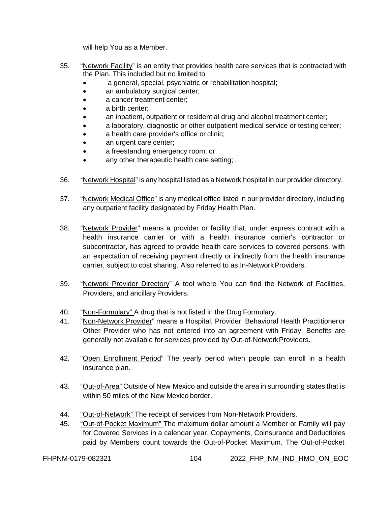will help You as a Member.

- 35. "Network Facility" is an entity that provides health care services that is contracted with the Plan. This included but no limited to
	- a general, special, psychiatric or rehabilitation hospital;
	- an ambulatory surgical center;
	- a cancer treatment center:
	- a birth center:
	- an inpatient, outpatient or residential drug and alcohol treatment center;
	- a laboratory, diagnostic or other outpatient medical service or testing center;
	- a health care provider's office or clinic;
	- an urgent care center;
	- a freestanding emergency room; or
	- any other therapeutic health care setting;
- 36. "Network Hospital" is any hospital listed as a Network hospital in our provider directory.
- 37. "Network Medical Office" is any medical office listed in our provider directory, including any outpatient facility designated by Friday Health Plan.
- 38. "Network Provider" means a provider or facility that, under express contract with a health insurance carrier or with a health insurance carrier's contractor or subcontractor, has agreed to provide health care services to covered persons, with an expectation of receiving payment directly or indirectly from the health insurance carrier, subject to cost sharing. Also referred to as In-Network Providers.
- 39. "Network Provider Directory" A tool where You can find the Network of Facilities, Providers, and ancillary Providers.
- 40. "Non-Formulary" A drug that is not listed in the Drug Formulary.
- 41. "Non-Network Provider" means a Hospital, Provider, Behavioral Health Practitioneror Other Provider who has not entered into an agreement with Friday. Benefits are generally not available for services provided by Out-of-NetworkProviders.
- 42. "Open Enrollment Period" The yearly period when people can enroll in a health insurance plan.
- 43. "Out-of-Area" Outside of New Mexico and outside the area in surrounding states that is within 50 miles of the New Mexico border.
- 44. "Out-of-Network" The receipt of services from Non-Network Providers.
- 45. "Out-of-Pocket Maximum" The maximum dollar amount a Member or Family will pay for Covered Services in a calendar year. Copayments, Coinsurance and Deductibles paid by Members count towards the Out-of-Pocket Maximum. The Out-of-Pocket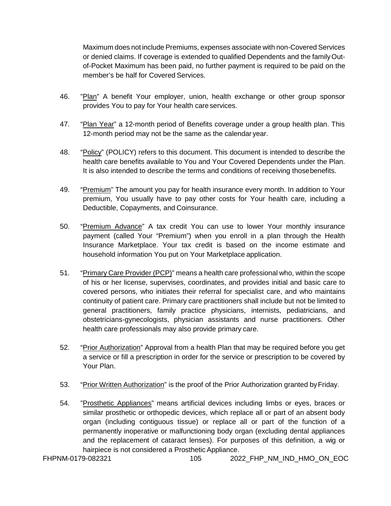Maximum does not include Premiums, expenses associate with non-Covered Services or denied claims. If coverage is extended to qualified Dependents and the familyOutof-Pocket Maximum has been paid, no further payment is required to be paid on the member's be half for Covered Services.

- 46. "Plan" A benefit Your employer, union, health exchange or other group sponsor provides You to pay for Your health careservices.
- 47. "Plan Year" a 12-month period of Benefits coverage under a group health plan. This 12-month period may not be the same as the calendar year.
- 48. "Policy" (POLICY) refers to this document. This document is intended to describe the health care benefits available to You and Your Covered Dependents under the Plan. It is also intended to describe the terms and conditions of receiving thosebenefits.
- 49. "Premium" The amount you pay for health insurance every month. In addition to Your premium, You usually have to pay other costs for Your health care, including a Deductible, Copayments, and Coinsurance.
- 50. "Premium Advance" A tax credit You can use to lower Your monthly insurance payment (called Your "Premium") when you enroll in a plan through the Health Insurance Marketplace. Your tax credit is based on the income estimate and household information You put on Your Marketplace application.
- 51. "Primary Care Provider (PCP)" means a health care professional who, within the scope of his or her license, supervises, coordinates, and provides initial and basic care to covered persons, who initiates their referral for specialist care, and who maintains continuity of patient care. Primary care practitioners shall include but not be limited to general practitioners, family practice physicians, internists, pediatricians, and obstetricians-gynecologists, physician assistants and nurse practitioners. Other health care professionals may also provide primary care.
- 52. "Prior Authorization" Approval from a health Plan that may be required before you get a service or fill a prescription in order for the service or prescription to be covered by Your Plan.
- 53. "Prior Written Authorization" is the proof of the Prior Authorization granted byFriday.
- 54. "Prosthetic Appliances" means artificial devices including limbs or eyes, braces or similar prosthetic or orthopedic devices, which replace all or part of an absent body organ (including contiguous tissue) or replace all or part of the function of a permanently inoperative or malfunctioning body organ (excluding dental appliances and the replacement of cataract lenses). For purposes of this definition, a wig or hairpiece is not considered a Prosthetic Appliance.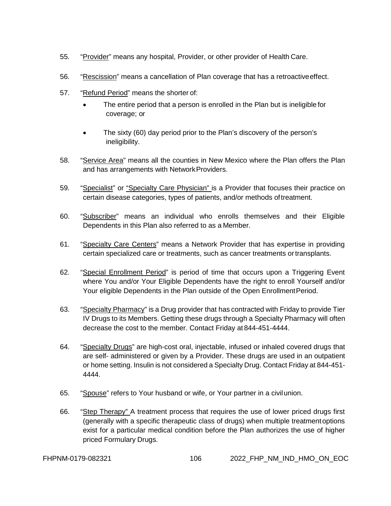- 55. "Provider" means any hospital, Provider, or other provider of Health Care.
- 56. "Rescission" means a cancellation of Plan coverage that has a retroactiveeffect.
- 57. "Refund Period" means the shorter of:
	- The entire period that a person is enrolled in the Plan but is ineligible for coverage; or
	- The sixty (60) day period prior to the Plan's discovery of the person's ineligibility.
- 58. "Service Area" means all the counties in New Mexico where the Plan offers the Plan and has arrangements with NetworkProviders.
- 59. "Specialist" or "Specialty Care Physician" is a Provider that focuses their practice on certain disease categories, types of patients, and/or methods oftreatment.
- 60. "Subscriber" means an individual who enrolls themselves and their Eligible Dependents in this Plan also referred to as a Member.
- 61. "Specialty Care Centers" means a Network Provider that has expertise in providing certain specialized care or treatments, such as cancer treatments ortransplants.
- 62. "Special Enrollment Period" is period of time that occurs upon a Triggering Event where You and/or Your Eligible Dependents have the right to enroll Yourself and/or Your eligible Dependents in the Plan outside of the Open EnrollmentPeriod.
- 63. "Specialty Pharmacy" is a Drug provider that has contracted with Friday to provide Tier IV Drugs to its Members. Getting these drugs through a Specialty Pharmacy will often decrease the cost to the member. Contact Friday at 844-451-4444.
- 64. "Specialty Drugs" are high-cost oral, injectable, infused or inhaled covered drugs that are self- administered or given by a Provider. These drugs are used in an outpatient or home setting. Insulin is not considered a Specialty Drug. Contact Friday at 844-451- 4444.
- 65. "Spouse" refers to Your husband or wife, or Your partner in a civilunion.
- 66. "Step Therapy" A treatment process that requires the use of lower priced drugs first (generally with a specific therapeutic class of drugs) when multiple treatmentoptions exist for a particular medical condition before the Plan authorizes the use of higher priced Formulary Drugs.